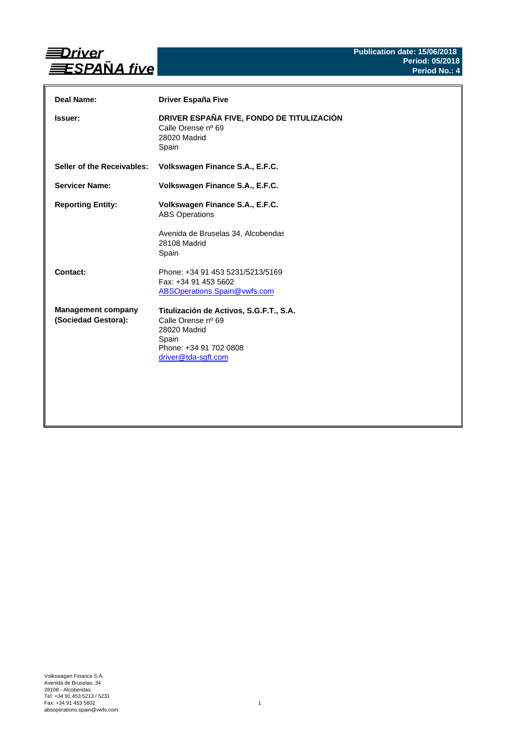

| Deal Name:                                       | <b>Driver España Five</b>                                                                                                               |
|--------------------------------------------------|-----------------------------------------------------------------------------------------------------------------------------------------|
| <b>Issuer:</b>                                   | DRIVER ESPAÑA FIVE, FONDO DE TITULIZACIÓN<br>Calle Orense nº 69<br>28020 Madrid<br>Spain                                                |
| Seller of the Receivables:                       | Volkswagen Finance S.A., E.F.C.                                                                                                         |
| <b>Servicer Name:</b>                            | Volkswagen Finance S.A., E.F.C.                                                                                                         |
| <b>Reporting Entity:</b>                         | Volkswagen Finance S.A., E.F.C.<br><b>ABS Operations</b><br>Avenida de Bruselas 34, Alcobendas<br>28108 Madrid<br>Spain                 |
| Contact:                                         | Phone: +34 91 453 5231/5213/5169<br>Fax: +34 91 453 5602<br>ABSOperations.Spain@vwfs.com                                                |
| <b>Management company</b><br>(Sociedad Gestora): | Titulización de Activos, S.G.F.T., S.A.<br>Calle Orense nº 69<br>28020 Madrid<br>Spain<br>Phone: +34 91 702 0808<br>driver@tda-sgft.com |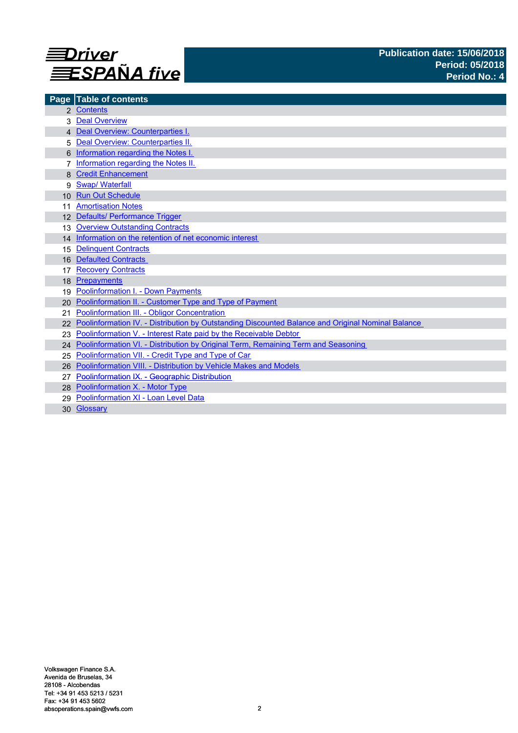

| Page            | <b>Table of contents</b>                                                                          |
|-----------------|---------------------------------------------------------------------------------------------------|
|                 | 2 Contents                                                                                        |
|                 | <b>Deal Overview</b>                                                                              |
|                 | 4 Deal Overview: Counterparties I.                                                                |
|                 | Deal Overview: Counterparties II.                                                                 |
|                 | Information regarding the Notes I.                                                                |
|                 | Information regarding the Notes II.                                                               |
|                 | <b>Credit Enhancement</b>                                                                         |
| 9               | <b>Swap/Waterfall</b>                                                                             |
| 10 <sup>1</sup> | <b>Run Out Schedule</b>                                                                           |
|                 | <b>Amortisation Notes</b>                                                                         |
|                 | 12 Defaults/ Performance Trigger                                                                  |
| 13              | <b>Overview Outstanding Contracts</b>                                                             |
|                 | 14 Information on the retention of net economic interest                                          |
| 15              | <b>Delinquent Contracts</b>                                                                       |
| 16              | <b>Defaulted Contracts</b>                                                                        |
| 17              | <b>Recovery Contracts</b>                                                                         |
| 18              | Prepayments                                                                                       |
| 19              | <b>Poolinformation I. - Down Payments</b>                                                         |
| 20              | Poolinformation II. - Customer Type and Type of Payment                                           |
| 21              | Poolinformation III. - Obligor Concentration                                                      |
|                 | Poolinformation IV. - Distribution by Outstanding Discounted Balance and Original Nominal Balance |
|                 | Poolinformation V. - Interest Rate paid by the Receivable Debtor                                  |
|                 | 24 Poolinformation VI. - Distribution by Original Term, Remaining Term and Seasoning              |
| 25              | Poolinformation VII. - Credit Type and Type of Car                                                |
| 26              | Poolinformation VIII. - Distribution by Vehicle Makes and Models                                  |
|                 | Poolinformation IX. - Geographic Distribution                                                     |
|                 | 28 Poolinformation X. - Motor Type                                                                |
| 29              | Poolinformation XI - Loan Level Data                                                              |
|                 | 30 Glossary                                                                                       |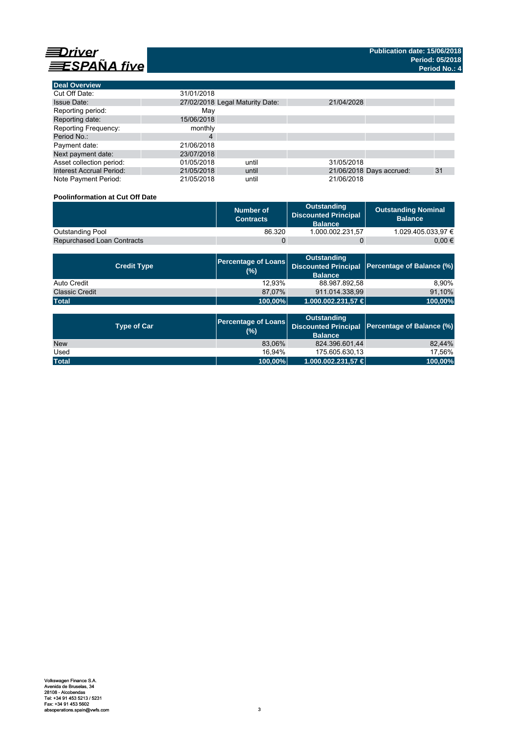



| <b>Deal Overview</b>            |            |                                 |            |                          |    |
|---------------------------------|------------|---------------------------------|------------|--------------------------|----|
| Cut Off Date:                   | 31/01/2018 |                                 |            |                          |    |
| <b>Issue Date:</b>              |            | 27/02/2018 Legal Maturity Date: | 21/04/2028 |                          |    |
| Reporting period:               | May        |                                 |            |                          |    |
| Reporting date:                 | 15/06/2018 |                                 |            |                          |    |
| <b>Reporting Frequency:</b>     | monthly    |                                 |            |                          |    |
| Period No.:                     | 4          |                                 |            |                          |    |
| Payment date:                   | 21/06/2018 |                                 |            |                          |    |
| Next payment date:              | 23/07/2018 |                                 |            |                          |    |
| Asset collection period:        | 01/05/2018 | until                           | 31/05/2018 |                          |    |
| <b>Interest Accrual Period:</b> | 21/05/2018 | until                           |            | 21/06/2018 Days accrued: | 31 |
| Note Payment Period:            | 21/05/2018 | until                           | 21/06/2018 |                          |    |

## **Poolinformation at Cut Off Date**

|                                   | Number of<br><b>Contracts</b> | Outstanding<br><b>Discounted Principal</b><br><b>Balance</b> | <b>Outstanding Nominal</b><br><b>Balance</b> |
|-----------------------------------|-------------------------------|--------------------------------------------------------------|----------------------------------------------|
| <b>Outstanding Pool</b>           | 86.320                        | 1.000.002.231.57                                             | 1.029.405.033.97 €                           |
| <b>Repurchased Loan Contracts</b> |                               |                                                              | 0.00 €                                       |

| <b>Credit Type</b>    | (%)     | <b>Outstanding</b><br><b>Balance</b> | Percentage of Loans Discounted Principal Percentage of Balance (%) |
|-----------------------|---------|--------------------------------------|--------------------------------------------------------------------|
| Auto Credit           | 12.93%  | 88.987.892,58                        | 8.90%                                                              |
| <b>Classic Credit</b> | 87.07%  | 911.014.338.99                       | 91,10%                                                             |
| <b>Total</b>          | 100,00% | 1.000.002.231,57 €                   | 100,00%                                                            |

| <b>Type of Car</b> | <b>Percentage of Loans</b><br>(%) | <b>Outstanding</b><br><b>Balance</b> | Discounted Principal Percentage of Balance (%) |
|--------------------|-----------------------------------|--------------------------------------|------------------------------------------------|
| <b>New</b>         | 83,06%                            | 824.396.601,44                       | 82.44%                                         |
| Used               | 16.94%                            | 175.605.630.13                       | 17.56%                                         |
| <b>Total</b>       | 100,00%                           | 1.000.002.231,57 €                   | 100,00%                                        |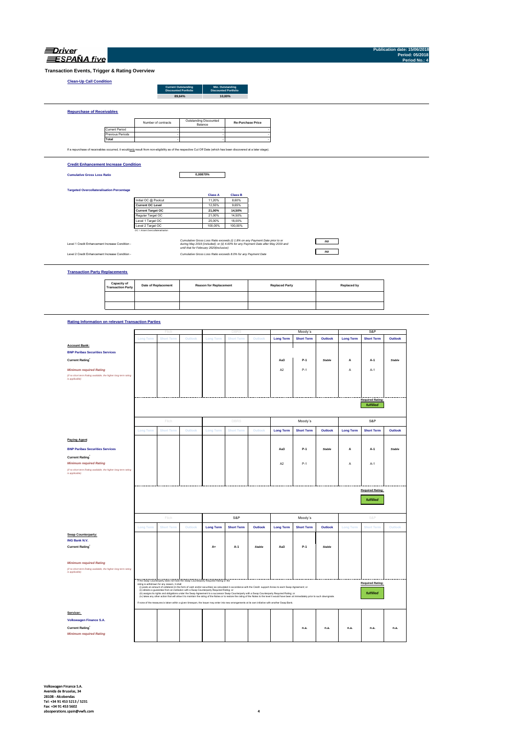| Driver            |  |
|-------------------|--|
| <b>SPANA</b> five |  |

**Publication date: 15/06/2018 Period: 05/2018 Period No.: 4**

**Transaction Events, Trigger & Rating Overview**

## **Clean-Up Call Condition**

| <b>Discounted Portfolio</b><br><b>Discounted Portfolio</b> |
|------------------------------------------------------------|
| 89.64%<br>10.00%                                           |
|                                                            |

Current Period Previous Periods **Total** If a repurchase of receivables occurred, it would only result from non-eligibility as of the respective Cut Off Date (which has been discovered at a later stage). **Re-Purchase Price** the contract of the contract of the contract of the contract of the contract of Number of contracts Outstanding Discounted Balance **Contract Contract Contract Contract Contract Contract Contract Contract** the contract of the contract of the contract of the contract of the contract of the contract of the contract of the contract of the contract of **Contract Contract Contract** 

### **Credit Enhancement Increase Condition**

**Cumulative Gross Loss Ratio**

**Repurchase of Receivables**

**0,00870%**

### **Targeted Overcollateralisation Percentage**

|                                  | <b>Class A</b> | <b>Class B</b> |
|----------------------------------|----------------|----------------|
| Initial OC @ Poolcut             | 11.20%         | 8.60%          |
| <b>Current OC Level</b>          | 12.55%         | 9.65%          |
| <b>Current Target OC</b>         | 21.00%         | 14.50%         |
| Regular Target OC                | 21.00%         | 14.50%         |
| Level 1 Target OC                | 25.00%         | 18.00%         |
| Level 2 Target OC                | 100.00%        | 100.00%        |
| OC = Asset Overcollateralisation |                |                |

Level 1 Credit Enhancement Increase Condition -

Level 2 Credit Enhancement Increase Condition - *Cumulative Gross Loss Ratio exceeds 8.0% for any Payment Date Cumulative Gross Loss Ratio exceeds (i) 1.8% on any Payment Date prior to or during May 2019 (included); or (ii) 4.00% for any Payment Date after May 2019 and until that for February 2020(inclusive)*

# *no*

*no*

### **Transaction Party Replacements**

| Capacity of<br><b>Transaction Party</b> | <b>Date of Replacement</b> | <b>Reason for Replacement</b> | <b>Replaced Party</b> | Replaced by |
|-----------------------------------------|----------------------------|-------------------------------|-----------------------|-------------|
|                                         |                            |                               |                       |             |
|                                         |                            |                               |                       |             |

### **Rating Information on relevant Transaction Parties**

|                                                                                   |                  | Fitch                                                                                     |         |                  | DBR                                                                                                                                                            |         |                  | Moody's                                                                                                                                                                                          |               |                  | S&P                     |               |  |
|-----------------------------------------------------------------------------------|------------------|-------------------------------------------------------------------------------------------|---------|------------------|----------------------------------------------------------------------------------------------------------------------------------------------------------------|---------|------------------|--------------------------------------------------------------------------------------------------------------------------------------------------------------------------------------------------|---------------|------------------|-------------------------|---------------|--|
|                                                                                   | <b>Long Term</b> | <b>Short Term</b>                                                                         | Outlook | <b>Long Term</b> | <b>Short Term</b>                                                                                                                                              | Outlook | <b>Long Term</b> | <b>Short Term</b>                                                                                                                                                                                | Outlook       | <b>Long Term</b> | <b>Short Term</b>       | Outlook       |  |
|                                                                                   |                  |                                                                                           |         |                  |                                                                                                                                                                |         |                  |                                                                                                                                                                                                  |               |                  |                         |               |  |
| <b>Account Bank:</b>                                                              |                  |                                                                                           |         |                  |                                                                                                                                                                |         |                  |                                                                                                                                                                                                  |               |                  |                         |               |  |
| <b>BNP Paribas Securities Services</b>                                            |                  |                                                                                           |         |                  |                                                                                                                                                                |         |                  |                                                                                                                                                                                                  |               |                  |                         |               |  |
| <b>Current Rating</b>                                                             |                  |                                                                                           |         |                  |                                                                                                                                                                |         | Aa3              | $P-1$                                                                                                                                                                                            | Stable        | А                | $A-1$                   | <b>Stable</b> |  |
| <b>Minimum required Rating</b>                                                    |                  |                                                                                           |         |                  |                                                                                                                                                                |         | A <sub>2</sub>   | $P-1$                                                                                                                                                                                            |               | А                | $A-1$                   |               |  |
| (if no short term Rating available, the higher long term rating<br>is applicable) |                  |                                                                                           |         |                  |                                                                                                                                                                |         |                  |                                                                                                                                                                                                  |               |                  |                         |               |  |
|                                                                                   |                  |                                                                                           |         |                  |                                                                                                                                                                |         |                  |                                                                                                                                                                                                  |               |                  |                         |               |  |
|                                                                                   |                  |                                                                                           |         |                  |                                                                                                                                                                |         |                  |                                                                                                                                                                                                  |               |                  |                         |               |  |
|                                                                                   |                  |                                                                                           |         |                  |                                                                                                                                                                |         |                  |                                                                                                                                                                                                  |               |                  |                         |               |  |
|                                                                                   |                  |                                                                                           |         |                  |                                                                                                                                                                |         |                  |                                                                                                                                                                                                  |               |                  | <b>Required Rating:</b> |               |  |
|                                                                                   |                  |                                                                                           |         |                  |                                                                                                                                                                |         |                  |                                                                                                                                                                                                  |               |                  | fulfilled               |               |  |
|                                                                                   |                  | Fitch                                                                                     |         |                  | <b>DBRS</b>                                                                                                                                                    |         |                  | Moody's                                                                                                                                                                                          |               |                  | S&P                     |               |  |
|                                                                                   | <b>Long Term</b> | <b>Short Term</b>                                                                         | Outlook | <b>Long Term</b> | <b>Short Term</b>                                                                                                                                              | Outlook | <b>Long Term</b> | <b>Short Term</b>                                                                                                                                                                                | Outlook       | <b>Long Term</b> | <b>Short Term</b>       | Outlook       |  |
| <b>Paying Agent</b>                                                               |                  |                                                                                           |         |                  |                                                                                                                                                                |         |                  |                                                                                                                                                                                                  |               |                  |                         |               |  |
| <b>BNP Paribas Securities Services</b>                                            |                  |                                                                                           |         |                  |                                                                                                                                                                |         | Aa3              | $P-1$                                                                                                                                                                                            | <b>Stable</b> | А                | A-1                     | <b>Stable</b> |  |
| <b>Current Rating</b>                                                             |                  |                                                                                           |         |                  |                                                                                                                                                                |         |                  |                                                                                                                                                                                                  |               |                  |                         |               |  |
| <b>Minimum required Rating</b>                                                    |                  |                                                                                           |         |                  |                                                                                                                                                                |         | A <sub>2</sub>   | $P-1$                                                                                                                                                                                            |               | А                | $A-1$                   |               |  |
| (if no short term Rating available, the higher long term rating                   |                  |                                                                                           |         |                  |                                                                                                                                                                |         |                  |                                                                                                                                                                                                  |               |                  |                         |               |  |
| is applicable)                                                                    |                  |                                                                                           |         |                  |                                                                                                                                                                |         |                  |                                                                                                                                                                                                  |               |                  |                         |               |  |
|                                                                                   |                  |                                                                                           |         |                  |                                                                                                                                                                |         |                  |                                                                                                                                                                                                  |               |                  |                         |               |  |
|                                                                                   |                  |                                                                                           |         |                  |                                                                                                                                                                |         |                  |                                                                                                                                                                                                  |               |                  |                         |               |  |
|                                                                                   |                  |                                                                                           |         |                  |                                                                                                                                                                |         |                  |                                                                                                                                                                                                  |               |                  | <b>Required Rating:</b> |               |  |
|                                                                                   |                  |                                                                                           |         |                  |                                                                                                                                                                |         |                  |                                                                                                                                                                                                  |               |                  |                         |               |  |
|                                                                                   |                  |                                                                                           |         |                  |                                                                                                                                                                |         |                  |                                                                                                                                                                                                  |               |                  |                         |               |  |
|                                                                                   |                  |                                                                                           |         |                  |                                                                                                                                                                |         |                  |                                                                                                                                                                                                  |               |                  | fulfilled               |               |  |
|                                                                                   |                  |                                                                                           |         |                  |                                                                                                                                                                |         |                  |                                                                                                                                                                                                  |               |                  |                         |               |  |
|                                                                                   |                  |                                                                                           |         |                  |                                                                                                                                                                |         |                  |                                                                                                                                                                                                  |               |                  |                         |               |  |
|                                                                                   |                  | Fitch                                                                                     |         |                  | S&P                                                                                                                                                            |         |                  | Moody's                                                                                                                                                                                          |               |                  | S&P                     |               |  |
|                                                                                   | <b>Long Term</b> | <b>Short Term</b>                                                                         | Outlook | <b>Long Term</b> | <b>Short Term</b>                                                                                                                                              | Outlook | <b>Long Term</b> | <b>Short Term</b>                                                                                                                                                                                | Outlook       | <b>Long Term</b> | <b>Short Term</b>       | Outlook       |  |
| <b>Swap Counterparty:</b>                                                         |                  |                                                                                           |         |                  |                                                                                                                                                                |         |                  |                                                                                                                                                                                                  |               |                  |                         |               |  |
| <b>ING Bank N.V.</b>                                                              |                  |                                                                                           |         |                  |                                                                                                                                                                |         |                  |                                                                                                                                                                                                  |               |                  |                         |               |  |
|                                                                                   |                  |                                                                                           |         | $A+$             | A-1                                                                                                                                                            | Stable  | Aa3              | $P-1$                                                                                                                                                                                            | Stable        |                  |                         |               |  |
| <b>Current Rating</b>                                                             |                  |                                                                                           |         |                  |                                                                                                                                                                |         |                  |                                                                                                                                                                                                  |               |                  |                         |               |  |
|                                                                                   |                  |                                                                                           |         |                  |                                                                                                                                                                |         |                  |                                                                                                                                                                                                  |               |                  |                         |               |  |
| <b>Minimum required Rating</b>                                                    |                  |                                                                                           |         |                  |                                                                                                                                                                |         |                  |                                                                                                                                                                                                  |               |                  |                         |               |  |
| (if no short term Rating available, the higher long term rating                   |                  |                                                                                           |         |                  |                                                                                                                                                                |         |                  |                                                                                                                                                                                                  |               |                  |                         |               |  |
| is applicable)                                                                    |                  |                                                                                           |         |                  |                                                                                                                                                                |         |                  |                                                                                                                                                                                                  |               |                  |                         |               |  |
|                                                                                   |                  | If the Swap Counterparty does not have the Swap Counterparty Required Rating or the       |         |                  |                                                                                                                                                                |         |                  |                                                                                                                                                                                                  |               |                  |                         |               |  |
|                                                                                   |                  | rating is withdrawn for any reason, it shall                                              |         |                  |                                                                                                                                                                |         |                  |                                                                                                                                                                                                  |               |                  | <b>Required Rating:</b> |               |  |
|                                                                                   |                  | (ii) obtains a guarantee from an institution with a Swap Counterparty Required Rating; or |         |                  | (i) posts an amount of collateral (in the form of cash and/or securities) as calculated in accordance with the Credit support Annex to each Swap Agreement; or |         |                  |                                                                                                                                                                                                  |               |                  |                         |               |  |
|                                                                                   |                  |                                                                                           |         |                  | (ii) assigns its rights and obligations under the Swap Agreement to a successor Swap Counterparty with a Swap Counterparty Required Rating; or                 |         |                  | (iv) takes any other action that will allow it to maintain the rating of the Notes or to restore the rating of the Notes to the level it would have been at immediately prior to such downgrade. |               |                  | fulfilled               |               |  |
|                                                                                   |                  |                                                                                           |         |                  | If none of the measures is taken within a given timespan, the Issuer may enter into new arrangements at its own initiative with another Swap Bank.             |         |                  |                                                                                                                                                                                                  |               |                  |                         |               |  |
| Servicer:                                                                         |                  |                                                                                           |         |                  |                                                                                                                                                                |         |                  |                                                                                                                                                                                                  |               |                  |                         |               |  |
| Volkswagen Finance S.A.                                                           |                  |                                                                                           |         |                  |                                                                                                                                                                |         |                  |                                                                                                                                                                                                  |               |                  |                         |               |  |
| <b>Current Rating</b>                                                             |                  |                                                                                           |         |                  |                                                                                                                                                                |         |                  | n.a.                                                                                                                                                                                             | n.a.          | n.a.             | n.a.                    | n.a.          |  |
| <b>Minimum required Rating</b>                                                    |                  |                                                                                           |         |                  |                                                                                                                                                                |         |                  |                                                                                                                                                                                                  |               |                  |                         |               |  |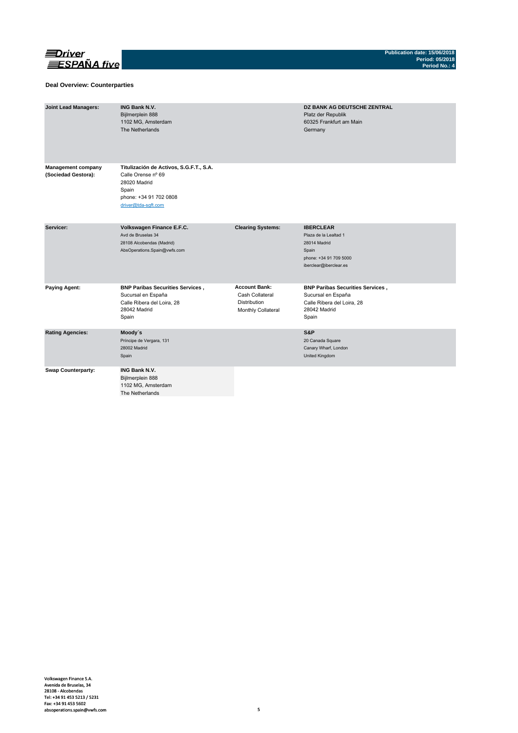

### **Deal Overview: Counterparties**

| <b>Joint Lead Managers:</b>                      | <b>ING Bank N.V.</b><br>Bijlmerplein 888<br>1102 MG, Amsterdam<br>The Netherlands                                                       |                                                                                      | <b>DZ BANK AG DEUTSCHE ZENTRAL</b><br>Platz der Republik<br>60325 Frankfurt am Main<br>Germany                         |
|--------------------------------------------------|-----------------------------------------------------------------------------------------------------------------------------------------|--------------------------------------------------------------------------------------|------------------------------------------------------------------------------------------------------------------------|
| <b>Management company</b><br>(Sociedad Gestora): | Titulización de Activos, S.G.F.T., S.A.<br>Calle Orense nº 69<br>28020 Madrid<br>Spain<br>phone: +34 91 702 0808<br>driver@tda-sqft.com |                                                                                      |                                                                                                                        |
| Servicer:                                        | Volkswagen Finance E.F.C.<br>Avd de Bruselas 34<br>28108 Alcobendas (Madrid)<br>AbsOperations.Spain@vwfs.com                            | <b>Clearing Systems:</b>                                                             | <b>IBERCLEAR</b><br>Plaza de la Lealtad 1<br>28014 Madrid<br>Spain<br>phone: +34 91 709 5000<br>iberclear@iberclear.es |
| <b>Paying Agent:</b>                             | <b>BNP Paribas Securities Services,</b><br>Sucursal en España<br>Calle Ribera del Loira, 28<br>28042 Madrid<br>Spain                    | <b>Account Bank:</b><br>Cash Collateral<br><b>Distribution</b><br>Monthly Collateral | <b>BNP Paribas Securities Services,</b><br>Sucursal en España<br>Calle Ribera del Loira, 28<br>28042 Madrid<br>Spain   |
| <b>Rating Agencies:</b>                          | Moody's<br>Príncipe de Vergara, 131<br>28002 Madrid<br>Spain                                                                            |                                                                                      | S&P<br>20 Canada Square<br>Canary Wharf, London<br>United Kingdom                                                      |
| <b>Swap Counterparty:</b>                        | <b>ING Bank N.V.</b><br>Bijlmerplein 888<br>1102 MG, Amsterdam<br>The Netherlands                                                       |                                                                                      |                                                                                                                        |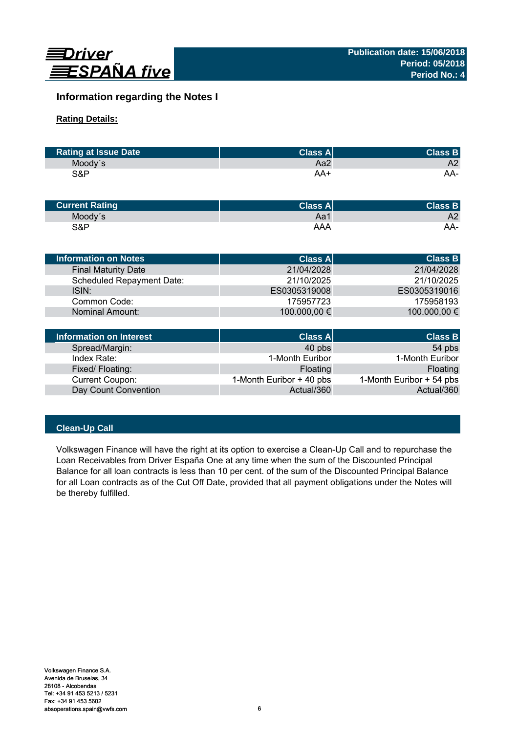

# **Information regarding the Notes I**

## **Rating Details:**

| <b>Rating at Issue Date</b> | <b>Class Al</b> | <b>Class B</b> |
|-----------------------------|-----------------|----------------|
| Moody's                     | Aa2             | A2             |
| S&P                         | AA+             | AA-            |

| <b>Current Rating</b> | Class $A^{\parallel}$ | <b>Class B</b> |
|-----------------------|-----------------------|----------------|
| Moody's               | Aa1                   | A2             |
| S&P                   | AAA                   | AA-            |

| <b>Information on Notes</b>      | <b>Class A</b> | <b>Class B</b> |
|----------------------------------|----------------|----------------|
| <b>Final Maturity Date</b>       | 21/04/2028     | 21/04/2028     |
| <b>Scheduled Repayment Date:</b> | 21/10/2025     | 21/10/2025     |
| ISIN:                            | ES0305319008   | ES0305319016   |
| Common Code:                     | 175957723      | 175958193      |
| Nominal Amount:                  | 100.000,00 €   | 100.000,00 €   |
|                                  |                |                |
| Information on Interest          | Class Al       | <b>Class B</b> |

| Information on Interest | <b>Class A</b>           | <b>Class B</b>           |
|-------------------------|--------------------------|--------------------------|
| Spread/Margin:          | 40 pbs                   | 54 pbs                   |
| Index Rate:             | 1-Month Euribor          | 1-Month Euribor          |
| Fixed/Floating:         | Floating                 | Floating                 |
| <b>Current Coupon:</b>  | 1-Month Euribor + 40 pbs | 1-Month Euribor + 54 pbs |
| Day Count Convention    | Actual/360               | Actual/360               |

# **Clean-Up Call**

Volkswagen Finance will have the right at its option to exercise a Clean-Up Call and to repurchase the Loan Receivables from Driver España One at any time when the sum of the Discounted Principal Balance for all loan contracts is less than 10 per cent. of the sum of the Discounted Principal Balance for all Loan contracts as of the Cut Off Date, provided that all payment obligations under the Notes will be thereby fulfilled.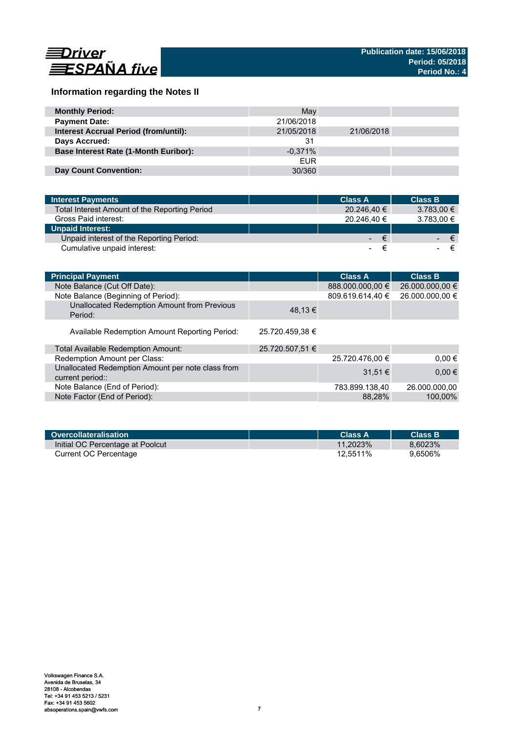

# **Information regarding the Notes II**

| <b>Monthly Period:</b>                       | May        |            |  |
|----------------------------------------------|------------|------------|--|
| <b>Payment Date:</b>                         | 21/06/2018 |            |  |
| <b>Interest Accrual Period (from/until):</b> | 21/05/2018 | 21/06/2018 |  |
| Days Accrued:                                | 31         |            |  |
| <b>Base Interest Rate (1-Month Euribor):</b> | $-0.371%$  |            |  |
|                                              | <b>EUR</b> |            |  |
| <b>Day Count Convention:</b>                 | 30/360     |            |  |

| <b>Interest Payments</b>                      | <b>Class A</b> | <b>Class B</b>  |     |
|-----------------------------------------------|----------------|-----------------|-----|
| Total Interest Amount of the Reporting Period | 20.246,40 €    | $3.783,00 \in$  |     |
| Gross Paid interest:                          | 20.246.40 €    | 3.783,00 €      |     |
| <b>Unpaid Interest:</b>                       |                |                 |     |
| Unpaid interest of the Reporting Period:      |                | €<br>$\sim 100$ | ∕€7 |
| Cumulative unpaid interest:                   | ۰.             |                 |     |

| <b>Principal Payment</b>                                              |                 | <b>Class A</b>   | <b>Class B</b>  |
|-----------------------------------------------------------------------|-----------------|------------------|-----------------|
| Note Balance (Cut Off Date):                                          |                 | 888.000.000,00 € | 26.000.000,00 € |
| Note Balance (Beginning of Period):                                   |                 | 809.619.614,40 € | 26.000.000,00 € |
| Unallocated Redemption Amount from Previous<br>Period:                | 48,13 €         |                  |                 |
| Available Redemption Amount Reporting Period:                         | 25.720.459.38 € |                  |                 |
| Total Available Redemption Amount:                                    | 25.720.507,51 € |                  |                 |
| Redemption Amount per Class:                                          |                 | 25.720.476,00 €  | $0.00 \in$      |
| Unallocated Redemption Amount per note class from<br>current period:: |                 | $31.51 \in$      | $0,00 \in$      |
| Note Balance (End of Period):                                         |                 | 783.899.138,40   | 26.000.000,00   |
| Note Factor (End of Period):                                          |                 | 88.28%           | 100.00%         |

| Overcollateralisation            | <b>Class A</b> | <b>Class B</b> |
|----------------------------------|----------------|----------------|
| Initial OC Percentage at Poolcut | $11.2023\%$    | 8.6023%        |
| Current OC Percentage            | 12.5511%       | 9.6506%        |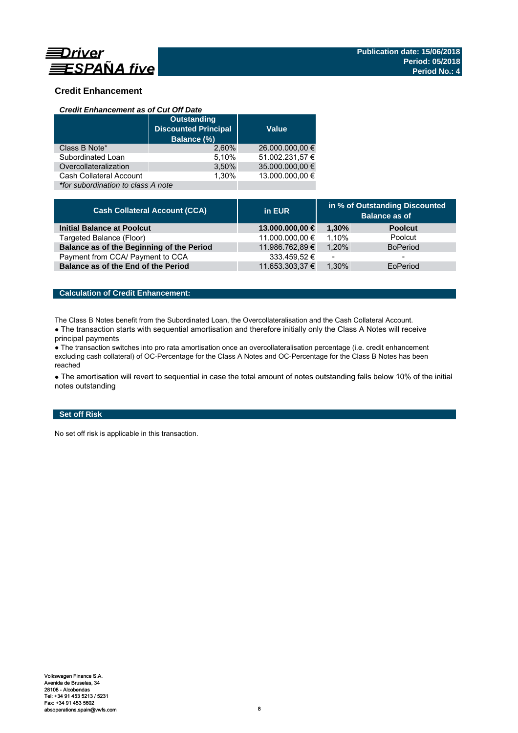

## **Credit Enhancement**

### *Credit Enhancement as of Cut Off Date*

|                                    | <b>Outstanding</b><br><b>Discounted Principal</b><br>Balance (%) | <b>Value</b>    |  |
|------------------------------------|------------------------------------------------------------------|-----------------|--|
| Class B Note*                      | 2.60%                                                            | 26.000.000,00 € |  |
| Subordinated Loan                  | 5,10%                                                            | 51.002.231,57 € |  |
| Overcollateralization              | 3,50%                                                            | 35.000.000,00 € |  |
| Cash Collateral Account            | 1.30%                                                            | 13.000.000.00 € |  |
| *for subordination to class A note |                                                                  |                 |  |

| <b>Cash Collateral Account (CCA)</b>      | in EUR          | in % of Outstanding Discounted<br><b>Balance as of</b> |                          |
|-------------------------------------------|-----------------|--------------------------------------------------------|--------------------------|
| <b>Initial Balance at Poolcut</b>         | 13.000.000,00 € | 1.30%                                                  | <b>Poolcut</b>           |
| Targeted Balance (Floor)                  | 11.000.000,00 € | 1.10%                                                  | Poolcut                  |
| Balance as of the Beginning of the Period | 11.986.762,89 € | 1.20%                                                  | <b>BoPeriod</b>          |
| Payment from CCA/ Payment to CCA          | 333.459,52 €    | $\overline{\phantom{0}}$                               | $\overline{\phantom{0}}$ |
| Balance as of the End of the Period       | 11.653.303,37 € | 1.30%                                                  | EoPeriod                 |

## **Calculation of Credit Enhancement:**

The Class B Notes benefit from the Subordinated Loan, the Overcollateralisation and the Cash Collateral Account.

• The transaction starts with sequential amortisation and therefore initially only the Class A Notes will receive principal payments

● The transaction switches into pro rata amortisation once an overcollateralisation percentage (i.e. credit enhancement excluding cash collateral) of OC-Percentage for the Class A Notes and OC-Percentage for the Class B Notes has been reached

• The amortisation will revert to sequential in case the total amount of notes outstanding falls below 10% of the initial notes outstanding

## **Set off Risk**

No set off risk is applicable in this transaction.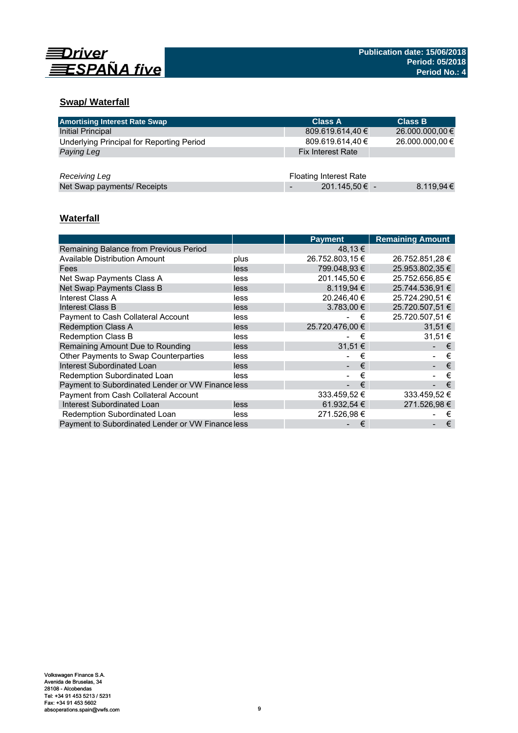

# **Swap/ Waterfall**

| <b>Amortising Interest Rate Swap</b>      | <b>Class A</b>                | <b>Class B</b>  |
|-------------------------------------------|-------------------------------|-----------------|
| Initial Principal                         | 809.619.614,40 €              | 26.000.000,00 € |
| Underlying Principal for Reporting Period | 809.619.614,40 €              | 26.000.000,00 € |
| Paying Leg                                | <b>Fix Interest Rate</b>      |                 |
|                                           |                               |                 |
| Receiving Leg                             | <b>Floating Interest Rate</b> |                 |
| Net Swap payments/ Receipts               | 201.145,50 € -                | 8.119,94€       |

# **Waterfall**

|                                                   |      | <b>Payment</b>  | <b>Remaining Amount</b> |
|---------------------------------------------------|------|-----------------|-------------------------|
| Remaining Balance from Previous Period            |      | 48,13 €         |                         |
| <b>Available Distribution Amount</b>              | plus | 26.752.803,15 € | 26.752.851,28 €         |
| Fees                                              | less | 799.048.93 €    | 25.953.802.35 €         |
| Net Swap Payments Class A                         | less | 201.145.50 €    | 25.752.656.85 €         |
| Net Swap Payments Class B                         | less | 8.119.94 €      | 25.744.536,91 €         |
| Interest Class A                                  | less | 20.246.40 €     | 25.724.290.51 €         |
| Interest Class B                                  | less | $3.783.00 \in$  | 25.720.507,51 €         |
| Payment to Cash Collateral Account                | less | €               | 25.720.507,51 €         |
| <b>Redemption Class A</b>                         | less | 25.720.476.00 € | 31.51 €                 |
| <b>Redemption Class B</b>                         | less | €               | 31.51 €                 |
| Remaining Amount Due to Rounding                  | less | 31.51 €         | €                       |
| Other Payments to Swap Counterparties             | less | €               | €                       |
| <b>Interest Subordinated Loan</b>                 | less | €               | €                       |
| Redemption Subordinated Loan                      | less | €               | €                       |
| Payment to Subordinated Lender or VW Finance less |      | €               | €                       |
| Payment from Cash Collateral Account              |      | 333.459,52 €    | 333.459,52€             |
| Interest Subordinated Loan                        | less | 61.932,54 €     | 271.526,98 €            |
| Redemption Subordinated Loan                      | less | 271.526,98 €    | €                       |
| Payment to Subordinated Lender or VW Finance less |      | €               | €                       |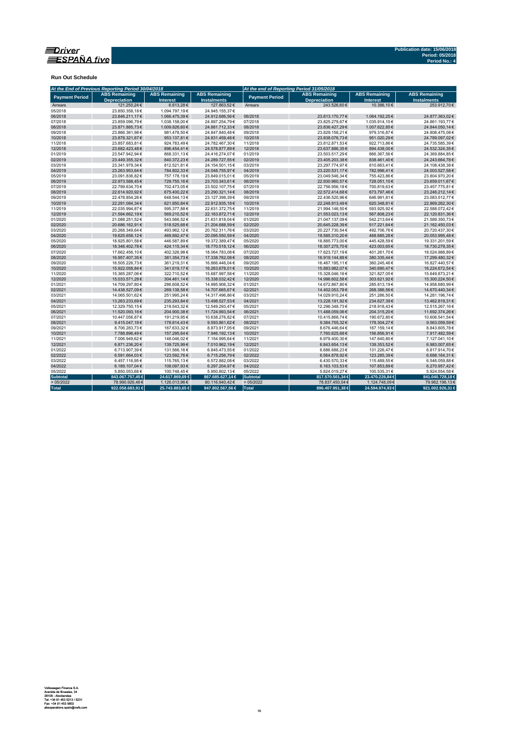

**Run Out Schedule**

|                       | At the End of Previous Reporting Period 30/04/2018 |                                         |                                            | At the end of Reporting Period 31/05/2018 |                                             |                                         |                                            |  |  |
|-----------------------|----------------------------------------------------|-----------------------------------------|--------------------------------------------|-------------------------------------------|---------------------------------------------|-----------------------------------------|--------------------------------------------|--|--|
| <b>Payment Period</b> | <b>ABS Remaining</b><br><b>Depreciation</b>        | <b>ABS Remaining</b><br><b>Interest</b> | <b>ABS Remaining</b><br><b>Instalments</b> | <b>Payment Period</b>                     | <b>ABS Remaining</b><br><b>Depreciation</b> | <b>ABS Remaining</b><br><b>Interest</b> | <b>ABS Remaining</b><br><b>Instalments</b> |  |  |
| Arrears               | 121.250.24 €                                       | 6.613,28€                               | 127.863.52€                                | Arrears                                   | 243.526.60€                                 | 10.386.10€                              | 253.912.70€                                |  |  |
| 05/2018               | 23.850.358.18€                                     | 1.094.797.19€                           | 24.945.155.37€                             |                                           |                                             |                                         |                                            |  |  |
| 06/2018               | 23.846.211,17€                                     | 1.066.475,39€                           | 24.912.686,56€                             | 06/2018                                   | 23.813.170,77€                              | 1.064.192,25€                           | 24.877.363,02€                             |  |  |
| 07/2018               | 23.859.096,79€                                     | 1.038.158,00 €                          | 24.897.254,79€                             | 07/2018                                   | 23.825.279,67€                              | 1.035.914,10€                           | 24.861.193,77€                             |  |  |
| 08/2018               | 23.871.885,73€                                     | 1.009.826,60 €                          | 24.881.712,33€                             | 08/2018                                   | 23.836.427,29€                              | 1.007.622,85€                           | 24.844.050,14€                             |  |  |
| 09/2018               | 23.866.361,98€                                     | 981.478,50€                             | 24.847.840,48€                             | 09/2018                                   | 23.829.158,21€                              | 979.316,87€                             | 24.808.475,08€                             |  |  |
| 10/2018               | 23.878.321.67€                                     | 953.137,81€                             | 24.831.459,48€                             | 10/2018                                   | 23.838.076,73€                              | 951.020,29€                             | 24.789.097,02€                             |  |  |
| 11/2018               | 23.857.683,81€                                     | 924.783,49€                             | 24.782.467,30€                             | 11/2018                                   | 23.812.871,53€                              | 922.713,86€                             | 24.735.585,39€                             |  |  |
| 12/2018               | 23.682.423,48€                                     | 896.454,41€                             | 24.578.877,89€                             | 12/2018                                   | 23.637.886,35€                              | 894.438,00€                             | 24.532.324,35€                             |  |  |
| 01/2019               | 23.547.942,94€                                     | 868.331,13€                             | 24.416.274,07€                             | 01/2019                                   | 23.503.517,29€                              | 866.367,56€                             | 24.369.884,85€                             |  |  |
| 02/2019               | 23.449.355,32€                                     | 840.372,23€                             | 24.289.727,55€                             | 02/2019                                   | 23.405.203,38€                              | 838.461,40€                             | 24.243.664,78€                             |  |  |
| 03/2019               | 23.341.979.34 €                                    | 812.521.81€                             | 24.154.501,15€                             | 03/2019                                   | 23.297.774.97€                              | 810.663.41€                             | 24.108.438,38€                             |  |  |
| 04/2019               | 23.263.953,64€                                     | 784.802,33€                             | 24.048.755,97€                             | 04/2019                                   | 23.220.531,17€                              | 782.996,41€                             | 24.003.527,58€                             |  |  |
| 05/2019               | 23.091.836,82€                                     | 757.178,19€                             | 23.849.015,01€                             | 05/2019                                   | 23.049.546,34€                              | 755.423,86€                             | 23.804.970,20€                             |  |  |
| 06/2019               | 22.973.588.45€                                     | 729.755,16€                             | 23.703.343,61€                             | 06/2019                                   | 22.930.960.57€                              | 728.051,10€                             | 23.659.011,67€                             |  |  |
| 07/2019               | 22.799.634.70€                                     | 702.473,05€                             | 23.502.107,75€                             | 07/2019                                   | 22.756.956,18€                              | 700.819,63€                             | 23.457.775,81€                             |  |  |
| 08/2019               | 22.614.920,92€                                     | 675.400,22€                             | 23.290.321,14€                             | 08/2019                                   | 22.572.414,68€                              | 673.797,46€                             | 23.246.212,14€                             |  |  |
| 09/2019               | 22.478.854.26€                                     | 648.544,13€                             | 23.127.398,39€                             | 09/2019                                   | 22.436.520,96€                              | 646.991,81€                             | 23.083.512.77 €                            |  |  |
| 10/2019               | 22.291.084,34€                                     | 621.850,84€                             | 22.912.935,18€                             | 10/2019                                   | 22.248.913,49€                              | 620.348,81€                             | 22.869.262,30€                             |  |  |
| 11/2019               | 22.035.994.87€                                     | 595.377,88€                             | 22.631.372,75€                             | 11/2019                                   | 21.994.146,50€                              | 593.925,92€                             | 22.588.072,42€                             |  |  |
| 12/2019               | 21.594.662.19€                                     | 569.210.52€                             | 22.163.872,71€                             | 12/2019                                   | 21.553.023,13€                              | 567.808,23€                             | 22.120.831,36€                             |  |  |
| 01/2020               | 21.088.251,52€                                     | 543.566,52€                             | 21.631.818,04€                             | 01/2020                                   | 21.047.137,09€                              | 542.213,64 €                            | 21.589.350,73€                             |  |  |
| 02/2020               | 20.686.162,91€                                     | 518.525,68€                             | 21.204.688,59€                             | 02/2020                                   | 20.645.228,39€                              | 517.221,64€                             | 21.162.450,03€                             |  |  |
| 03/2020               | 20.268.349.64€                                     | 493.962,12€                             | 20.762.311,76€                             | 03/2020                                   | 20.227.730.54€                              | 492.706.76€                             | 20.720.437,30€                             |  |  |
| 04/2020               | 19.625.658,12€                                     | 469.892,47€                             | 20.095.550,59€                             | 04/2020                                   | 19.585.310,20€                              | 468.685,28€                             | 20.053.995,48€                             |  |  |
| 05/2020               | 18.925.801.58€                                     | 446.587.89€                             | 19.372.389,47€                             | 05/2020                                   | 18.885.773.00€                              | 445.428.59€                             | 19.331.201,59€                             |  |  |
| 06/2020               | 18.346.402,78€                                     | 424.115,34€                             | 18.770.518,12€                             | 06/2020                                   | 18.307.275,70€                              | 423.003,65€                             | 18.730.279,35€                             |  |  |
| 07/2020               | 17.662.456,10€                                     | 402.326,98€                             | 18.064.783,08€                             | 07/2020                                   | 17.623.727,19€                              | 401.261,70€                             | 18.024.988,89€                             |  |  |
| 08/2020               | 16.957.407.35€                                     | 381.354,73€                             | 17.338.762,08€                             | 08/2020                                   | 16.919.144,88€                              | 380.335,44 €                            | 17.299.480,32€                             |  |  |
| 09/2020               | 16.505.226.73€                                     | 361.219.31€                             | 16.866.446,04€                             | 09/2020                                   | 16.467.195,11€                              | 360.245.46€                             | 16.827.440,57€                             |  |  |
| 10/2020               | 15.922.058,84€                                     | 341.619,17€                             | 16.263.678,01€                             | 10/2020                                   | 15.883.982,07€                              | 340.690,47€                             | 16.224.672,54€                             |  |  |
| 11/2020               | 15.365.287,06€                                     | 322.710,52€                             | 15.687.997,58€                             | 11/2020                                   | 15.328.046,16€                              | 321.827,05€                             | 15.649.873,21€                             |  |  |
| 12/2020               | 15.033.571,28€                                     | 304.461,14€                             | 15.338.032,42€                             | 12/2020                                   | 14.996.602,58€                              | 303.621,92€                             | 15.300.224,50€                             |  |  |
| 01/2021               | 14.709.297,80€                                     | 286.608,52€                             | 14.995.906,32€                             | 01/2021                                   | 14.672.867,80€                              | 285.813,19€                             | 14.958.680,99€                             |  |  |
| 02/2021               | 14.438.527.09€                                     | 269.138.58€                             | 14.707.665,67€                             | 02/2021                                   | 14.402.053.78€                              | 268.386.56€                             | 14.670.440,34€                             |  |  |
| 03/2021               | 14.065.501,62€                                     | 251.995,24€                             | 14.317.496,86€                             | 03/2021                                   | 14.029.910,24€                              | 251.286,50€                             | 14.281.196,74€                             |  |  |
| 04/2021               | 13.263.233,69€                                     | 235.293,84 €                            | 13.498.527,53€                             | 04/2021                                   | 13.228.191,92€                              | 234.627,39€                             | 13.462.819,31€                             |  |  |
| 05/2021               | 12.329.750,15€                                     | 219.543,32€                             | 12.549.293,47€                             | 05/2021                                   | 12.296.348,73€                              | 218.918,43€                             | 12.515.267,16€                             |  |  |
| 06/2021               | 11.520.093,16€                                     | 204.900,38€                             | 11.724.993,54€                             | 06/2021                                   | 11.488.059,06€                              | 204.315,20€                             | 11.692.374,26€                             |  |  |
| 07/2021               | 10.447.056.87€                                     | 191.219.95€                             | 10.638.276.82€                             | 07/2021                                   | 10.415.868.74€                              | 190.672.80€                             | 10.606.541.54€                             |  |  |
| 08/2021               | 9.415.047,19€                                      | 178.814,43€                             | 9.593.861,62€                              | 08/2021                                   | 9.384.755,32€                               | 178.304,27€                             | 9.563.059,59€                              |  |  |
| 09/2021               | 8.706.283,73€                                      | 167.633,32€                             | 8.873.917,05€                              | 09/2021                                   | 8.676.446,64€                               | 167.159,14€                             | 8.843.605,78€                              |  |  |
| 10/2021               | 7.788.896,49€                                      | 157.295,64€                             | 7.946.192,13€                              | 10/2021                                   | 7.760.625,68€                               | 156.856,91€                             | 7.917.482,59€                              |  |  |
| 11/2021               | 7.006.949,62€                                      | 148.046,02€                             | 7.154.995,64 €                             | 11/2021                                   | 6.979.400,30€                               | 147.640,80€                             | 7.127.041,10€                              |  |  |
| 12/2021               | 6.871.236,20€                                      | 139.725,99€                             | 7.010.962,19€                              | 12/2021                                   | 6.843.654,13€                               | 139.353,52€                             | 6.983.007,65€                              |  |  |
| 01/2022               | 6.713.907,39€                                      | 131.566,16€                             | 6.845.473,55€                              | 01/2022                                   | 6.686.688,23€                               | 131.226,47€                             | 6.817.914,70€                              |  |  |
| 02/2022               | 6.591.664,03€                                      | 123.592,76€                             | 6.715.256,79€                              | 02/2022                                   | 6.564.878,92€                               | 123.285,39€                             | 6.688.164,31€                              |  |  |
| 03/2022               | 6.457.116,95€                                      | 115.765,13€                             | 6.572.882,08€                              | 03/2022                                   | 6.430.570,33€                               | 115.489,55€                             | 6.546.059,88€                              |  |  |
| 04/2022               | 6.189.107.04€                                      | 108.097.93€                             | 6.297.204.97€                              | 04/2022                                   | 6.163.103.53€                               | 107.853.89€                             | 6.270.957.42€                              |  |  |
| 05/2022               | 5.850.053,68€                                      | 100.748,45€                             | 5.950.802,13€                              | 05/2022                                   | 5.824.019,27€                               | 100.535,31€                             | 5.924.554,58€                              |  |  |
| <b>Subtotal</b>       | 843.067.757,45€                                    | 24.617.869,69€                          | 867.685.627,14 €                           | <b>Subtotal</b>                           | 817.570.501,34 €                            | 23.470.226,84 €                         | 841.040.728,18€                            |  |  |
| >05/2022              | 78.990.926,46€                                     | 1.126.013,96€                           | 80.116.940,42€                             | >05/2022                                  | 78.837.450,04€                              | 1.124.748,09€                           | 79.962.198,13€                             |  |  |
| <b>Total</b>          | 922.058.683,91 €                                   | 25.743.883,65 €                         | 947.802.567,56 €                           | Total                                     | 896.407.951,38 €                            | 24.594.974,93€                          | 921.002.926,31 €                           |  |  |
|                       |                                                    |                                         |                                            |                                           |                                             |                                         |                                            |  |  |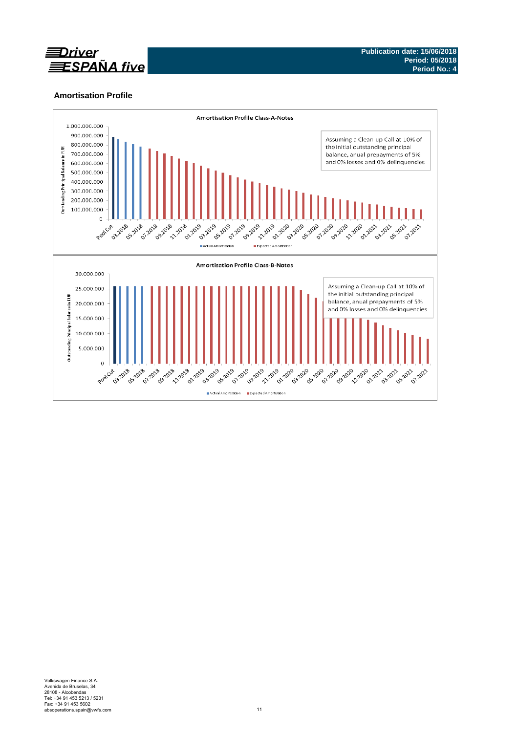

## **Amortisation Profile**

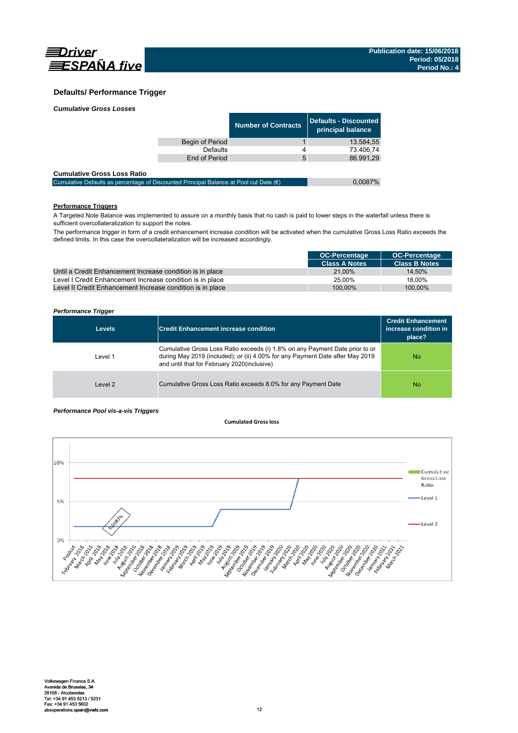

## **Defaults/ Performance Trigger**

|                 | <b>Number of Contracts</b> | Defaults - Discounted<br>principal balance |
|-----------------|----------------------------|--------------------------------------------|
| Begin of Period |                            | 13.584.55                                  |
| Defaults        |                            | 73.406,74                                  |
| End of Period   | 5                          | 86.991.29                                  |
|                 |                            |                                            |

### **Cumulative Gross Loss Ratio**

| -------------------------------                                                                 |         |
|-------------------------------------------------------------------------------------------------|---------|
| Cumulative Defaults as percentage of Discounted Principal Balance at Pool cut Date $(\epsilon)$ | 0.0087% |
|                                                                                                 |         |

## **Performance Triggers**

A Targeted Note Balance was implemented to assure on a monthly basis that no cash is paid to lower steps in the waterfall unless there is sufficient overcollateralization to support the notes.

The performance trigger in form of a credit enhancement increase condition will be activated when the cumulative Gross Loss Ratio exceeds the defined limits. In this case the overcollateralization will be increased accordingly.

|                                                            | <b>OC-Percentage</b> | <b>OC-Percentage</b> |
|------------------------------------------------------------|----------------------|----------------------|
|                                                            | <b>Class A Notes</b> | <b>Class B Notes</b> |
| Until a Credit Enhancement Increase condition is in place  | 21.00%               | 14.50%               |
| Level I Credit Enhancement Increase condition is in place  | 25.00%               | 18.00%               |
| Level II Credit Enhancement Increase condition is in place | 100.00%              | 100.00%              |

### *Performance Trigger*

| <b>Levels</b> | <b>Credit Enhancement increase condition</b>                                                                                                                                                                 | <b>Credit Enhancement</b><br>increase condition in<br>place? |
|---------------|--------------------------------------------------------------------------------------------------------------------------------------------------------------------------------------------------------------|--------------------------------------------------------------|
| Level 1       | Cumulative Gross Loss Ratio exceeds (i) 1.8% on any Payment Date prior to or<br>during May 2019 (included); or (ii) 4.00% for any Payment Date after May 2019<br>and until that for February 2020(inclusive) | No.                                                          |
| Level 2       | Cumulative Gross Loss Ratio exceeds 8.0% for any Payment Date                                                                                                                                                | No.                                                          |

### *Performance Pool vis-a-vis Triggers*

### **Cumulated Grossloss**

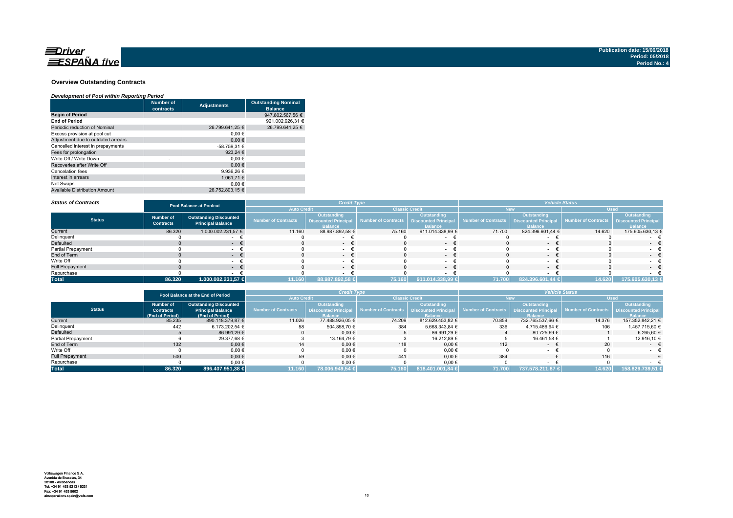

### **Overview Outstanding Contracts**

### *Development of Pool within Reporting Period*

|                                      | <b>Number of</b><br>contracts | <b>Adjustments</b> | <b>Outstanding Nominal</b><br><b>Balance</b> |
|--------------------------------------|-------------------------------|--------------------|----------------------------------------------|
| <b>Begin of Period</b>               |                               |                    | 947.802.567.56 €                             |
| <b>End of Period</b>                 |                               |                    | 921.002.926.31 €                             |
| Periodic reduction of Nominal        |                               | 26.799.641.25 €    | 26.799.641.25 €                              |
| Excess provision at pool cut         |                               | 0.00€              |                                              |
| Adjustment due to outdated arrears   |                               | 0.00€              |                                              |
| Cancelled interest in prepayments    |                               | -58.759,31 €       |                                              |
| Fees for prolongation                |                               | 923.24 €           |                                              |
| Write Off / Write Down               | ٠                             | 0.00€              |                                              |
| Recoveries after Write Off           |                               | 0.00€              |                                              |
| Cancelation fees                     |                               | 9.936.26 €         |                                              |
| Interest in arrears                  |                               | 1.061.71 €         |                                              |
| Net Swaps                            |                               | 0.00€              |                                              |
| <b>Available Distribution Amount</b> |                               | 26.752.803.15 €    |                                              |

#### *Status of Contracts*

| <b>Status of Contracts</b> | <b>Pool Balance at Poolcut</b>       |                                                           |                            | <b>Credit Type</b>                                                  |                       |                                                                    | <b>Vehicle Status</b>                      |                               |                                          |                               |
|----------------------------|--------------------------------------|-----------------------------------------------------------|----------------------------|---------------------------------------------------------------------|-----------------------|--------------------------------------------------------------------|--------------------------------------------|-------------------------------|------------------------------------------|-------------------------------|
|                            |                                      |                                                           | <b>Auto Credit</b>         |                                                                     | <b>Classic Credit</b> |                                                                    | lew                                        |                               | <b>Used</b>                              |                               |
| <b>Status</b>              | <b>Number of</b><br><b>Contracts</b> | <b>Outstanding Discounted</b><br><b>Principal Balance</b> | <b>Number of Contracts</b> | <b>Outstanding</b><br><b>Discounted Principal</b><br><b>Balance</b> | Number of Contracts   | <b>Outstanding</b><br><b>Discounted Principa</b><br><b>Balance</b> | Number of Contracts   Discounted Principal | Outstanding<br><b>Ralance</b> | Number of Contracts Discounted Principal | Outstanding<br><b>Balance</b> |
| Current                    | 86.320                               | 1.000.002.231,57 €                                        | 11.160                     | 88.987.892,58 €                                                     | 75.160                | 911.014.338,99 €                                                   | 71.700                                     | 824.396.601,44 €              | 14.620                                   | 175.605.630,13 €              |
| Delinquent                 |                                      |                                                           |                            |                                                                     |                       |                                                                    |                                            |                               |                                          |                               |
| Defaulted                  |                                      | . .                                                       |                            | $\sim$                                                              |                       | $\sim$                                                             |                                            |                               |                                          | $-$                           |
| Partial Prepayment         |                                      |                                                           |                            |                                                                     |                       |                                                                    |                                            |                               |                                          |                               |
| End of Term                |                                      |                                                           |                            | $-$                                                                 |                       | $\sim$                                                             |                                            | $\sim$                        |                                          | $\sim$ $\sim$                 |
| Write Off                  |                                      |                                                           |                            | $\sim$                                                              |                       |                                                                    |                                            |                               |                                          | $ -$                          |
| <b>Full Prepayment</b>     |                                      | . .                                                       |                            | $ \pm$                                                              |                       | $\sim$                                                             |                                            | . .                           |                                          | $\sim$                        |
| Repurchase                 |                                      |                                                           |                            |                                                                     |                       |                                                                    |                                            |                               |                                          |                               |
| <b>Total</b>               | 86.320                               | 1.000.002.231,57 €                                        | 11.160                     | 88.987.892,58 €                                                     | 75.160                | 911.014.338,99 €                                                   | 71.700                                     | 824.396.601,44 €              | 14.620                                   | 175.605.630,13 €              |

|                        | Pool Balance at the End of Period |                               | <b>Credit Type</b>  |                             |                                            |                  | <b>Vehicle Status</b> |                    |                                                 |                             |
|------------------------|-----------------------------------|-------------------------------|---------------------|-----------------------------|--------------------------------------------|------------------|-----------------------|--------------------|-------------------------------------------------|-----------------------------|
|                        |                                   |                               | <b>Auto Credit</b>  |                             | <b>Classic Credit</b>                      |                  | New                   |                    | <b>Used</b>                                     |                             |
|                        | <b>Number of</b>                  | <b>Outstanding Discounted</b> |                     | <b>Outstanding</b>          |                                            | Outstanding      |                       | <b>Outstanding</b> |                                                 | Outstanding                 |
| <b>Status</b>          | <b>Contracts</b>                  | <b>Principal Balance</b>      | Number of Contracts | <b>Discounted Principal</b> | Number of Contracts   Discounted Principal |                  | Number of Contracts   |                    | <b>Discounted Principal Number of Contracts</b> | <b>Discounted Principal</b> |
|                        | (End of Period)                   | (End of Period)               |                     | <b>Balance</b>              |                                            | <b>Balance</b>   |                       | <b>Ralance</b>     |                                                 | <b>Balance</b>              |
| Current                | 85.235                            | 890.118.379,87 €              | 11.026              | 77.488.926.05 €             | 74.209                                     | 812.629.453.82 € | 70.859                | 732.765.537.66 €   | 14.376                                          | 157.352.842.21 €            |
| Delinquent             | 442                               | 6.173.202.54 €                | 58                  | 504.858.70 €                | 384                                        | 5.668.343.84 €   | 336                   | 4.715.486.94 €     | 106                                             | 1.457.715.60 €              |
| Defaulted              |                                   | 86.991.29 €                   |                     | $0.00 \in$                  |                                            | 86.991.29 €      |                       | 80.725.69 €        |                                                 | 6.265.60 €                  |
| Partial Prepayment     |                                   | 29.377.68 €                   |                     | 13.164.79 €                 |                                            | 16.212,89 €      |                       | 16.461.58 €        |                                                 | 12.916,10 €                 |
| End of Term            | 132                               | $0,00 \in$                    | 14                  | $0.00 \in$                  | 118                                        | $0,00 \in$       | 112                   | $\sim$             | 20                                              | $ \epsilon$                 |
| Write Off              |                                   | $0.00 \in$                    |                     | $0,00 \in$                  |                                            | 0,00€            |                       |                    |                                                 |                             |
| <b>Full Prepayment</b> | 500                               | $0.00 \in$                    | 59                  | $0.00 \in$                  | 441                                        | $0.00 \in$       | 384                   | $\sim$             | 116                                             | $ \epsilon$                 |
| Repurchase             |                                   | 0,00€                         |                     | 0,00€                       |                                            | $0,00 \in$       |                       |                    |                                                 |                             |
| <b>Total</b>           | 86.320                            | 896.407.951.38 €              | 11.160              | 78.006.949,54 €             | 75.160                                     | 818.401.001.84 € | 71.700                | 737.578.211,87 €   | 14.620                                          | 158.829.739.51 €            |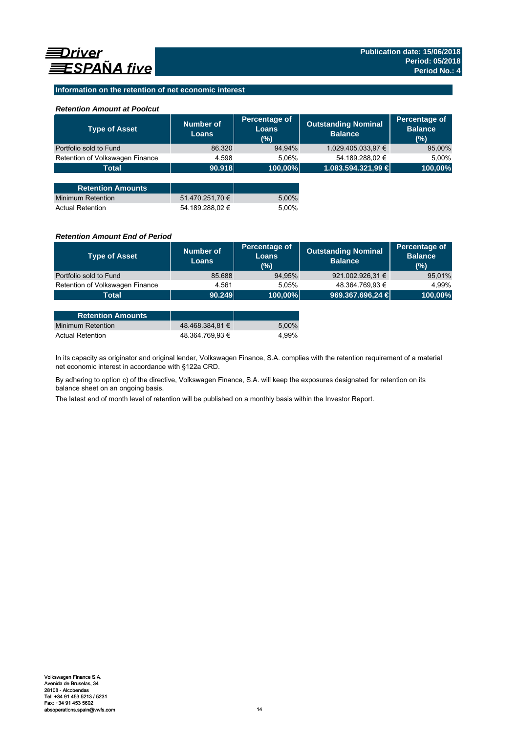## **Information on the retention of net economic interest**

## *Retention Amount at Poolcut*

| <b>Type of Asset</b>            | Number of<br><b>Loans</b> | Percentage of<br><b>Loans</b><br>(%) | <b>Outstanding Nominal</b><br><b>Balance</b> | Percentage of<br><b>Balance</b><br>(%) |
|---------------------------------|---------------------------|--------------------------------------|----------------------------------------------|----------------------------------------|
| Portfolio sold to Fund          | 86.320                    | 94,94%                               | 1.029.405.033,97 €                           | 95,00%                                 |
| Retention of Volkswagen Finance | 4.598                     | 5.06%                                | 54.189.288,02 €                              | 5,00%                                  |
| <b>Total</b>                    | 90.918                    | 100,00%                              | 1.083.594.321,99 €                           | 100,00%                                |
|                                 |                           |                                      |                                              |                                        |
| <b>Retention Amounts</b>        |                           |                                      |                                              |                                        |
| <b>Minimum Retention</b>        | 51.470.251,70 €           | 5,00%                                |                                              |                                        |
| <b>Actual Retention</b>         | 54.189.288.02 €           | 5.00%                                |                                              |                                        |

## *Retention Amount End of Period*

| <b>Type of Asset</b>            | <b>Number of</b><br><b>Loans</b> | Percentage of<br>Loans<br>$(\%)$ | <b>Outstanding Nominal</b><br><b>Balance</b> | Percentage of<br><b>Balance</b><br>(%) |
|---------------------------------|----------------------------------|----------------------------------|----------------------------------------------|----------------------------------------|
| Portfolio sold to Fund          | 85.688                           | 94.95%                           | 921.002.926,31 €                             | 95,01%                                 |
| Retention of Volkswagen Finance | 4.561                            | 5.05%                            | 48.364.769,93 €                              | 4.99%                                  |
| <b>Total</b>                    | 90.249                           | 100,00%                          | 969.367.696,24 €                             | 100,00%                                |
|                                 |                                  |                                  |                                              |                                        |

| <b>Retention Amounts</b> |                 |       |
|--------------------------|-----------------|-------|
| Minimum Retention        | 48.468.384.81 € | 5.00% |
| <b>Actual Retention</b>  | 48.364.769.93 € | 4.99% |

In its capacity as originator and original lender, Volkswagen Finance, S.A. complies with the retention requirement of a material net economic interest in accordance with §122a CRD.

By adhering to option c) of the directive, Volkswagen Finance, S.A. will keep the exposures designated for retention on its balance sheet on an ongoing basis.

The latest end of month level of retention will be published on a monthly basis within the Investor Report.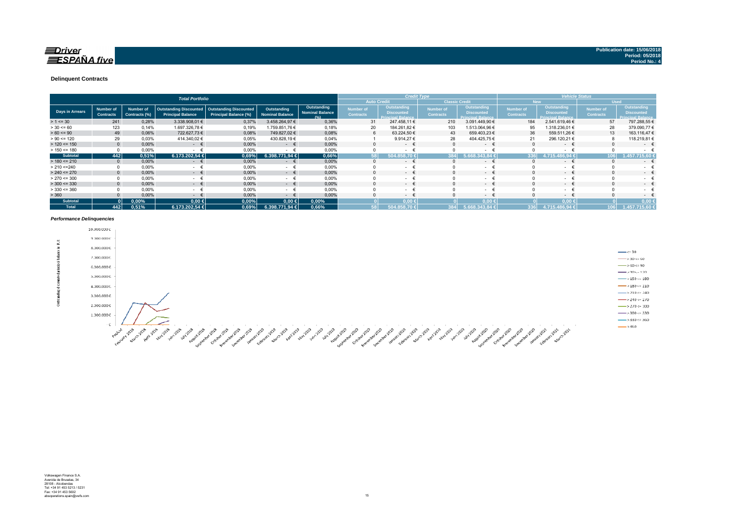#### **Delinquent Contracts**

|                 |                                      |                            | <b>Total Portfolio</b>                             |                                                        |                                       | <b>Credit Type</b>                                       |                               |                                                              |                                      |                                                      |                                      | <b>Vehicle Status</b>                                               |                                      |                                                              |
|-----------------|--------------------------------------|----------------------------|----------------------------------------------------|--------------------------------------------------------|---------------------------------------|----------------------------------------------------------|-------------------------------|--------------------------------------------------------------|--------------------------------------|------------------------------------------------------|--------------------------------------|---------------------------------------------------------------------|--------------------------------------|--------------------------------------------------------------|
|                 |                                      |                            |                                                    |                                                        |                                       |                                                          | <b>Auto Credit</b>            |                                                              |                                      | <b>Classic Credit</b>                                |                                      | <b>New</b>                                                          |                                      | <b>Used</b>                                                  |
| Days in Arrears | <b>Number of</b><br><b>Contracts</b> | Number of<br>Contracts (%) | Outstanding Discounted<br><b>Principal Balance</b> | <b>Outstanding Discounted</b><br>Principal Balance (%) | Outstanding<br><b>Nominal Balance</b> | Outstanding<br><b>Nominal Balance</b><br>19 <sub>4</sub> | Number of<br><b>Contracts</b> | Outstanding<br><b>Discounted</b><br><b>Principal Balance</b> | <b>Number of</b><br><b>Contracts</b> | Outstanding<br><b>Discounted</b><br>rincipal Balance | <b>Number</b> of<br><b>Contracts</b> | <b>Outstanding</b><br><b>Discounted</b><br><b>Principal Balance</b> | <b>Number of</b><br><b>Contracts</b> | Outstanding<br><b>Discounted</b><br><b>Principal Balance</b> |
| $> 1 \le 30$    | 241                                  | 0,28%                      | 3.338.908,01 €                                     | 0,37%                                                  | 3.458.264,97 €                        | 0,36%                                                    | 31                            | 247.458,11 €                                                 | 210                                  | 3.091.449,90 €                                       | 184                                  | 2.541.619,46 €                                                      | 57                                   | 797.288,55 €                                                 |
| $> 30 \le 60$   | 123                                  | 0,14%                      | 1.697.326,78 €                                     | 0,19%                                                  | 1.759.851,76 €                        | 0,18%                                                    | 20                            | 184.261,82 €                                                 | 103                                  | .513.064,96 €                                        | 95                                   | 1.318.236,01 €                                                      | 28                                   | 379.090,77 €                                                 |
| $> 60 \le 90$   | 49                                   | 0,06%                      | 722.627,73 €                                       | 0,08%                                                  | 749.827,02 €                          | 0,08%                                                    | 6                             | 63.224,50 €                                                  | 43                                   | 659.403,23 €                                         | 36                                   | 559.511,26 €                                                        | 13                                   | 163.116,47 €                                                 |
| $> 90 \le 120$  | 29                                   | 0.03%                      | 414.340,02 €                                       | 0,05%                                                  | 430.828,19 €                          | 0,04%                                                    |                               | 9.914,27 €                                                   | 28                                   | 404.425,75 €                                         | 21                                   | 296.120,21 €                                                        |                                      | 118.219,81 €                                                 |
| $> 120 \le 150$ | $\Omega$                             | 0,00%                      | $ \epsilon$                                        | 0,00%                                                  | $ \epsilon$                           | 0,00%                                                    |                               | $ \epsilon$                                                  |                                      | $ \epsilon$                                          |                                      | $ \epsilon$                                                         | $\Omega$                             | $\sim$                                                       |
| $> 150 \le 180$ |                                      | 0,00%                      | $\sim$                                             | 0,00%                                                  | $\overline{\phantom{a}}$              | 0,00%                                                    |                               | $\sim$                                                       |                                      | $\sim$                                               |                                      | - +                                                                 | $\Omega$                             | $\sim$                                                       |
| <b>Subtotal</b> | 442                                  | 0.51%                      | 6.173.202.54 €                                     | 0.69%                                                  | 6.398.771.94 €                        | 0,66%                                                    | 58                            | 5043<br>58.70                                                |                                      | 13.84:                                               | 336                                  | 6.94 €                                                              | 106                                  | 715.60                                                       |
| $> 180 \le 210$ |                                      | 0,00%                      | €<br>$\sim$ 100 $\mu$                              | 0,00%                                                  | €<br>$\sim$                           | 0,00%                                                    |                               | $\sim$                                                       |                                      | $\mathcal{L}_{\text{max}}$                           |                                      | $ \epsilon$                                                         | $\Omega$                             | $\sim$                                                       |
| > 210 < 240     |                                      | 0,00%                      | <b>Service</b>                                     | 0,00%                                                  | $\sim$                                | 0,00%                                                    |                               | $\sim$ $-$                                                   |                                      | $\sim$                                               |                                      | $\sim$                                                              |                                      | ٠                                                            |
| $> 240 \le 270$ |                                      | 0,00%                      | $ \epsilon$                                        | 0,00%                                                  | €<br>$\sim$                           | 0,00%                                                    |                               | $\sim$ 100 $\mu$                                             |                                      | $ \epsilon$                                          |                                      | $ \epsilon$                                                         | $\Omega$                             | $\sim$                                                       |
| $> 270 \le 300$ |                                      | 0,00%                      | $\sim$                                             | 0,00%                                                  | $\sim$                                | 0,00%                                                    |                               | $\sim$                                                       |                                      | $\sim$                                               |                                      | $\sim$                                                              |                                      | $\sim$                                                       |
| $>$ 300 <= 330  | $\Omega$                             | 0,00%                      | $ \epsilon$                                        | 0,00%                                                  | $ \epsilon$                           | 0.00%                                                    |                               | $\sim$ 100 $\mu$                                             |                                      | $ \epsilon$                                          |                                      | $ \epsilon$                                                         | $\Omega$                             | $\sim$                                                       |
| $> 330 \le 360$ | $\Omega$                             | 0,00%                      | $\sim$                                             | 0,00%                                                  | - €                                   | 0,00%                                                    |                               | $\sim$ 10 $\pm$                                              |                                      | $\sim 100$                                           |                                      | $ \epsilon$                                                         |                                      | $\sim$                                                       |
| > 360           |                                      | 0,00%                      | $\sim$ 100 $\mu$                                   | 0,00%                                                  | $\sim$                                | 0,00%                                                    |                               | $\sim$ 100 $\mu$                                             |                                      | $-1$                                                 |                                      | $ \epsilon$                                                         |                                      | $\sim$                                                       |
| <b>Subtotal</b> |                                      | 0,00%                      | $0,00$ €                                           | 0,00%                                                  | $0,00$ ∈                              | 0,00%                                                    |                               | $0.00 \leftarrow$                                            |                                      | $0.00*$                                              |                                      | $0.00*$                                                             |                                      | 0.00                                                         |
| <b>Total</b>    | 442                                  | 0,51%                      | 6.173.202.54 €                                     | 0,69%                                                  | 6.398.771.94 €                        | 0,66%                                                    |                               | 504.858.70 €                                                 |                                      | 5.668.343.84 €                                       | 336                                  | 4.715.486.94 €                                                      | 106                                  | 1.457.715.60 €                                               |

#### *Performance Delinquencies*

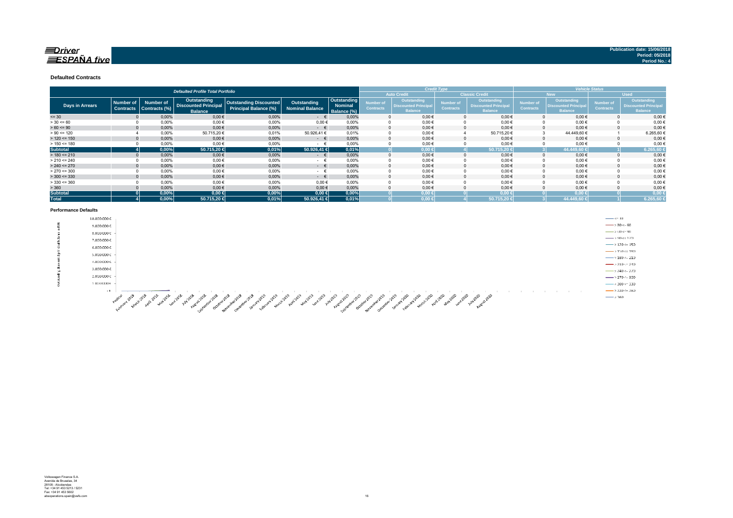### $\equiv$ Driver  $\equiv$ SPAÑA five

#### **Defaulted Contracts**

|                        |                                      |                                   | <b>Defaulted Profile Total Portfolio</b>                            |                                                        |                                |                                              |                               |                                                              | <b>Credit Type</b>            |                                                              |                               |                                                                    | <b>Vehicle Status</b>                | <b>Used</b><br>Outstanding<br><b>Discounted Principa</b><br><b>Balance</b><br>$0,00 \in$ |  |  |
|------------------------|--------------------------------------|-----------------------------------|---------------------------------------------------------------------|--------------------------------------------------------|--------------------------------|----------------------------------------------|-------------------------------|--------------------------------------------------------------|-------------------------------|--------------------------------------------------------------|-------------------------------|--------------------------------------------------------------------|--------------------------------------|------------------------------------------------------------------------------------------|--|--|
|                        |                                      |                                   |                                                                     |                                                        |                                |                                              |                               | <b>Auto Credit</b>                                           |                               | <b>Classic Credit</b>                                        |                               | <b>New</b>                                                         |                                      |                                                                                          |  |  |
| <b>Days in Arrears</b> | <b>Number of</b><br><b>Contracts</b> | <b>Number of</b><br>Contracts (%) | <b>Outstanding</b><br><b>Discounted Principal</b><br><b>Balance</b> | Outstanding Discounted<br><b>Principal Balance (%)</b> | Outstanding<br>Nominal Balance | Outstanding<br><b>Nominal</b><br>Balance (%) | Number of<br><b>Contracts</b> | Outstanding<br><b>Discounted Principal</b><br><b>Balance</b> | Number of<br><b>Contracts</b> | Outstanding<br><b>Discounted Principal</b><br><b>Balance</b> | Number of<br><b>Contracts</b> | <b>Outstanding</b><br><b>Discounted Principa</b><br><b>Balance</b> | <b>Number of</b><br><b>Contracts</b> |                                                                                          |  |  |
| $= 30$                 |                                      | 0,00%                             | $0,00 \in$                                                          | 0,00%                                                  | $ \epsilon$                    | 0,00%                                        |                               | $0,00 \in$                                                   |                               | $0.00 \in$                                                   |                               | $0,00 \in$                                                         |                                      | 0,00€                                                                                    |  |  |
| $> 30 \le 60$          |                                      | 0,00%                             | 0,00€                                                               | 0,00%                                                  | $0,00 \in$                     | 0.00%                                        |                               | $0,00 \in$                                                   |                               | $0.00 \in$                                                   |                               | $0.00 \in$                                                         |                                      |                                                                                          |  |  |
| $> 60 \le 90$          |                                      | 0,00%                             | $0,00$ €                                                            | 0,00%                                                  | $ \in$                         | 0,00%                                        |                               | $0,00 \in$                                                   |                               | $0,00 \in$                                                   |                               | $0,00 \in$                                                         |                                      | 0,00€                                                                                    |  |  |
| $> 90 \le 120$         |                                      | 0,00%                             | 50.715,20 €                                                         | 0.01%                                                  | 50.926,41 €                    | 0.01%                                        |                               | $0,00 \in$                                                   |                               | 50.715,20€                                                   |                               | 44.449.60 €                                                        |                                      | 6.265,60 €                                                                               |  |  |
| $> 120 \le 150$        |                                      | 0.00%                             | $0,00$ €                                                            | 0.00%                                                  | $ \epsilon$                    | 0.00%                                        |                               | $0,00 \in$                                                   |                               | $0.00 \in$                                                   |                               | $0.00 \in$                                                         |                                      | 0,00€                                                                                    |  |  |
| $> 150 \le 180$        |                                      | 0.00%                             | $0.00 \in$                                                          | 0.00%                                                  | $ \pm$                         | 0.00%                                        |                               | $0,00 \in$                                                   |                               | $0,00 \in$                                                   |                               | $0,00 \in$                                                         |                                      | $0,00$ €                                                                                 |  |  |
| <b>Subtotal</b>        |                                      | 0,00%                             | 50.715,20 €                                                         | 0,01%                                                  | 50.926,41 €                    | 0,01%                                        |                               | $0.00 \in$                                                   |                               | 50.715.20 €                                                  |                               | 44.449,60                                                          |                                      | 6.265,60                                                                                 |  |  |
| $> 180 \le 210$        |                                      | 0,00%                             | $0,00$ €                                                            | 0,00%                                                  | $ \epsilon$                    | 0.00%                                        |                               | $0,00 \in$                                                   |                               | $0.00 \in$                                                   |                               | $0,00 \in$                                                         |                                      | 0,00€                                                                                    |  |  |
| $> 210 \le 240$        |                                      | 0,00%                             | $0,00$ €                                                            | 0,00%                                                  | $ \pm$                         | 0,00%                                        |                               | 0,00€                                                        |                               | $0,00 \in$                                                   |                               | $0,00 \in$                                                         |                                      | 0,00€                                                                                    |  |  |
| $> 240 \le 270$        |                                      | 0,00%                             | $0,00$ €                                                            | 0,00%                                                  | $ \epsilon$                    | 0.00%                                        |                               | $0,00 \in$                                                   |                               | $0,00 \in$                                                   |                               | $0,00 \in$                                                         |                                      | $0,00 \in$                                                                               |  |  |
| $> 270 \le 300$        |                                      | 0,00%                             | $0,00$ €                                                            | 0,00%                                                  | $ \epsilon$                    | 0.00%                                        |                               | $0,00 \in$                                                   |                               | $0,00 \in$                                                   |                               | $0.00 \in$                                                         |                                      | $0,00 \in$                                                                               |  |  |
| $>$ 300 <= 330         |                                      | 0,00%                             | $0,00$ €                                                            | 0,00%                                                  | $ \epsilon$                    | 0.00%                                        |                               | $0,00 \in$                                                   |                               | $0.00 \in$                                                   |                               | $0,00 \in$                                                         |                                      | $0,00 \in$                                                                               |  |  |
| $>$ 330 <= 360         |                                      | 0,00%                             | $0,00$ €                                                            | 0.00%                                                  | 0.00€                          | 0.00%                                        |                               | $0,00 \in$                                                   |                               | $0.00 \in$                                                   |                               | $0.00 \in$                                                         |                                      | $0,00 \in$                                                                               |  |  |
| > 360                  |                                      | 0,00%                             | $0,00$ €                                                            | 0,00%                                                  | $0,00 \in$                     | 0,00%                                        |                               | $0,00 \in$                                                   |                               | $0,00 \in$                                                   |                               | $0,00 \in$                                                         |                                      | $0,00 \in$                                                                               |  |  |
| <b>Subtotal</b>        |                                      | 0,00%                             | $0,00 \in$                                                          | 0,00%                                                  | $0,00 \in$                     | 0,00%                                        |                               | $0,00 \in$                                                   |                               | $0.00 \in$                                                   |                               | $0,00 \in$                                                         |                                      | 0,00                                                                                     |  |  |
| <b>Total</b>           |                                      | 0,00%                             | 50.715,20 €                                                         | 0,01%                                                  | 50.926,41 €                    | 0.01%                                        |                               | $0,00 \in$                                                   |                               | 50.715,20 €                                                  |                               | 44.449,60 €                                                        |                                      | 6.265,60                                                                                 |  |  |

#### **Performance Defaults**

|   | 10.000.000€                                                                                                                                                                                                                                                                                                         | $\leftarrow$ <= 30                   |
|---|---------------------------------------------------------------------------------------------------------------------------------------------------------------------------------------------------------------------------------------------------------------------------------------------------------------------|--------------------------------------|
| 줖 | 9.000.000€                                                                                                                                                                                                                                                                                                          | $\longrightarrow$ > 30 $\sim$ 60     |
|   | 8.000.000€                                                                                                                                                                                                                                                                                                          | $\rightarrow 60 \div 90$             |
|   | 7.000.000€                                                                                                                                                                                                                                                                                                          | $-$ > 90 < 120                       |
|   | 6.000.000€                                                                                                                                                                                                                                                                                                          | $\longrightarrow$ 120 <= 150         |
|   |                                                                                                                                                                                                                                                                                                                     | $\frac{1}{2}$ > 150 <= 180           |
|   | 5.000.000€                                                                                                                                                                                                                                                                                                          | $-3180 - 210$                        |
|   | 4.000.000 €                                                                                                                                                                                                                                                                                                         | $\longrightarrow 210 \le 240$        |
|   | 3.000.000€                                                                                                                                                                                                                                                                                                          | $\longrightarrow 240 \Leftarrow 270$ |
|   | 2.000.000 €                                                                                                                                                                                                                                                                                                         | $---270 = 300$                       |
|   | $1.000.000\,\mathrm{C}$                                                                                                                                                                                                                                                                                             | $\longrightarrow 300 \leftarrow 330$ |
|   | $ \epsilon$<br><b>COLLA</b>                                                                                                                                                                                                                                                                                         | $\longrightarrow$ 330 <= 360         |
|   | $\mathbb{R}^{\mathbb{Z}^2}$<br>$-6^{\circ}$<br>್ಲಿ<br>-610<br>- 38<br>$\circ^{\circ}$<br>∡ಿ<br>ని<br>ే<br>∽<br>- 83<br>ಿ<br>್ಲಿಸ್<br>$-6^{15}$<br>ూరి యి యి యి<br>್<br>×°<br>ే<br>-63<br>- 40<br>- € 20<br>చి<br>- 632<br>ూ<br>- 65<br>.್"<br>$\mathcal{S}^{\mathcal{P}}$<br>$\mathcal{A}^{\mathcal{D}}$<br>- 1980) | $\longrightarrow 360$                |

A SOUTH AND SOUTH AND SOUTH AND SOUTH AND SOUTH AND SOUTH AND SOUTH AND SOUTH AND SOUTH AND SOUTH AND SOUTH AND SOUTH AND SOUTH AND SOUTH AND SOUTH AND SOUTH AND SOUTH AND SOUTH AND SOUTH AND SOUTH AND SOUTH AND SOUTH AND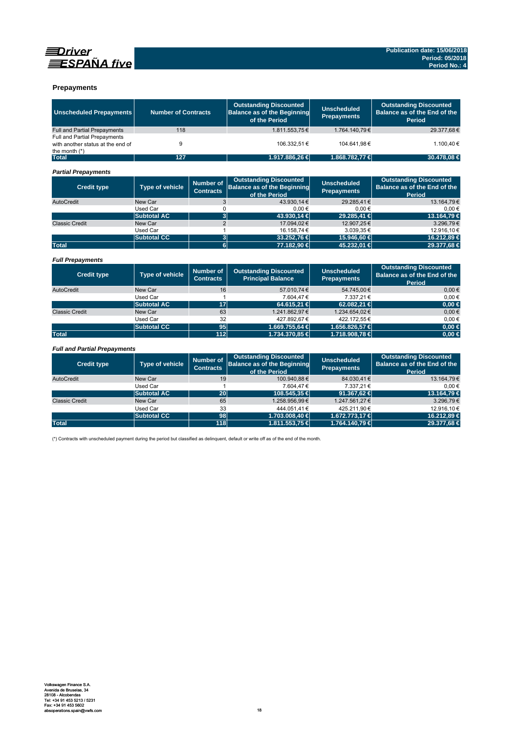



### **Prepayments**

| <b>Unscheduled Prepayments</b>                                                       | <b>Number of Contracts</b><br>118 |                                      | <b>Outstanding Discounted</b><br><b>Balance as of the Beginning</b><br>of the Period | <b>Unscheduled</b><br><b>Prepayments</b> | <b>Outstanding Discounted</b><br>Balance as of the End of the<br>Period        |
|--------------------------------------------------------------------------------------|-----------------------------------|--------------------------------------|--------------------------------------------------------------------------------------|------------------------------------------|--------------------------------------------------------------------------------|
| <b>Full and Partial Prepayments</b>                                                  |                                   |                                      | 1.811.553,75€                                                                        | 1.764.140,79€                            | 29.377,68€                                                                     |
| Full and Partial Prepayments<br>with another status at the end of<br>the month $(*)$ | 9                                 |                                      | 106.332.51 €                                                                         | 104.641.98€                              | 1.100.40 €                                                                     |
| <b>Total</b>                                                                         | 127                               |                                      | 1.917.886,26 €                                                                       | 1.868.782,77 €                           | 30.478,08 €                                                                    |
| <b>Partial Prepayments</b>                                                           |                                   |                                      |                                                                                      |                                          |                                                                                |
| <b>Credit type</b>                                                                   | <b>Type of vehicle</b>            | <b>Number of</b><br><b>Contracts</b> | <b>Outstanding Discounted</b><br><b>Balance as of the Beginning</b><br>of the Period | <b>Unscheduled</b><br><b>Prepayments</b> | <b>Outstanding Discounted</b><br>Balance as of the End of the<br>Period        |
| AutoCredit                                                                           | New Car                           | 3                                    | 43.930.14 €                                                                          | 29.285.41€                               | 13.164.79€                                                                     |
|                                                                                      | <b>Used Car</b>                   | 0                                    | $0,00 \in$                                                                           | $0.00 \in$                               | 0.00€                                                                          |
|                                                                                      | <b>Subtotal AC</b>                | $\overline{3}$                       | 43.930.14 €                                                                          | 29.285.41 €                              | 13.164.79 €                                                                    |
| <b>Classic Credit</b>                                                                | New Car                           | $\overline{2}$                       | 17.094.02€                                                                           | 12.907.25€                               | 3.296.79€                                                                      |
|                                                                                      | Used Car                          | 1                                    | 16.158.74 €                                                                          | 3.039.35€                                | 12.916.10€                                                                     |
|                                                                                      | <b>Subtotal CC</b>                | 3                                    | 33.252,76 €                                                                          | 15.946,60 €                              | 16.212,89 €                                                                    |
| <b>Total</b>                                                                         |                                   | $\overline{6}$                       | 77.182,90 €                                                                          | 45.232,01 €                              | 29.377,68 €                                                                    |
| <b>Full Prepayments</b>                                                              |                                   |                                      |                                                                                      |                                          |                                                                                |
| <b>Credit type</b>                                                                   | <b>Type of vehicle</b>            | <b>Number of</b><br><b>Contracts</b> | <b>Outstanding Discounted</b><br><b>Principal Balance</b>                            | <b>Unscheduled</b><br><b>Prepayments</b> | <b>Outstanding Discounted</b><br>Balance as of the End of the<br><b>Period</b> |
| AutoCredit                                                                           | New Car                           | 16                                   | 57.010.74€                                                                           | 54.745.00€                               | $0.00 \in$                                                                     |
|                                                                                      | Used Car                          | 1                                    | 7.604,47€                                                                            | 7.337,21€                                | 0.00€                                                                          |
|                                                                                      | <b>Subtotal AC</b>                | 17                                   | 64.615,21 €                                                                          | 62.082,21 €                              | $0.00 \in$                                                                     |
| <b>Classic Credit</b>                                                                | New Car                           | 63                                   | 1.241.862,97€                                                                        | 1.234.654,02€                            | $0,00 \in$                                                                     |
|                                                                                      | Used Car                          | 32                                   | 427.892.67€                                                                          | 422.172.55€                              | $0.00 \in$                                                                     |
|                                                                                      | <b>Subtotal CC</b>                | 95                                   | 1.669.755,64 €                                                                       | 1.656.826,57 €                           | $0,00 \in$                                                                     |
| <b>Total</b>                                                                         |                                   | 112                                  | 1.734.370,85 €                                                                       | 1.718.908,78 €                           | $0,00 \in$                                                                     |
| <b>Full and Partial Prepayments</b>                                                  |                                   |                                      |                                                                                      |                                          |                                                                                |
| <b>Credit type</b>                                                                   | Type of vehicle                   | <b>Number of</b><br><b>Contracts</b> | <b>Outstanding Discounted</b><br><b>Balance as of the Beginning</b><br>of the Period | <b>Unscheduled</b><br><b>Prepayments</b> | <b>Outstanding Discounted</b><br>Balance as of the End of the<br><b>Period</b> |
| AutoCredit                                                                           | New Car                           | 19                                   | 100.940.88€                                                                          | 84.030.41€                               | 13.164.79€                                                                     |
|                                                                                      | Used Car                          | $\mathbf{1}$                         | 7.604,47€                                                                            | 7.337,21€                                | 0.00€                                                                          |
|                                                                                      | <b>Subtotal AC</b>                | 20                                   | 108.545,35 €                                                                         | 91.367,62 €                              | 13.164,79 €                                                                    |
| <b>Classic Credit</b>                                                                | New Car                           | 65                                   | 1.258.956.99€                                                                        | 1.247.561,27€                            | 3.296.79€                                                                      |

Used Car 33 444.051,41 € 425.211,90 € 12.916,10 €

**SUBTER 1.703.008,40 € 1.672.773,17 € 16.212,89 € 1.8212,89 €**<br>118 1.811.553,75 € 1.764.140,79 € 29.377,68 €

(\*) Contracts with unscheduled payment during the period but classified as delinquent, default or write off as of the end of the month.

Total 118 1.811.553,75 **€ 1.764.140,79** €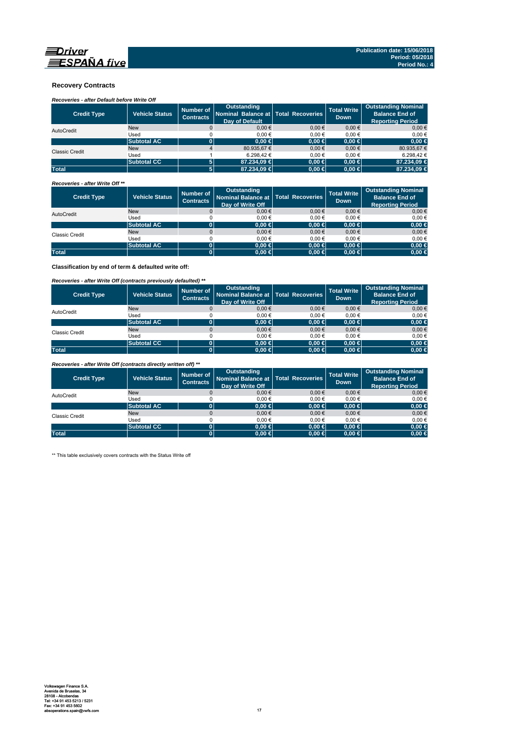

### **Recovery Contracts**

## *Recoveries - after Default before Write Off*

| <b>Credit Type</b>    | <b>Vehicle Status</b> | Number of<br><b>Contracts</b> | Outstanding<br>Nominal Balance at   Total Recoveries<br><b>Dav of Default</b> |            | <b>Total Write</b><br><b>Down</b> | <b>Outstanding Nominal</b><br><b>Balance End of</b><br><b>Reporting Period</b> |
|-----------------------|-----------------------|-------------------------------|-------------------------------------------------------------------------------|------------|-----------------------------------|--------------------------------------------------------------------------------|
| AutoCredit            | <b>New</b>            |                               | $0.00 \in$                                                                    | $0.00 \in$ | $0.00 \in$                        | 0.00€                                                                          |
|                       | Used                  |                               | 0.00€                                                                         | 0.00€      | 0.00€                             | $0.00 \in$                                                                     |
|                       | <b>Subtotal AC</b>    |                               | $0.00 \in$                                                                    | $0.00 \in$ | $0.00 \in$                        | $0,00$ €                                                                       |
| <b>Classic Credit</b> | <b>New</b>            |                               | 80.935,67 €                                                                   | $0.00 \in$ | $0.00 \in$                        | 80.935,67 €                                                                    |
|                       | Used                  |                               | 6.298.42 €                                                                    | 0.00€      | 0.00€                             | 6.298.42 €                                                                     |
|                       | <b>Subtotal CC</b>    | 5                             | 87.234.09 €                                                                   | $0.00 \in$ | $0.00 \in$                        | 87.234,09 €                                                                    |
| <b>Total</b>          |                       | 5                             | 87,234,09 €                                                                   | $0,00 \in$ | $0.00 \in$                        | 87,234,09 €                                                                    |

### *Recoveries - after Write Off \*\**

| <b>Credit Type</b> | <b>Vehicle Status</b> | Number of<br><b>Contracts</b> | <b>Outstanding</b><br>Nominal Balance at   Total Recoveries<br>Day of Write Off |            | <b>Total Write</b><br><b>Down</b> | <b>Outstanding Nominal</b><br><b>Balance End of</b><br><b>Reporting Period</b> |
|--------------------|-----------------------|-------------------------------|---------------------------------------------------------------------------------|------------|-----------------------------------|--------------------------------------------------------------------------------|
| AutoCredit         | <b>New</b>            |                               | $0,00 \in$                                                                      | $0.00 \in$ | $0,00 \in$                        | $0,00 \in$                                                                     |
|                    | Used                  |                               | 0.00€                                                                           | 0.00€      | 0.00€                             | 0,00€                                                                          |
|                    | <b>Subtotal AC</b>    |                               | $0.00 \in$                                                                      | $0,00 \in$ | $0.00 \in$                        | $0,00 \in$                                                                     |
| Classic Credit     | <b>New</b>            |                               | $0,00 \in$                                                                      | $0.00 \in$ | $0,00 \in$                        | $0,00 \in$                                                                     |
|                    | Used                  |                               | 0.00€                                                                           | 0.00€      | 0.00€                             | 0,00€                                                                          |
|                    | <b>Subtotal AC</b>    | 01                            | 0.00 ∈                                                                          | $0,00 \in$ | $0.00 \in$                        | $0,00 \in$                                                                     |
| <b>Total</b>       |                       |                               | $0.00 \in$                                                                      | $0,00 \in$ | $0.00 \in$                        | $0,00 \in$                                                                     |

**Classification by end of term & defaulted write off:**

### *Recoveries - after Write Off (contracts previously defaulted) \*\**

| <b>Credit Type</b>    | Vehicle Status     | Number of<br><b>Contracts</b> | Outstanding<br>Nominal Balance at   Total Recoveries<br>Day of Write Off |            | <b>Total Write</b><br><b>Down</b> | <b>Outstanding Nominal</b><br><b>Balance End of</b><br><b>Reporting Period</b> |
|-----------------------|--------------------|-------------------------------|--------------------------------------------------------------------------|------------|-----------------------------------|--------------------------------------------------------------------------------|
| AutoCredit            | <b>New</b>         |                               | 0.00€                                                                    | 0.00€      | $0,00 \in$                        | $0,00 \in$                                                                     |
|                       | Used               |                               | 0.00€                                                                    | 0.00€      | 0.00€                             | 0,00€                                                                          |
|                       | <b>Subtotal AC</b> | 0                             | $0.00 \in$                                                               | $0,00 \in$ | $0.00 \in$                        | $0,00 \in$                                                                     |
| <b>Classic Credit</b> | <b>New</b>         |                               | 0.00€                                                                    | 0.00€      | 0.00€                             | $0,00 \in$                                                                     |
|                       | Used               |                               | 0.00€                                                                    | $0.00 \in$ | 0.00€                             | 0,00€                                                                          |
|                       | <b>Subtotal CC</b> | 0                             | 0.00 ∈                                                                   | $0,00$ ∈   | $0.00 \in$                        | $0,00 \in$                                                                     |
| <b>Total</b>          |                    | 0                             | $0.00 \in$                                                               | $0,00 \in$ | $0.00 \in$                        | $0,00 \in$                                                                     |

*Recoveries - after Write Off (contracts directly written off) \*\**

| <b>Credit Type</b>    | <b>Vehicle Status</b> | Number of<br><b>Contracts</b> | <b>Outstanding</b><br>Nominal Balance at   Total Recoveries<br>Day of Write Off |            | <b>Total Write</b><br><b>Down</b> | <b>Outstanding Nominal</b><br><b>Balance End of</b><br><b>Reporting Period</b> |
|-----------------------|-----------------------|-------------------------------|---------------------------------------------------------------------------------|------------|-----------------------------------|--------------------------------------------------------------------------------|
| AutoCredit            | <b>New</b>            |                               | 0.00€                                                                           | 0.00€      | 0.00€                             | $0.00 \in$                                                                     |
|                       | Used                  |                               | 0.00€                                                                           | 0.00€      | 0.00€                             | 0,00€                                                                          |
|                       | <b>Subtotal AC</b>    |                               | $0.00 \in$                                                                      | $0,00 \in$ | $0.00 \in$                        | $0,00 \in$                                                                     |
| <b>Classic Credit</b> | <b>New</b>            |                               | 0.00€                                                                           | $0.00 \in$ | 0.00€                             | $0,00 \in$                                                                     |
|                       | Used                  |                               | 0.00€                                                                           | 0.00€      | 0.00€                             | 0,00€                                                                          |
|                       | <b>Subtotal CC</b>    | 01                            | $0.00 \in$                                                                      | $0.00 \in$ | $0.00 \in$                        | $0,00 \in$                                                                     |
| <b>Total</b>          |                       |                               | $0.00 \in$                                                                      | $0,00 \in$ | $0.00 \in$                        | $0,00 \in$                                                                     |

\*\* This table exclusively covers contracts with the Status Write off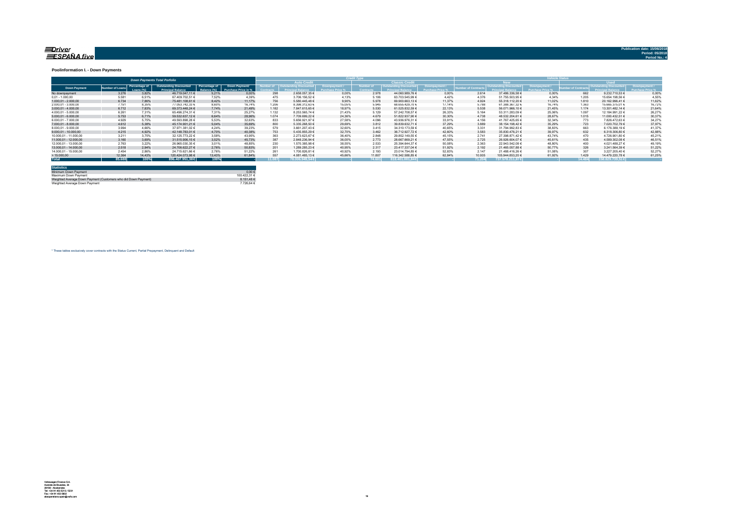#### <u>=Driver</u> ESPAÑA five

**Publication date: 15/06/2018**

#### **Poolinformation I. - Down Payments**

|                       |               |                            | <b>Down Payments Total Porfolio</b>                       |                               |                                      |        |                                   |        |                  |                        |        |                 |                                 | ______ |             |                  |        |
|-----------------------|---------------|----------------------------|-----------------------------------------------------------|-------------------------------|--------------------------------------|--------|-----------------------------------|--------|------------------|------------------------|--------|-----------------|---------------------------------|--------|-------------|------------------|--------|
|                       |               |                            |                                                           |                               |                                      |        | <b>Auto Credit</b>                |        |                  | <b>Classic Credita</b> |        |                 | <b>RW</b>                       |        | <b>Head</b> |                  |        |
| <b>Down Payment</b>   | umber of Loan | Percentage of<br>Loang (%) | <b>Outstanding Discounted</b><br><b>Princingl Relance</b> | Percentage of<br>3alance (%). | Down Payment/<br>Purchase Price in % |        | umber of   Outstanding Discounted |        | <b>Jumber of</b> | Outstanding Discounted |        | mber of Contrac | <b>Outstanding Discounted L</b> |        |             |                  |        |
| No downpayment        | 3.276         | 3.82%                      | 46.719.047.11 €                                           | 5.21%                         | 0.00%                                | 298    | 2.658.057.35 €                    | 0.00%  | 2.978            | 44.060.989.76 €        | 0.00%  | 2.614           | 37,486,336.58 €                 | 0.00%  | 662         | 9.232.710.53 €   | 0.00%  |
| $0.01 - 1.000.00$     | 5.581         | 6.51%                      | 67.409.702.51 €                                           | 7.52%                         | 4.39%                                | 475    | 3.706.156,52 €                    | 4.13%  | 5.106            | 63.703.545,99 €        | 4.42%  | 4.376           | 51.755.503.95 €                 | 4.34%  | 1.205       | 15.654.198,56 €  | 4,55%  |
| $1.000.01 - 2.000.00$ | 6.734         | 7.86%                      | 75.481.108.61 €                                           | 8.42%                         | 11.17%                               | 756    | 5.580.445.48 €                    | 9.90%  | 5.978            | 69.900.663.13 €        | 11.37% | 4.924           | 55.318.112.20 €                 | 11.02% | 1.810       | 20.162.996.41 €  | 11.62% |
| 2.000.01 - 3.000.00   | 7.151         | 8.35%                      | 77.053.742.33 €                                           | 8.60%                         | 16.74%                               | 1.206  | 8.398.312.63 €                    | 15.05% | 5.945            | 68.655.429.70 €        | 17.14% | 5.788           | 61.388.367.32 €                 | 16.74% | 1.363       | 15.665.375.01 €  | 16,72% |
| $3.000.01 - 4.000.00$ | 6.712         | 7.83%                      | 69.373.448.24 €                                           | 7.74%                         | 21,49%                               | 1.182  | 7.847.615.65 €                    | 18.97% | 5.530            | 61.525.832.59 €        | 22.13% | 5.538           | 56.071.966.10 €                 | 21.45% | 1.174       | 13.301.482.14 €  | 21.64% |
| 4.000.01 - 5.000.00   | 6.261         | 7.31%                      | 65.496.274.31 €                                           | 7.31%                         | 25.27%                               | 1.132  | 8.253.565.74 €                    | 21.43% | 5.129            | 57.242.708.57 €        | 26.33% | 5.164           | 53.311.283.09 €                 | 25.06% | 1.097       | 12.184.991.22 €  | 26,279 |
| $5.000.01 - 6.000.00$ | 5.753         | 6.71%                      | 59.532.637.12 €                                           | 6.64%                         | 28.96%                               | 1.074  | 7.709.699.22 €                    | 24.36% | 4.679            | 51.822.937.90 €        | 30.30% | 4.738           | 48.532.204.61 €                 | 28.67% | 1.015       | 11.000.432.51 €  | 30,37% |
| 6.000.01 - 7.000.00   | 4.929         | 5.75%                      | 49.593.898.28 €                                           | 5.53%                         | 32.63%                               | 833    | 5.656.921.97 €                    | 27.58% | 4.096            | 43.936.976.31 €        | 33.91% | 4.156           | 41.767.425.65 €                 | 32.34% | 773         | 7.826.472.63 €   | 34,27% |
| 7.000.01 - 8.000.00   | 4.612         | 5.38%                      | 45.174.901.21 €                                           | 5.04%                         | 35.69%                               | 800    | 5.335.268.50 €                    | 29.69% | 3.812            | 39.839.632.71 €        | 37.29% | 3.889           | 38.154.198.42 €                 | 35.29% | 723         | 7.020.702.79 €   | 37,97% |
| 8.000.01 - 9.000.00   | 3.994         | 4.66%                      | 37.971.381.02 €                                           | 4.24%                         | 39.23%                               | 579    | 3.661.207.43 €                    | 32.60% | 3.415            | 34.310.173.59 €        | 40.65% | 3.331           | 31.794.992.83 €                 | 38.83% | 663         | 6.176.388.19 €   | 41.37% |
| 9.000.01 - 10.000.00  | 4.215         | 4.92%                      | 42.148.783.01 €                                           | 4.70%                         | 40.38%                               | 753    | 5.435.855.29 €                    | 32.70% | 3.462            | 36.712.927.72 €        | 42.60% | 3.583           | 35.830.476.21 €                 | 39.97% | 632         | 6.318.306.80 €   | 42.88% |
| 10.000.01 - 11.000.00 | 3.211         | 3.75%                      | 32.125.773.22 €                                           | 3.58%                         | 43.95%                               | 363    | 2.273.623.67 €                    | 36.40% | 2.848            | 29.852.149.55 €        | 45.15% | 2.741           | 27.398.871.42 €                 | 43.74% | 470         | 4.726.901.80 €   | 45.21% |
| 11.000.01 - 12.000.00 | 3.160         | 3.69%                      | 31.515.906.15 €                                           | 3.52%                         | 45.73%                               | 38     | 2.848.236.94 €                    | 36.00% | 2.773            | 28.667.669.21 €        | 47.55% | 2.725           | 26.926.604.07 €                 | 45.61% | 435         | 4.589.302.08 €   | 46.51% |
| 12.000.01 - 13.000.00 | 2.763         | 3.22%                      | 26.965.030.35 €                                           | 3.01%                         | 48.85%                               | 230    | 1.570.385,98 €                    | 38.55% | 2.533            | 25.394.644.37 €        | 50.08% | 2.363           | 22.943.542.08 €                 | 48.80% | 400         | 4.021.488.27 €   | 49.19% |
| 13.000.01 - 14.000.00 | 2.518         | 2.94%                      | 24.706.622.27 €                                           | 2.76%                         | 50.83%                               | 201    | 1.289.285.23 €                    | 40.95% | 2.317            | 23.417.337.04 €        | 51.92% | 2.192           | 21.465.057.88 €                 | 50.77% | 326         | 3.241.564.39 €   | 51.22% |
| 14.000.01 - 15.000.00 | 2.454         | 2.86%                      | 24.715.621.66 €                                           | 2.76%                         | 51.22%                               | 261    | 1.700.826.81 €                    | 40.92% | 2.193            | 23.014.794.85 €        | 52.83% | 2.147           | 21.488.416.26 €                 | 51.08% | 307         | 3.227.205.40 €   | 52.27% |
| >15.000,00            | 12.364        | 14,43%                     | 120.424.073.98 €                                          | 13.43%                        | 61.84%                               | 55     | 4.081.485.13 €                    | 45.66% | 11,807           | 116.342.588.85 €       | 62.84% | 10.935          | 105.944.853.20 €                | 61.92% | 1.429       | 14.479.220.78 €  | 61.25% |
| <b>Total</b>          | 85,688        | 100%                       | 896,407,951,38 €                                          | 100%                          |                                      | 11.087 | 78.006.949.54€                    |        |                  | $.818.401.001.84 \in$  |        | 71.204          | 737.578.211.87 €                |        | 14.484      | 158.829.739.51 € |        |

| <b>Statistics</b>                                              |              |
|----------------------------------------------------------------|--------------|
| Minimum Down Payment                                           | $0.00 \in$   |
| Maximum Down Payment                                           | 100 422 31 6 |
| Weighted Average Down Payment (Customers who did Down Payment) | 8.151.48 €   |
| Weighted Average Down Payment                                  | 7 726 64 F   |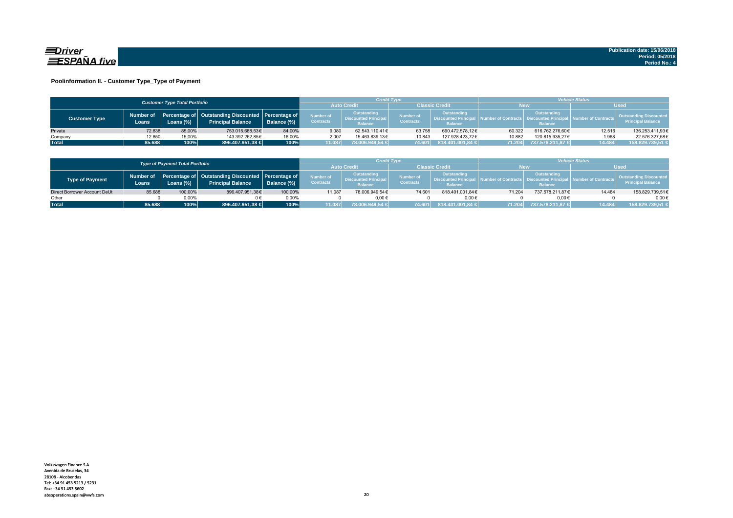

### **Poolinformation II. - Customer Type\_Type of Payment**

|                      |                                      |           |                                                                                    |             |                               | <b>Vehicle Status</b><br>Credit Type                         |                                      |                                                             |        |                                                                          |                                |                                                           |
|----------------------|--------------------------------------|-----------|------------------------------------------------------------------------------------|-------------|-------------------------------|--------------------------------------------------------------|--------------------------------------|-------------------------------------------------------------|--------|--------------------------------------------------------------------------|--------------------------------|-----------------------------------------------------------|
|                      | <b>Customer Type Total Portfolio</b> |           |                                                                                    |             |                               |                                                              | Classic Credit<br><b>Auto Credi</b>  |                                                             |        | <b>New</b>                                                               |                                | <b>Used</b>                                               |
| <b>Customer Type</b> | Number of<br>Loans.                  | Loans (%) | Percentage of   Outstanding Discounted   Percentage of<br><b>Principal Balance</b> | Balance (%) | Number of<br><b>Contracts</b> | Outstanding<br><b>Discounted Principal</b><br><b>Balance</b> | <b>Number of</b><br><b>Contracts</b> | Outstanding<br><b>Discounted Principa</b><br><b>Balance</b> |        | Outstanding<br>umber of Contracts丨 Discounted Principa<br><b>Balance</b> | <b>All Number of Contracts</b> | <b>Outstanding Discounted</b><br><b>Principal Balance</b> |
| Private              | 72.838                               | 85.00%    | 753.015.688.53€                                                                    | 84.00%      | 9.080                         | 62.543.110.41€                                               | 63.758                               | 690.472.578.12€                                             | 60.322 | 616.762.276.60€                                                          | 12.516                         | 136.253.411,93€                                           |
| Company              | 12,850                               | 15,00%    | 143.392.262.85€                                                                    | 16,00%      | 2.007                         | 15.463.839.13€                                               | 10.843                               | 127.928.423.72€                                             | 10.882 | 120.815.935.27€                                                          | 1.968                          | 22.576.327,58€                                            |
| <b>Total</b>         | 85.688                               | 100%      | 896.407.951,38 €                                                                   | 100%        | 11.087                        | 78.006.949,54 €                                              | 74.601                               | 818.401.001,84 €                                            | 71.204 | 737.578.211.87 €                                                         | 14.484                         | 158.829.739,51 €                                          |

|                              |        | <b>Type of Payment Total Portfolio</b> |                                                                                          |             |                                      | <b>/ehicle Status</b><br>Credit Type                         |                               |                                                                    |        |                                                         |                     |                                                           |
|------------------------------|--------|----------------------------------------|------------------------------------------------------------------------------------------|-------------|--------------------------------------|--------------------------------------------------------------|-------------------------------|--------------------------------------------------------------------|--------|---------------------------------------------------------|---------------------|-----------------------------------------------------------|
|                              |        | <b>Auto Credi</b>                      |                                                                                          |             | <b>Classic Credit</b>                |                                                              | <b>New</b>                    |                                                                    | Used   |                                                         |                     |                                                           |
| Type of Payment              | Loans  | Loans $(\%)$                           | Number of Percentage of Outstanding Discounted Percentage of<br><b>Principal Balance</b> | Balance (%) | <b>Number of</b><br><b>Contracts</b> | Outstanding<br><b>Discounted Principal</b><br><b>Balance</b> | Number of<br><b>Contracts</b> | <b>Outstanding</b><br><b>Discounted Principa</b><br><b>Balance</b> |        | Outstanding<br><b>Discounted Prin</b><br><b>Balance</b> | lumber of Contracts | <b>Outstanding Discounted</b><br><b>Principal Balance</b> |
| Direct Borrower Account DeUt | 85.688 | 100,00%                                | 896.407.951,38€                                                                          | 100.00%     | 11.087                               | 78.006.949.54€                                               | 74.601                        | 818.401.001.84€                                                    | 71.204 | 737.578.211.87€                                         | 14.484              | 158.829.739,51€                                           |
| Other                        |        | 0.00%                                  |                                                                                          | 0.00%       |                                      | $0.00 \in$                                                   |                               | $0.00 \in$                                                         |        | $0.00 \in$                                              |                     | $0.00 \in$                                                |
| <b>Total</b>                 | 85.688 | 100%                                   | 896.407.951,38 €                                                                         | 100%        | 11.087                               | 78.006.949.54 €                                              | 74.601                        | 818.401.001.84 €                                                   | 71.204 | 737.578.211.87 €                                        | 14.484              | 158.829.739.51 €                                          |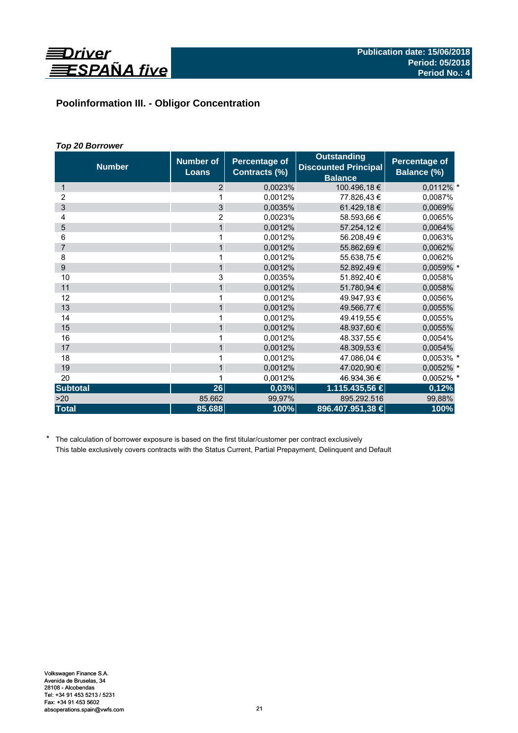

# **Poolinformation III. - Obligor Concentration**

## *Top 20 Borrower*

| <b>Number</b>   | <b>Number of</b><br><b>Loans</b> | <b>Percentage of</b><br>Contracts (%) | <b>Outstanding</b><br><b>Discounted Principal</b><br><b>Balance</b> | <b>Percentage of</b><br>Balance (%) |
|-----------------|----------------------------------|---------------------------------------|---------------------------------------------------------------------|-------------------------------------|
| 1               | 2                                | 0,0023%                               | 100.496,18€                                                         | 0,0112% *                           |
| 2               | 1                                | 0,0012%                               | 77.826,43 €                                                         | 0,0087%                             |
| 3               | $\overline{3}$                   | 0,0035%                               | 61.429,18 €                                                         | 0,0069%                             |
| 4               | $\overline{2}$                   | 0,0023%                               | 58.593,66 €                                                         | 0,0065%                             |
| 5               | $\mathbf{1}$                     | 0.0012%                               | 57.254,12 €                                                         | 0,0064%                             |
| 6               | 1                                | 0,0012%                               | 56.208,49€                                                          | 0,0063%                             |
| $\overline{7}$  | $\mathbf{1}$                     | 0,0012%                               | 55.862,69€                                                          | 0,0062%                             |
| 8               | 1                                | 0,0012%                               | 55.638,75€                                                          | 0,0062%                             |
| 9               | $\mathbf{1}$                     | 0,0012%                               | 52.892,49 €                                                         | 0,0059% *                           |
| 10              | 3                                | 0,0035%                               | 51.892,40 €                                                         | 0,0058%                             |
| 11              | $\mathbf{1}$                     | 0,0012%                               | 51.780,94 €                                                         | 0,0058%                             |
| 12              | 1                                | 0,0012%                               | 49.947.93 €                                                         | 0,0056%                             |
| 13              | $\mathbf{1}$                     | 0,0012%                               | 49.566,77 €                                                         | 0,0055%                             |
| 14              | 1                                | 0,0012%                               | 49.419,55 €                                                         | 0,0055%                             |
| 15              | $\mathbf{1}$                     | 0,0012%                               | 48.937,60 €                                                         | 0,0055%                             |
| 16              |                                  | 0,0012%                               | 48.337.55 €                                                         | 0,0054%                             |
| 17              | $\mathbf{1}$                     | 0,0012%                               | 48.309,53 €                                                         | 0,0054%                             |
| 18              | 1                                | 0,0012%                               | 47.086,04 €                                                         | 0,0053% *                           |
| 19              | $\mathbf{1}$                     | 0,0012%                               | 47.020,90 €                                                         | 0,0052% *                           |
| 20              | 1                                | 0,0012%                               | 46.934,36 €                                                         | 0,0052% *                           |
| <b>Subtotal</b> | 26                               | 0,03%                                 | 1.115.435,56 €                                                      | 0,12%                               |
| >20             | 85.662                           | 99,97%                                | 895.292.516                                                         | 99,88%                              |
| <b>Total</b>    | 85.688                           | 100%                                  | 896.407.951,38 €                                                    | 100%                                |

\* The calculation of borrower exposure is based on the first titular/customer per contract exclusively This table exclusively covers contracts with the Status Current, Partial Prepayment, Delinquent and Default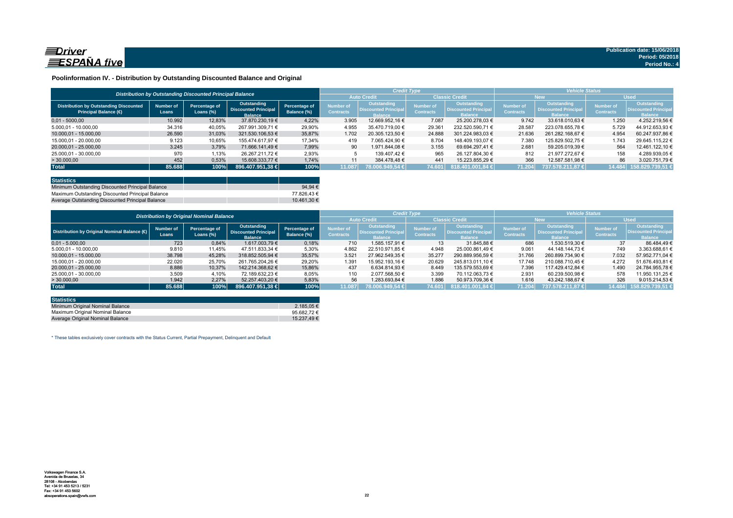

### **Poolinformation IV. - Distribution by Outstanding Discounted Balance and Original**

|                                                                              |                                                          |                               |                                                              |                              |                               | <b>Credit Type</b>                                          |                                      |                                                                     | <b>Vehicle Status</b>                |                                                             |                               |                                                             |  |
|------------------------------------------------------------------------------|----------------------------------------------------------|-------------------------------|--------------------------------------------------------------|------------------------------|-------------------------------|-------------------------------------------------------------|--------------------------------------|---------------------------------------------------------------------|--------------------------------------|-------------------------------------------------------------|-------------------------------|-------------------------------------------------------------|--|
|                                                                              | Distribution by Outstanding Discounted Principal Balance |                               |                                                              |                              |                               |                                                             | <b>Classic Credit</b>                |                                                                     | <b>New</b>                           |                                                             | <b>Used</b>                   |                                                             |  |
| <b>Distribution by Outstanding Discounted</b><br><b>Principal Balance (€</b> | Number of<br>Loans                                       | Percentage of<br>Loans $(\%)$ | Outstanding<br><b>Discounted Principal</b><br><b>Balance</b> | Percentage of<br>Balance (%) | Number of<br><b>Contracts</b> | Outstanding<br><b>Discounted Principa</b><br><b>Ralance</b> | <b>Number of</b><br><b>Contracts</b> | <b>Outstanding</b><br><b>Discounted Principal</b><br><b>Balance</b> | <b>Number of</b><br><b>Contracts</b> | Outstanding<br><b>Discounted Principa</b><br><b>Ralance</b> | Number of<br><b>Contracts</b> | <b>Outstanding</b><br><b>Discounted Principa</b><br>Ralance |  |
| $0.01 - 5000.00$                                                             | 10.992                                                   | 12,83%                        | 37,870,230,19 €                                              | 4.22%                        | 3.905                         | 12.669.952.16 €                                             | 7.087                                | 25.200.278.03 €                                                     | 9.742                                | 33.618.010.63 €                                             | 1.250                         | 4.252.219,56 €                                              |  |
| 5.000.01 - 10.000.00                                                         | 34.316                                                   | 40.05%                        | 267.991.309.71 €                                             | 29,90%                       | 4.955                         | 35.470.719.00 €                                             | 29.361                               | 232.520.590.71 €                                                    | 28.587                               | 223.078.655.78 €                                            | 5.729                         | 44.912.653.93 €                                             |  |
| 10.000.01 - 15.000.00                                                        | 26.590                                                   | 31,03%                        | 321.530.106.53 €                                             | 35.87%                       | 1.702                         | 20.305.123.50 €                                             | 24.888                               | 301.224.983.03 €                                                    | 21.636                               | 261.282.168.67 €                                            | 4.954                         | 60.247.937.86 €                                             |  |
| 15.000.01 - 20.000.00                                                        | 9.123                                                    | 10,65%                        | 155.474.617.97 €                                             | 17,34%                       | 419                           | 7.065.424.90 €                                              | 8.704                                | 148.409.193.07 €                                                    | 7.380                                | 125.829.502.75 €                                            | 1.743                         | 29.645.115.22 €                                             |  |
| 20.000.01 - 25.000.00                                                        | 3.245                                                    | 3.79%                         | 71.666.141.49 €                                              | 7.99%                        | 90                            | 1.971.844.08 €                                              | 3.155                                | 69.694.297.41 €                                                     | 2.681                                | 59.205.019.39 €                                             | 564                           | 12.461.122.10 €                                             |  |
| 25.000,01 - 30.000,00                                                        | 970                                                      | 1,13%                         | 26.267.211.72 €                                              | 2,93%                        |                               | 139.407.42 €                                                | 965                                  | 26.127.804.30 €                                                     | 812                                  | 21.977.272.67 €                                             | 158                           | 4.289.939.05 €                                              |  |
| > 30.000,00                                                                  | 452                                                      | 0,53%                         | 15.608.333.77 €                                              | 1.74%                        | 11                            | 384.478.48 €                                                | 441                                  | 15.223.855.29 €                                                     | 366                                  | 12.587.581.98 €                                             | 86                            | 3.020.751.79 €                                              |  |
| <b>Total</b>                                                                 | 85.688                                                   | 100%                          | 896.407.951.38 €                                             | 100%                         | 11.087                        | 78.006.949.54 €                                             | 74.601                               | 818.401.001.84 €                                                    | 71.204                               | 737.578.211.87 €                                            | 14.484                        | 158.829.739.51 €                                            |  |

| <b>Statistics</b>                                |             |
|--------------------------------------------------|-------------|
| Minimum Outstanding Discounted Principal Balance | 94.94 $\in$ |
| Maximum Outstanding Discounted Principal Balance | 77.826.43 € |
| Average Outstanding Discounted Principal Balance | 10.461.30 € |

|                                             | <b>Distribution by Original Nominal Balance</b> |                            |                                                              |                              |                               |                                                              | <b>Credit Type</b>            |                                                              | <b>Vehicle Status</b>         |                                                                     |                               |                                                             |  |
|---------------------------------------------|-------------------------------------------------|----------------------------|--------------------------------------------------------------|------------------------------|-------------------------------|--------------------------------------------------------------|-------------------------------|--------------------------------------------------------------|-------------------------------|---------------------------------------------------------------------|-------------------------------|-------------------------------------------------------------|--|
|                                             |                                                 |                            |                                                              |                              |                               |                                                              | <b>Classic Credit</b>         |                                                              | <b>New</b>                    |                                                                     | <b>Used</b>                   |                                                             |  |
| Distribution by Original Nominal Balance (O | <b>Number of</b><br>Loans                       | Percentage of<br>Loans (%) | Outstanding<br><b>Discounted Principal</b><br><b>Balance</b> | Percentage of<br>Balance (%) | Number of<br><b>Contracts</b> | Outstanding<br><b>Discounted Principal</b><br><b>Balance</b> | Number of<br><b>Contracts</b> | Outstanding<br><b>Discounted Principal</b><br><b>Ralance</b> | lumber of<br><b>Contracts</b> | <b>Outstanding</b><br><b>Discounted Principal</b><br><b>Balance</b> | Number of<br><b>Contracts</b> | Outstanding<br><b>Discounted Principa</b><br><b>Balance</b> |  |
| $0.01 - 5.000.00$                           | 723                                             | 0,84%                      | 1.617.003.79 €                                               | 0,18%                        | 710                           | 1.585.157.91 €                                               | 13                            | 31.845.88 €                                                  | 686                           | 1.530.519.30 €                                                      | 37                            | 86.484.49 €                                                 |  |
| 5.000,01 - 10.000,00                        | 9.810                                           | 11,45%                     | 47.511.833.34 €                                              | 5,30%                        | 4.862                         | 22.510.971.85 €                                              | 4.948                         | 25.000.861.49 €                                              | 9.061                         | 44.148.144.73 €                                                     | 749                           | 3.363.688.61 €                                              |  |
| 10.000.01 - 15.000.00                       | 38.798                                          | 45,28%                     | 318,852,505,94 €                                             | 35,57%                       | 3.521                         | 27.962.549.35 €                                              | 35.277                        | 290.889.956,59 €                                             | 31.766                        | 260.899.734.90 €                                                    | 7.032                         | 57.952.771,04 €                                             |  |
| 15.000.01 - 20.000.00                       | 22.020                                          | 25,70%                     | 261.765.204.26 €                                             | 29,20%                       | 1.391                         | 15.952.193.16 €                                              | 20.629                        | 245.813.011.10 €                                             | 17.748                        | 210.088.710.45 €                                                    | 4.272                         | 51.676.493.81 €                                             |  |
| 20.000.01 - 25.000.00                       | 8.886                                           | 10.37%                     | 142.214.368.62 €                                             | 15.86%                       | 437                           | 6.634.814.93 €                                               | 8.449                         | 135.579.553.69 €                                             | 7.396                         | 117.429.412.84 €                                                    | 1.490                         | 24.784.955.78 €                                             |  |
| 25.000.01 - 30.000.00                       | 3.509                                           | 4,10%                      | 72.189.632.23 €                                              | 8,05%                        | 110                           | 2.077.568.50 €                                               | 3.399                         | 70.112.063.73 €                                              | 2.931                         | 60.239.500.98 €                                                     | 578                           | 11.950.131.25 €                                             |  |
| >30.000,00                                  | 1.942                                           | 2.27%                      | 52.257.403.20 €                                              | 5,83%                        | 56                            | 1.283.693.84 €                                               | 1.886                         | 50.973.709.36 €                                              | 1.616                         | 43.242.188.67 €                                                     | 326                           | 9.015.214.53 €                                              |  |
| <b>Total</b>                                | 85,688                                          | 100%                       | 896.407.951.38 €                                             | 100%                         | 11.087                        | 78.006.949.54 €                                              | 74.601                        | 818.401.001.84 €                                             | 71.204                        | 737.578.211.87 €                                                    |                               | 14.484 158.829.739,51                                       |  |

| <b>Statistics</b>                |                      |
|----------------------------------|----------------------|
| Minimum Original Nominal Balance | 2.185.05 €           |
| Maximum Original Nominal Balance | 95.682.72 $\epsilon$ |
| Average Original Nominal Balance | 15.237.49 €          |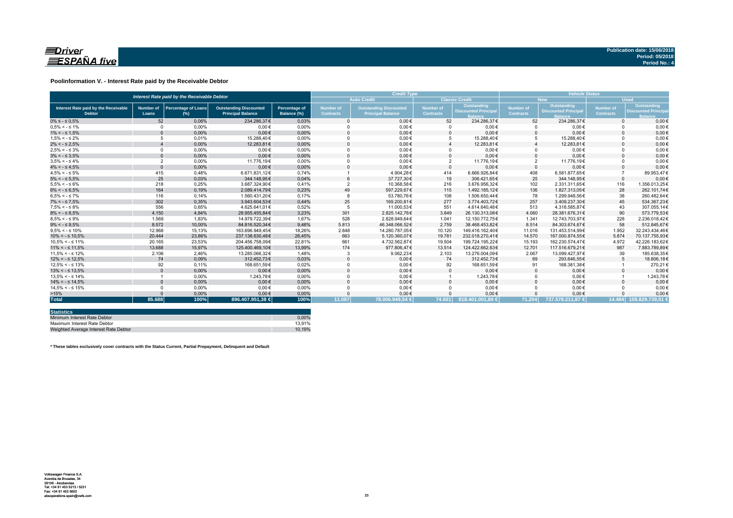

### **Poolinformation V. - Interest Rate paid by the Receivable Debtor**

| Interest Rate paid by the Receivable Debtor           |                           |                                      |                                                           |                                     |                                      | <b>Credit Type</b>                                        | <b>Vehicle Status</b>         |                                           |                        |                                                  |                               |                                                          |
|-------------------------------------------------------|---------------------------|--------------------------------------|-----------------------------------------------------------|-------------------------------------|--------------------------------------|-----------------------------------------------------------|-------------------------------|-------------------------------------------|------------------------|--------------------------------------------------|-------------------------------|----------------------------------------------------------|
|                                                       |                           |                                      |                                                           |                                     |                                      | <b>Auto Credit</b>                                        |                               | <b>Classic Credit</b>                     |                        | <b>New</b>                                       | <b>Used</b>                   |                                                          |
| Interest Rate paid by the Receivable<br><b>Debtor</b> | <b>Number of</b><br>Loans | <b>Percentage of Loans</b><br>$(\%)$ | <b>Outstanding Discounted</b><br><b>Principal Balance</b> | <b>Percentage of</b><br>Balance (%) | <b>Number of</b><br><b>Contracts</b> | <b>Outstanding Discounted</b><br><b>Principal Balance</b> | Number of<br><b>Contracts</b> | Outstanding<br><b>Discounted Principa</b> | Number of<br>Contracts | <b>Outstanding</b><br><b>Discounted Principa</b> | Number of<br><b>Contracts</b> | Outstanding<br><b>Discounted Princip</b><br><b>Ralar</b> |
| $0\% \leq -\leq 0.5\%$                                | 52                        | 0.06%                                | 234.286.37€                                               | 0.03%                               |                                      | $0.00 \in$                                                | 52                            | 234.286.37€                               | 52                     | 234.286.37€                                      | $\Omega$                      | $0.00 \in$                                               |
| $0.5\% < -5.1\%$                                      | $\Omega$                  | 0.00%                                | $0.00 \in$                                                | 0.00%                               |                                      | $0.00 \in$                                                |                               | $0.00 \in$                                | $\Omega$               | $0.00 \in$                                       |                               | $0.00 \in$                                               |
| $1\% < - \leq 1.5\%$                                  |                           | 0,00%                                | $0.00 \in$                                                | 0,00%                               |                                      | $0,00 \in$                                                |                               | $0,00 \in$                                | $\Omega$               | $0,00 \in$                                       |                               | $0,00 \in$                                               |
| $1.5\% < -5.2\%$                                      |                           | 0.01%                                | 15.288.40€                                                | 0.00%                               |                                      | $0,00 \in$                                                |                               | 15.288.40€                                | 5                      | 15.288,40€                                       |                               | $0,00 \in$                                               |
| $2\% < - \leq 2.5\%$                                  |                           | 0,00%                                | 12.283,81€                                                | 0,00%                               |                                      | $0.00 \in$                                                |                               | 12.283,81€                                |                        | 12.283,81€                                       |                               | $0.00 \in$                                               |
| $2.5\% < -5.3\%$                                      | $\Omega$                  | 0.00%                                | $0.00 \in$                                                | 0.00%                               |                                      | $0.00 \in$                                                |                               | $0.00 \in$                                | $\Omega$               | $0.00 \in$                                       |                               | $0.00 \in$                                               |
| $3\% < - \leq 3.5\%$                                  | $\Omega$                  | 0,00%                                | $0.00 \in$                                                | 0,00%                               |                                      | $0.00 \in$                                                |                               | $0.00 \in$                                | $\Omega$               | $0,00 \in$                                       |                               | $0.00 \in$                                               |
| $3.5\% < -5.4\%$                                      | $\overline{2}$            | 0.00%                                | 11.776.19€                                                | 0.00%                               |                                      | $0.00 \in$                                                | $\overline{2}$                | 11.776.19€                                | $\overline{2}$         | 11.776.19€                                       |                               | $0.00 \in$                                               |
| $4\% < - \leq 4.5\%$                                  | $\Omega$                  | 0.00%                                | $0.00 \in$                                                | 0.00%                               |                                      | $0.00 \in$                                                | $\Omega$                      | $0.00 \in$                                | $\Omega$               | $0.00 \in$                                       |                               | $0,00 \in$                                               |
| $4.5\% < -5\%$                                        | 415                       | 0.48%                                | 6.671.831.12€                                             | 0.74%                               |                                      | 4.904.28€                                                 | 414                           | 6.666.926.84€                             | 408                    | 6.581.877.65€                                    |                               | 89.953.47€                                               |
| $5\% < - \leq 5.5\%$                                  | 25                        | 0,03%                                | 344.148.95€                                               | 0,04%                               |                                      | 37.727.30€                                                | 19                            | 306.421.65€                               | 25                     | 344.148,95€                                      | $\Omega$                      | $0,00 \in$                                               |
| $5.5\% < -5.6\%$                                      | 218                       | 0,25%                                | 3.687.324,90€                                             | 0,41%                               |                                      | 10.368,58€                                                | 216                           | 3.676.956,32€                             | 102                    | 2.331.311,65€                                    | 116                           | 1.356.013,25€                                            |
| $6\% < - \leq 6.5\%$                                  | 164                       | 0,19%                                | 2.089.414.79€                                             | 0,23%                               | 49                                   | 597.229,67€                                               | 115                           | 1.492.185.12€                             | 136                    | 1.827.313.05€                                    | 28                            | 262.101,74€                                              |
| $6.5\% < -5.7\%$                                      | 116                       | 0.14%                                | 1.560.431.20€                                             | 0.17%                               |                                      | 53.780.76€                                                | 108                           | 1.506.650.44€                             | 78                     | 1.299.948.56€                                    | 38                            | 260.482.64€                                              |
| $7\% < - \leq 7.5\%$                                  | 302                       | 0,35%                                | 3.943.604,53€                                             | 0,44%                               | 25                                   | 169.200,81€                                               | 277                           | 3.774.403,72€                             | 257                    | 3.409.237.30 €                                   | 45                            | 534.367.23€                                              |
| $7.5\% < -5.8\%$                                      | 556                       | 0.65%                                | 4.625.641.01€                                             | 0.52%                               |                                      | 11.000.53€                                                | 551                           | 4.614.640.48€                             | 513                    | 4.318.585.87€                                    | 43                            | 307.055.14€                                              |
| $8\% < - \leq 8.5\%$                                  | 4.150                     | 4,84%                                | 28.955.455,84€                                            | 3,23%                               | 301                                  | 2.825.142.76€                                             | 3.849                         | 26.130.313.08€                            | 4.060                  | 28.381.676.31€                                   | 90                            | 573.779.53€                                              |
| $8.5\% < -5.9\%$                                      | 1.569                     | 1.83%                                | 14.979.722.39€                                            | 1.67%                               | 528                                  | 2.828.949.64€                                             | 1.041                         | 12.150.772.75€                            | 1.341                  | 12.743.703.97€                                   | 228                           | 2.236.018.42€                                            |
| $9\% < - \leq 9.5\%$                                  | 8.572                     | 10,00%                               | 84.816.520.34€                                            | 9,46%                               | 5.813                                | 46.348.066.52€                                            | 2.759                         | 38.468.453.82€                            | 8.514                  | 84.303.674.67€                                   | 58                            | 512.845.67€                                              |
| $9.5\% < -5.10\%$                                     | 12.968                    | 15.13%                               | 163.696.949.45€                                           | 18.26%                              | 2.848                                | 14.280.787.05€                                            | 10.120                        | 149.416.162.40€                           | 11.016                 | 131.453.514.99€                                  | 1.952                         | 32.243.434.46€                                           |
| $10\% < -\leq 10.5\%$                                 | 20,444                    | 23,86%                               | 237.138.630,48€                                           | 26,45%                              | 663                                  | 5.120.360,07€                                             | 19.781                        | 232.018.270.41€                           | 14.570                 | 167.000.874.55€                                  | 5.874                         | 70.137.755.93€                                           |
| $10.5\% < -5.11\%$                                    | 20.165                    | 23,53%                               | 204.456.758.09€                                           | 22,81%                              | 661                                  | 4.732.562,87€                                             | 19.504                        | 199.724.195.22€                           | 15.193                 | 162.230.574,47€                                  | 4.972                         | 42.226.183,62€                                           |
| $11\% < - \leq 11.5\%$                                | 13.688                    | 15,97%                               | 125.400.469.10€                                           | 13,99%                              | 174                                  | 977.806,47€                                               | 13.514                        | 124.422.662.63€                           | 12.701                 | 117.516.679.21€                                  | 987                           | 7.883.789,89€                                            |
| $11.5\% < -5.12\%$                                    | 2.106                     | 2.46%                                | 13.285.066.32€                                            | 1.48%                               |                                      | 9.062,23€                                                 | 2.103                         | 13.276.004.09€                            | 2.067                  | 13.099.427.97€                                   | 39                            | 185.638.35€                                              |
| $12\% < -512.5\%$                                     | 74                        | 0,09%                                | 312.452.73€                                               | 0,03%                               |                                      | $0,00 \in$                                                | 74                            | 312.452,73€                               | 69                     | 293.646,55€                                      |                               | 18.806,18€                                               |
| $12.5\% < -5.13\%$                                    | 92                        | 0.11%                                | 168.651.59€                                               | 0.02%                               |                                      | $0.00 \in$                                                | 92                            | 168.651.59€                               | 91                     | 168.381,38€                                      |                               | 270,21€                                                  |
| $13\% < -513.5\%$                                     |                           | 0,00%                                | $0,00 \in$                                                | 0,00%                               |                                      | $0,00 \in$                                                |                               | $0,00 \in$                                | $\mathbf{0}$           | $0,00 \in$                                       |                               | $0,00 \in$                                               |
| $13.5\% < -5.14\%$                                    |                           | 0.00%                                | 1.243.78€                                                 | 0.00%                               |                                      | $0.00 \in$                                                |                               | 1.243,78€                                 | $\Omega$               | $0.00 \in$                                       |                               | 1.243,78€                                                |
| $14\% < -5.14.5\%$                                    |                           | 0.00%                                | $0.00 \in$                                                | 0,00%                               |                                      | $0.00 \in$                                                |                               | $0.00 \in$                                | $\Omega$               | $0.00 \in$                                       |                               | $0.00 \in$                                               |
| $14.5\% < -5.15\%$                                    |                           | 0.00%                                | $0.00 \in$                                                | 0.00%                               |                                      | $0.00 \in$                                                |                               | $0.00 \in$                                | $\Omega$               | $0.00 \in$                                       |                               | $0.00 \in$                                               |
| >15%                                                  |                           | 0,00%                                | $0.00 \in$                                                | 0,00%                               |                                      | $0,00 \in$                                                |                               | $0,00 \in$                                |                        | $0,00 \in$                                       |                               | $0,00 \in$                                               |
| <b>Total</b>                                          | 85.688                    | 100%                                 | 896.407.951,38 €                                          | 100%                                | 11.087                               | 78.006.949.54 €                                           | 74.601                        | 818.401.001.84 €                          | 71.204                 | 737.578.211.87 €                                 |                               | 14.484 158.829.739.51 €                                  |

| <b>Statistics</b>                     |        |
|---------------------------------------|--------|
| Minimum Interest Rate Debtor          | 0.00%  |
| Maximum Interest Rate Debtor          | 13.91% |
| Weighted Average Interest Rate Debtor | 10.19% |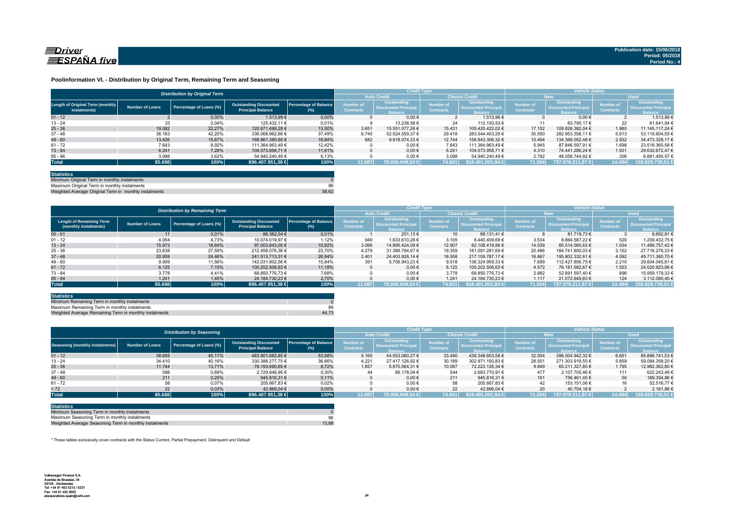

### **Poolinformation VI. - Distribution by Original Term, Remaining Term and Seasoning**

| <b>Auto Credit</b><br><b>Classic Credit</b><br><b>Used</b><br><b>New</b><br>Outstanding<br>Outstanding<br>Outstanding<br>Number of<br><b>Number of</b><br><b>Number of</b><br>Percentage of Balance<br>Number of<br>Length of Original Term (monthly<br><b>Outstanding Discounted</b><br><b>Discounted Principa</b><br><b>Discounted Principa</b><br>Percentage of Loans (%)<br><b>Discounted Principa</b><br><b>Number of Loans</b><br><b>Contracts</b><br><b>Contracts</b><br><b>Principal Balance</b><br><b>Contracts</b><br><b>Contracts</b><br>instalments)<br>$(\%)$<br><b>Balance</b><br><b>Balance</b><br><b>Ralance</b><br><b>Balance</b><br>0.00%<br>0,00%<br>1.513.99 €<br>0.00€<br>1.513.99 €<br>$01 - 12$<br>$0.00 \in$<br>33<br>$13 - 24$<br>0,04%<br>0.01%<br>22<br>125.432.11 €<br>13.238.58 €<br>24<br>112.193.53 €<br>63.790.17 €<br>$25 - 36$<br>19.082<br>13.50%<br>22.27%<br>3.651<br>1.980<br>109.826.382.04 €<br>120.971.499.28 €<br>15.431<br>17.102<br>15.551.077.26 €<br>105.420.422.02 €<br>36.163<br>42,20%<br>37,49%<br>30.550<br>5.613<br>$37 - 48$<br>6.745<br>52.524.559.37 €<br>29.418<br>282.953.358.11 €<br>336.068.962.66 €<br>283.544.403.29 €<br>$49 - 60$<br>682<br>2.932<br>13.426<br>18.84%<br>15.67%<br>168.861.380.65 €<br>9.918.074.33 €<br>12.744<br>10.494<br>134.388.052.48 €<br>158.943.306.32 €<br>$0.00 \in$<br>1.698<br>$61 - 72$<br>7.643<br>8,92%<br>12.42%<br>7.643<br>5.945<br>87.846.597.91 €<br>111.364.963.49 €<br>111.364.963.49 € |  | <b>Distribution by Original Term</b> |  |  |  | <b>Credit Type</b> |  |  | <b>Vehicle Status</b> |  |  |                                           |  |
|-----------------------------------------------------------------------------------------------------------------------------------------------------------------------------------------------------------------------------------------------------------------------------------------------------------------------------------------------------------------------------------------------------------------------------------------------------------------------------------------------------------------------------------------------------------------------------------------------------------------------------------------------------------------------------------------------------------------------------------------------------------------------------------------------------------------------------------------------------------------------------------------------------------------------------------------------------------------------------------------------------------------------------------------------------------------------------------------------------------------------------------------------------------------------------------------------------------------------------------------------------------------------------------------------------------------------------------------------------------------------------------------------------------------------------------------------------------------------------------------------|--|--------------------------------------|--|--|--|--------------------|--|--|-----------------------|--|--|-------------------------------------------|--|
|                                                                                                                                                                                                                                                                                                                                                                                                                                                                                                                                                                                                                                                                                                                                                                                                                                                                                                                                                                                                                                                                                                                                                                                                                                                                                                                                                                                                                                                                                               |  |                                      |  |  |  |                    |  |  |                       |  |  |                                           |  |
|                                                                                                                                                                                                                                                                                                                                                                                                                                                                                                                                                                                                                                                                                                                                                                                                                                                                                                                                                                                                                                                                                                                                                                                                                                                                                                                                                                                                                                                                                               |  |                                      |  |  |  |                    |  |  |                       |  |  | Outstanding<br><b>Discounted Principa</b> |  |
|                                                                                                                                                                                                                                                                                                                                                                                                                                                                                                                                                                                                                                                                                                                                                                                                                                                                                                                                                                                                                                                                                                                                                                                                                                                                                                                                                                                                                                                                                               |  |                                      |  |  |  |                    |  |  |                       |  |  | 1.513.99 €                                |  |
|                                                                                                                                                                                                                                                                                                                                                                                                                                                                                                                                                                                                                                                                                                                                                                                                                                                                                                                                                                                                                                                                                                                                                                                                                                                                                                                                                                                                                                                                                               |  |                                      |  |  |  |                    |  |  |                       |  |  | 61.641.94 €                               |  |
|                                                                                                                                                                                                                                                                                                                                                                                                                                                                                                                                                                                                                                                                                                                                                                                                                                                                                                                                                                                                                                                                                                                                                                                                                                                                                                                                                                                                                                                                                               |  |                                      |  |  |  |                    |  |  |                       |  |  | 11.145.117.24 €                           |  |
|                                                                                                                                                                                                                                                                                                                                                                                                                                                                                                                                                                                                                                                                                                                                                                                                                                                                                                                                                                                                                                                                                                                                                                                                                                                                                                                                                                                                                                                                                               |  |                                      |  |  |  |                    |  |  |                       |  |  | 53.115.604.55 €                           |  |
|                                                                                                                                                                                                                                                                                                                                                                                                                                                                                                                                                                                                                                                                                                                                                                                                                                                                                                                                                                                                                                                                                                                                                                                                                                                                                                                                                                                                                                                                                               |  |                                      |  |  |  |                    |  |  |                       |  |  | 34.473.328.17 €                           |  |
|                                                                                                                                                                                                                                                                                                                                                                                                                                                                                                                                                                                                                                                                                                                                                                                                                                                                                                                                                                                                                                                                                                                                                                                                                                                                                                                                                                                                                                                                                               |  |                                      |  |  |  |                    |  |  |                       |  |  | 23.518.365.58 6                           |  |
| 6.241<br>0.00€<br>1.931<br>$73 - 84$<br>7.28%<br>11.61%<br>4.310<br>104.073.958.71 €<br>6.241<br>104.073.958.71 €<br>74.441.286.24 €                                                                                                                                                                                                                                                                                                                                                                                                                                                                                                                                                                                                                                                                                                                                                                                                                                                                                                                                                                                                                                                                                                                                                                                                                                                                                                                                                          |  |                                      |  |  |  |                    |  |  |                       |  |  | 29.632.672.47 €                           |  |
| 3.098<br>$0,00 \in$<br>306<br>$85 - 96$<br>3,62%<br>6,13%<br>3.098<br>2.792<br>54.940.240,49 €<br>54.940.240,49 €<br>48.058.744,92 €                                                                                                                                                                                                                                                                                                                                                                                                                                                                                                                                                                                                                                                                                                                                                                                                                                                                                                                                                                                                                                                                                                                                                                                                                                                                                                                                                          |  |                                      |  |  |  |                    |  |  |                       |  |  | 6.881.495,57 €                            |  |
| 100%<br>100%<br>818.401.001,84 €<br>85.688<br>78.006.949,54 €<br>74.601<br>71.204<br><b>Total</b><br>896.407.951,38 €<br>11.087<br>737.578.211.87 €<br>14.484                                                                                                                                                                                                                                                                                                                                                                                                                                                                                                                                                                                                                                                                                                                                                                                                                                                                                                                                                                                                                                                                                                                                                                                                                                                                                                                                 |  |                                      |  |  |  |                    |  |  |                       |  |  | 158.829.739,51                            |  |

| <b>Statistics</b>                                     |       |
|-------------------------------------------------------|-------|
| Minimum Original Term in monthly instalments          |       |
| Maximum Original Term in monthly instalments          | 96    |
| Weighted Average Original Term in monthly instalments | 58.62 |

ed Average Original Term in monthly ins

|                                                          |                        | <b>Distribution by Remaining Term</b> |                                                           |                                     |                               | <b>Credit Type</b>                                           |                                      |                                                              | <b>Vehicle Status</b>                |                                                                    |                                      |                                                             |  |
|----------------------------------------------------------|------------------------|---------------------------------------|-----------------------------------------------------------|-------------------------------------|-------------------------------|--------------------------------------------------------------|--------------------------------------|--------------------------------------------------------------|--------------------------------------|--------------------------------------------------------------------|--------------------------------------|-------------------------------------------------------------|--|
|                                                          |                        |                                       |                                                           |                                     |                               | <b>Auto Credit</b>                                           | <b>Classic Credit</b>                |                                                              | <b>New</b>                           |                                                                    | <b>Used</b>                          |                                                             |  |
| <b>Lenght of Remaining Term</b><br>(monthly instalments) | <b>Number of Loans</b> | Percentage of Loans (%)               | <b>Outstanding Discounted</b><br><b>Principal Balance</b> | <b>Percentage of Balance</b><br>(%) | Number of<br><b>Contracts</b> | Outstanding<br><b>Discounted Principal</b><br><b>Balance</b> | <b>lumber</b> of<br><b>Contracts</b> | Outstanding<br><b>Discounted Principal</b><br><b>Balance</b> | <b>Number of</b><br><b>Contracts</b> | <b>Outstanding</b><br><b>Discounted Principa</b><br><b>Balance</b> | <b>Number of</b><br><b>Contracts</b> | <b>Outstanding</b><br><b>Discounted Principal</b><br>alance |  |
| $00 - 01$                                                | 11                     | 0,01%                                 | 88.382.54 €                                               | 0.01%                               |                               | 251.13 €                                                     | 10                                   | 88.131.41 €                                                  |                                      | 81.719.73 €                                                        |                                      | 6.662.816                                                   |  |
| $01 - 12$                                                | 4.054                  | 4,73%                                 | 10.074.019.97 €                                           | 1.12%                               | 949                           | 1.633.610.28 €                                               | 3.105                                | 8.440.409.69 €                                               | 3.534                                | 8.864.587.22 €                                                     | 520                                  | 1.209.432.75 €                                              |  |
| $13 - 24$                                                | 15.973                 | 18.64%                                | 97.003.843.05 €                                           | 10.82%                              | 3.066                         | 14.895.424.09 €                                              | 12.907                               | 82.108.418.96 €                                              | 14.039                               | 85.514.085.63 €                                                    | 1.934                                | 11.489.757.42 €                                             |  |
| $25 - 36$                                                | 23.638                 | 27,59%                                | 212.458.076.36 €                                          | 23,70%                              | 4.279                         | 31.366.794.67 €                                              | 19.359                               | 181.091.281.69 €                                             | 20.486                               | 184.741.800.03 €                                                   | 3.152                                | 27.716.276.33 6                                             |  |
| $37 - 48$                                                | 20.959                 | 24.46%                                | 241.513.713.31 €                                          | 26.94%                              | 2.401                         | 24.403.926.14 €                                              | 18.558                               | 217.109.787.17 €                                             | 16.867                               | 195.802.332.61 €                                                   | 4.092                                | 45.711.380.70 €                                             |  |
| $49 - 60$                                                | 9.909                  | 11,56%                                | 142.031.902.56 €                                          | 15,84%                              | 391                           | 5.706.943.23 €                                               | 9.518                                | 136.324.959.33 €                                             | 7.699                                | 112.427.856.75 €                                                   | 2.210                                | 29.604.045.81 6                                             |  |
| $61 - 72$                                                | 6.125                  | 7.15%                                 | 100.202.506.63 €                                          | 11.18%                              |                               | $0.00 \in$                                                   | 6.125                                | 100.202.506.63 €                                             | 4.572                                | 76.181.582.67 €                                                    | 1.553                                | 24.020.923.96 (                                             |  |
| $73 - 84$                                                | 3.778                  | 4.41%                                 | 68.850.776.73 €                                           | 7.68%                               |                               | $0.00 \in$                                                   | 3.778                                | 68.850.776.73 €                                              | 2.882                                | 52.891.597.40 €                                                    | 896                                  | 15.959.179.33 6                                             |  |
| $85 - 94$                                                | 1.241                  | 1,45%                                 | 24.184.730.23 €                                           | 2.70%                               |                               | $0.00 \in$                                                   | 1.241                                | 24.184.730.23 €                                              | 1.117                                | 21.072.649.83 €                                                    | 124                                  | 3.112.080.40 €                                              |  |
| <b>Total</b>                                             | 85.688                 | 100%                                  | 896.407.951,38 €                                          | 100%                                | 11.087                        | 78.006.949.54 €                                              | 74.601                               | 818.401.001.84 €                                             | 71.204                               | 1737.578.211.87 €                                                  | 14.484                               | 158.829.739,51 €                                            |  |

| <b>Statistics</b>                                      |       |
|--------------------------------------------------------|-------|
| Minimum Remaining Term in monthly instalments          |       |
| Maximum Remaining Term in monthly instalments          | 89    |
| Weighted Average Remaining Term in monthly instalments | 44.73 |

|                                        |                        | <b>Distribution by Seasoning</b> |                                                           |                                     |                               | <b>Credit Type</b>                                           |                                      |                                                              | <b>Vehicle Status</b>         |                                                                    |                                      |                                                                     |  |
|----------------------------------------|------------------------|----------------------------------|-----------------------------------------------------------|-------------------------------------|-------------------------------|--------------------------------------------------------------|--------------------------------------|--------------------------------------------------------------|-------------------------------|--------------------------------------------------------------------|--------------------------------------|---------------------------------------------------------------------|--|
|                                        |                        |                                  |                                                           |                                     |                               | <b>Auto Credit</b>                                           |                                      | <b>Classic Credit</b>                                        |                               | <b>New</b>                                                         |                                      | <b>Used</b>                                                         |  |
| <b>Seasoning (monthly instalments)</b> | <b>Number of Loans</b> | Percentage of Loans (%)          | <b>Outstanding Discounted</b><br><b>Principal Balance</b> | <b>Percentage of Balance</b><br>(%) | Number of<br><b>Contracts</b> | Outstanding<br><b>Discounted Principal</b><br><b>Balance</b> | <b>lumber</b> of<br><b>Contracts</b> | Outstanding<br><b>Discounted Principal</b><br><b>Balance</b> | Number of<br><b>Contracts</b> | <b>Outstanding</b><br><b>Discounted Principa</b><br><b>Ralance</b> | <b>Number of</b><br><b>Contracts</b> | <b>Outstanding</b><br><b>Discounted Principal</b><br><b>Balance</b> |  |
| $01 - 12$                              | 38.655                 | 45,11%                           | 483.901.683.85 €                                          | 53,98%                              | 5.165                         | 44.553.080.27 €                                              | 33.490                               | 439.348.603.58 €                                             | 32.004                        | 398.004.942.32 €                                                   | 6.651                                | 85.896.741.53 €                                                     |  |
| $13 - 24$                              | 34,410                 | 40,16%                           | 330.388.277.75 €                                          | 36,86%                              | 4.221                         | 27.417.126.92 €                                              | 30.189                               | 302.971.150.83 €                                             | 28.551                        | 271.303.919.55 €                                                   | 5.859                                | 59.084.358,20 €                                                     |  |
| $25 - 36$                              | 11.744                 | 13,71%                           | 78.193.690.65 €                                           | 8.72%                               | 1.657                         | 5.970.564.31 €                                               | 10.087                               | 72.223.126.34 €                                              | 9.949                         | 65.211.327.85 €                                                    | 1.795                                | 12.982.362,80 €                                                     |  |
| $37 - 48$                              | 588                    | 0,69%                            | 2.729.948.95 €                                            | 0,30%                               | 44                            | 66.178.04 €                                                  | 544                                  | 2.663.770.91 €                                               | 477                           | 2.107.705.46 €                                                     | 111                                  | 622.243.49 €                                                        |  |
| $49 - 60$                              | 211                    | 0,25%                            | 945.816.31 €                                              | 0.11%                               |                               | $0,00 \in$                                                   | 211                                  | 945.816.31 €                                                 | 161                           | 756.461.45 €                                                       | 50                                   | 189.354.86 €                                                        |  |
| $61 - 72$                              | 58                     | 0.07%                            | 205.667.83 €                                              | 0.02%                               |                               | $0.00 \in$                                                   | 58                                   | 205.667.83 €                                                 |                               | 153.151.06 €                                                       | 16                                   | 52.516.77 6                                                         |  |
| > 72                                   | 22                     | 0,03%                            | 42.866.04 €                                               | 0,00%                               |                               | $0,00 \in$                                                   | 22                                   | 42.866.04 €                                                  | 20                            | 40.704.18 €                                                        |                                      | 2.161.86 €                                                          |  |
| <b>Total</b>                           | 85.688                 | 100%                             | 896.407.951.38 €                                          | 100%                                | 11.087                        | 78.006.949.54 €                                              | 74.601 $\parallel$                   | 818.401.001.84 €                                             | 71.204                        | 737.578.211.87 €                                                   | 14.484                               | 158.829.739.51 €                                                    |  |

| <b>Statistics</b>                                      |       |
|--------------------------------------------------------|-------|
| Minimum Seasoning Term in monthly instalments          |       |
| Maximum Seasoning Term in monthly instalments          | 96    |
| Weighted Average Seasoning Term in monthly instalments | 13.88 |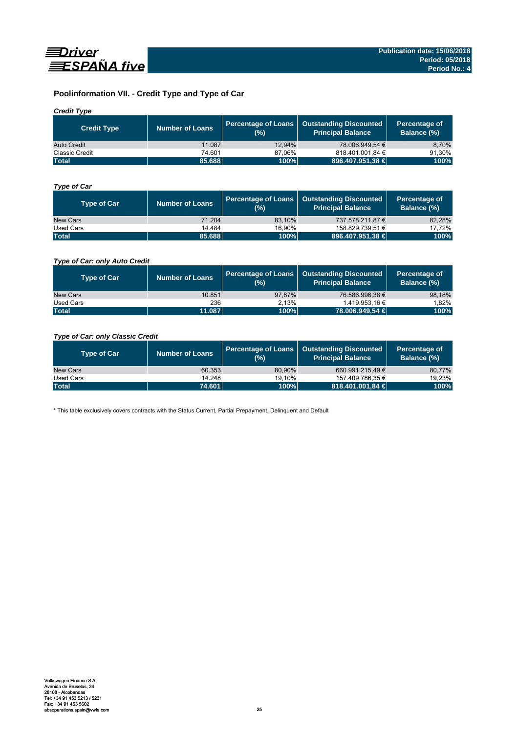

## **Poolinformation VII. - Credit Type and Type of Car**

## *Credit Type*

| <b>Credit Type</b> | Number of Loans | (%)    | Percentage of Loans   Outstanding Discounted<br>Principal Balance | Percentage of<br>Balance (%) |
|--------------------|-----------------|--------|-------------------------------------------------------------------|------------------------------|
| Auto Credit        | 11.087          | 12.94% | 78.006.949.54 €                                                   | 8,70%                        |
| Classic Credit     | 74.601          | 87.06% | 818.401.001.84 €                                                  | 91.30%                       |
| <b>Total</b>       | 85.688          | 100%   | 896.407.951,38 €                                                  | 100%                         |

## *Type of Car*

| <b>Type of Car</b> | <b>Number of Loans</b> | (%)    | Percentage of Loans   Outstanding Discounted<br><b>Principal Balance</b> | Percentage of<br>Balance (%) |
|--------------------|------------------------|--------|--------------------------------------------------------------------------|------------------------------|
| New Cars           | 71.204                 | 83.10% | 737.578.211.87 €                                                         | 82,28%                       |
| Used Cars          | 14.484                 | 16.90% | 158.829.739,51 €                                                         | 17,72%                       |
| <b>Total</b>       | 85,688                 | 100%   | 896.407.951,38 €                                                         | 100%                         |

## *Type of Car: only Auto Credit*

| <b>Type of Car</b> | <b>Number of Loans</b> | (%)    | Percentage of Loans   Outstanding Discounted<br><b>Principal Balance</b> | Percentage of<br>Balance (%) |
|--------------------|------------------------|--------|--------------------------------------------------------------------------|------------------------------|
| New Cars           | 10.851                 | 97.87% | 76.586.996.38 €                                                          | 98,18%                       |
| Used Cars          | 236                    | 2.13%  | 1.419.953.16 €                                                           | 1.82%                        |
| <b>Total</b>       | 11.087                 | 100%   | 78.006.949.54 €                                                          | 100%                         |

## *Type of Car: only Classic Credit*

| <b>Type of Car</b> | <b>Number of Loans</b> | (%)    | Percentage of Loans   Outstanding Discounted<br><b>Principal Balance</b> | Percentage of<br>Balance (%) |
|--------------------|------------------------|--------|--------------------------------------------------------------------------|------------------------------|
| New Cars           | 60.353                 | 80.90% | 660.991.215.49 €                                                         | 80,77%                       |
| Used Cars          | 14.248                 | 19.10% | 157.409.786.35 €                                                         | 19,23%                       |
| <b>Total</b>       | 74.601                 | 100%   | 818.401.001,84 €                                                         | 100%                         |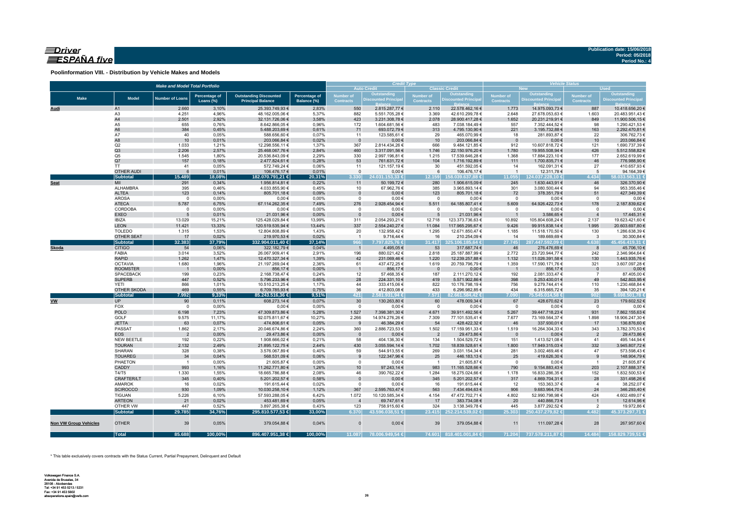## $\equiv$ Driver ESPAÑA five

**Poolinformation VIII. - Distribution by Vehicle Makes and Models**

|                       |                                | <b>Make and Model Total Portfolio</b> |                                   |                                                           |                              |                                      | <b>Credit Type</b><br><b>Auto Credit</b> |                          | <b>Classic Credit</b>              | <b>Vehicle Status</b><br><b>New</b><br><b>Used</b> |                                    |                         |                                  |  |  |
|-----------------------|--------------------------------|---------------------------------------|-----------------------------------|-----------------------------------------------------------|------------------------------|--------------------------------------|------------------------------------------|--------------------------|------------------------------------|----------------------------------------------------|------------------------------------|-------------------------|----------------------------------|--|--|
|                       |                                |                                       |                                   |                                                           |                              |                                      | Outstanding                              | Number of                | Outstanding                        | <b>Number of</b>                                   | Outstanding                        | <b>Number of</b>        | <b>Outstanding</b>               |  |  |
| <b>Make</b>           | <b>Model</b>                   | <b>Number of Loans</b>                | <b>Percentage of</b><br>Loans (%) | <b>Outstanding Discounted</b><br><b>Principal Balance</b> | Percentage of<br>Balance (%) | <b>Number of</b><br><b>Contracts</b> | <b>Discounted Principa</b>               | <b>Contracts</b>         | <b>Discounted Principa</b>         | <b>Contracts</b>                                   | <b>Discounted Principa</b>         | <b>Contracts</b>        | <b>Discounted Principal</b>      |  |  |
| Audi                  | A1                             | 2.660                                 | 3,10%                             | 25.393.749,93 €                                           | 2,83%                        | 550                                  | 2.815.287,77 €                           | 2.110                    | 22.578.462,16 €                    | 1.773                                              | 14.975.093,73 €                    | 887                     | 10.418.656,20 €                  |  |  |
|                       | A <sub>3</sub>                 | 4.251                                 | 4,96%                             | 48.162.005,06 €                                           | 5,37%                        | 882                                  | 5.551.705,28 €                           | 3.369                    | 42.610.299,78 €                    | 2.648                                              | 27.678.053,63 €                    | 1.603                   | 20.483.951,43 €                  |  |  |
|                       | A4                             | 2.501                                 | 2,92%                             | 32.131.726,06 €                                           | 3,58%                        | 423                                  | 3.231.308,78 €                           | 2.078                    | 28.900.417,28 €                    | 1.652                                              | 20.231.219,91 €                    | 849                     | 11.900.506,15 €                  |  |  |
|                       | A5                             | 655                                   | 0,76%                             | 8.642.866,05 €                                            | 0,96%                        | 172                                  | 1.604.681,56 €                           | 483                      | 7.038.184,49 €                     | 557                                                | 7.352.444,52 €                     | 98                      | 1.290.421,53 €                   |  |  |
|                       | A <sub>6</sub>                 | 384                                   | 0,45%                             | 5.488.203,69 €                                            | 0,61%                        | 71                                   | 693.072,79€                              | 313                      | 4.795.130,90 €                     | 221                                                | 3.195.732,88 €                     | 163                     | 2.292.470,81 €                   |  |  |
|                       | A7<br>A8                       | 40<br>10                              | 0,05%<br>0,01%                    | 588.656,60 €<br>203.066,84 €                              | 0,07%<br>0,02%               | 11<br>$\mathbf 0$                    | 123.585,61 €<br>$0,00 \in$               | 29<br>10                 | 465.070,99 €<br>203.066,84 €       | 18<br>$\overline{\mathbf{0}}$                      | 281.893,87 €<br>$0,00 \in$         | 22<br>10                | 306.762,73 €<br>203.066,84 €     |  |  |
|                       | Q2                             | 1.033                                 | 1,21%                             | 12.298.556,11 €                                           | 1,37%                        | 367                                  | 2.814.434,26 €                           | 666                      | 9.484.121,85 €                     | 912                                                | 10.607.818,72 €                    | 121                     | 1.690.737,39 €                   |  |  |
|                       | Q3                             | 2.206                                 | 2,57%                             | 25.468.067,76 €                                           | 2,84%                        | 460                                  | 3.317.091,56 €                           | 1.746                    | 22.150.976,20 €                    | 1.780                                              | 19.955.508,94 €                    | 426                     | 5.512.558,82 €                   |  |  |
|                       | Q <sub>5</sub>                 | 1.545                                 | 1,80%                             | 20.536.843,09 €                                           | 2,29%                        | 330                                  | 2.997.196,81 €                           | 1.215                    | 17.539.646,28 €                    | 1.368                                              | 17.884.223,10 €                    | 177                     | 2.652.619,99 €                   |  |  |
|                       | Q7                             | 157                                   | 0,18%                             | 2.477.824,61 €                                            | 0,28%                        | 53                                   | 761.631,72 €                             | 104                      | 1.716.192,89 €                     | 111                                                | 1.700.835,71 €                     | 46                      | 776.988,90 €                     |  |  |
|                       | <b>TT</b><br><b>OTHER AUDI</b> | 41<br>6                               | 0,05%<br>0,01%                    | 572.749,24 €<br>106.476,17 €                              | 0,06%<br>0,01%               | 11<br>$\mathbf 0$                    | 121.157,19€<br>$0,00 \in$                | 30<br>$6\phantom{.}6$    | 451.592,05€<br>106.476,17 €        | 14<br>$\overline{1}$                               | 162.091,31 €<br>12.311,78 €        | 27<br>5                 | 410.657,93 €<br>94.164,39 €      |  |  |
|                       | Subtotal                       | 15.489                                | 18,08%                            | 182.070.791,21 €                                          | 20,31%                       | 3.330                                | 24.031.153.33 €                          | 12.159                   | 158.039.637.88 €                   | 11.055                                             | 124.037.228,10 €                   | 4.434                   | 58.033.563,11 €                  |  |  |
| Seat                  | MII                            | 291                                   | 0,34%                             | 1.956.814,81 €                                            | 0,22%                        | 11                                   | 50.199,72€                               | 280                      | 1.906.615,09 €                     | 245                                                | 1.630.443,91 €                     | 46                      | 326.370,90 €                     |  |  |
|                       | ALHAMBRA                       | 395                                   | 0,46%                             | 4.033.855,90 €                                            | 0,45%                        | 10                                   | 67.962,76 €                              | 385                      | 3.965.893,14 €                     | 301                                                | 3.080.500,44 €                     | 94                      | 953.355,46 €                     |  |  |
|                       | <b>ALTEA</b>                   | 123                                   | 0,14%                             | 805.701,18€                                               | 0,09%                        | $\mathbf 0$                          | $0,00 \in$                               | 123                      | 805.701,18 €                       | 72                                                 | 378.351,79€                        | 51                      | 427.349,39 €                     |  |  |
|                       | <b>AROSA</b>                   | $\mathbf 0$                           | 0,00%                             | $0,00 \in$                                                | 0,00%                        | $^{\circ}$                           | $0,00 \in$                               | $\overline{0}$           | $0,00 \in$                         | $\mathbf{0}$                                       | $0,00 \in$                         | $\overline{0}$          | $0,00$ €                         |  |  |
|                       | <b>ATECA</b>                   | 5.787<br>$\mathbf 0$                  | 6,75%                             | 67.114.262,35 €                                           | 7,49%                        | 276<br>$\mathbf{0}$                  | 2.928.454,94 €<br>$0,00 \in$             | 5.511<br>$\Omega$        | 64.185.807,41 €                    | 5.609                                              | 64.926.422,73 €                    | 178<br>$\mathbf 0$      | 2.187.839,62 €<br>$0,00$ €       |  |  |
|                       | CORDOBA<br><b>EXEO</b>         | 5                                     | 0,00%<br>0,01%                    | $0,00 \in$<br>21.031,96 €                                 | 0,00%<br>0,00%               | $\overline{0}$                       | $0,00 \in$                               | 5                        | $0,00 \in$<br>21.031,96 €          | $\overline{0}$<br>$\overline{1}$                   | $0,00 \in$<br>3.586,65 €           |                         | 17.445,31 €                      |  |  |
|                       | <b>IBIZA</b>                   | 13.029                                | 15,21%                            | 125.428.029,84 €                                          | 13,99%                       | 311                                  | 2.054.293,21 €                           | 12.718                   | 123.373.736,63 €                   | 10.892                                             | 105.804.608,24 €                   | 2.137                   | 19.623.421,60 €                  |  |  |
|                       | <b>LEON</b>                    | 11.421                                | 13,33%                            | 120.519.535,94 €                                          | 13,44%                       | 337                                  | 2.554.240,27 €                           | 11.084                   | 117.965.295,67 €                   | 9.426                                              | 99.915.838,14 €                    | 1.995                   | 20.603.697,80 €                  |  |  |
|                       | <b>TOLEDO</b>                  | 1.315                                 | 1,53%                             | 12.804.808,89 €                                           | 1,43%                        | 20                                   | 132.958,42 €                             | 1.295                    | 12.671.850,47 €                    | 1.185                                              | 11.518.170,50 €                    | 130                     | 1.286.638,39 €                   |  |  |
|                       | <b>OTHER SEAT</b>              | 17                                    | 0,02%                             | 219.970,53€                                               | 0,02%                        | $\overline{1}$                       | 9.716,44 €                               | 16                       | 210.254,09€                        | 14                                                 | 189.669,69€                        | $\overline{\mathbf{3}}$ | 30.300,84 €                      |  |  |
|                       | <b>Subtotal</b>                | 32.383                                | 37,79%                            | 332.904.011,40 €                                          | 37,14%                       | 966                                  | 7.797.825,76 €                           | 31.417                   | 325.106.185,64 €                   | 27.745                                             | 287.447.592,09 €                   | 4.638                   | 45.456.419,31 €                  |  |  |
| <b>Skoda</b>          | <b>CITIGO</b>                  | 54                                    | 0,06%                             | 322.182,79€                                               | 0,04%                        | $\overline{1}$                       | 4.495,05€                                | 53                       | 317.687,74 €                       | 46                                                 | 276.476,69€                        | 8                       | 45.706,10€                       |  |  |
|                       | FABIA<br><b>RAPID</b>          | 3.014<br>1.262                        | 3,52%                             | 26.067.909,41 €                                           | 2,91%<br>1,39%               | 196<br>42                            | 880.021,42 €<br>231.069,46 €             | 2.818<br>1.220           | 25.187.887,99 €<br>12.239.257,88 € | 2.772<br>1.132                                     | 23.720.944,77 €<br>11.026.391,58 € | 242<br>130              | 2.346.964,64 €<br>1.443.935,76 € |  |  |
|                       | <b>OCTAVIA</b>                 | 1.680                                 | 1,47%<br>1,96%                    | 12.470.327,34 €<br>21.197.269,04 €                        | 2,36%                        | 61                                   | 437.472,25 €                             | 1.619                    | 20.759.796,79 €                    | 1.359                                              | 17.590.171,76 €                    | 321                     | 3.607.097,28 €                   |  |  |
|                       | <b>ROOMSTER</b>                | $\overline{1}$                        | 0,00%                             | 856,17€                                                   | 0,00%                        | $\overline{1}$                       | 856,17€                                  | $\overline{\phantom{0}}$ | $0,00 \in$                         | $\overline{\phantom{0}}$                           | 856,17€                            | $\overline{0}$          | $0,00$ €                         |  |  |
|                       | <b>SPACEBACK</b>               | 199                                   | 0,23%                             | 2.168.738,47 €                                            | 0,24%                        | 12                                   | 57.468,35 €                              | 187                      | 2.111.270,12 €                     | 192                                                | 2.081.333,47 €                     | $\overline{7}$          | 87.405,00 €                      |  |  |
|                       | <b>SUPERB</b>                  | 447                                   | 0,52%                             | 5.796.233,96 €                                            | 0,65%                        | 28                                   | 224.331,10 €                             | 419                      | 5.571.902,86 €                     | 398                                                | 5.253.430,01 €                     | 49                      | 542.803,95 €                     |  |  |
|                       | YETI<br><b>OTHER SKODA</b>     | 866                                   | 1,01%<br>0,55%                    | 10.510.213,25€                                            | 1,17%                        | 44                                   | 333.415,06 €                             | 822                      | 10.176.798,19 €                    | 756<br>434                                         | 9.279.744,41 €                     | 110                     | 1.230.468,84 €                   |  |  |
|                       | Subtotal                       | 469<br>7.992                          | 9,33%                             | 6.709.785,93 €<br>85.243.516.36 €                         | 0,75%<br>9,51%               | 36<br>421                            | 412.803,08 €<br>2.581.931.94 €           | 433<br>7.571             | 6.296.982,85 €<br>82.661.584.42€   | 7.090                                              | 6.315.665,72 €<br>75.545.014.58 €  | 35<br>902               | 394.120,21 €<br>9.698.501.78 €   |  |  |
| <b>VW</b>             | <b>UP</b>                      | 90                                    | 0,11%                             | 608.273,14 €                                              | 0,07%                        | 30                                   | 130.263,80 €                             | 60                       | 478.009,34 €                       | 67                                                 | 428.670,62 €                       | 23                      | 179.602,52 €                     |  |  |
|                       | FOX                            | $\overline{0}$                        | 0,00%                             | $0,00 \in$                                                | 0,00%                        | $\mathbf{0}$                         | $0,00 \in$                               | $\overline{0}$           | $0,00 \in$                         | $\overline{0}$                                     | $0,00 \in$                         | $\overline{0}$          | $0,00 \in$                       |  |  |
|                       | <b>POLO</b>                    | 6.198                                 | 7,23%                             | 47.309.873,86 €                                           | 5,28%                        | 1.527                                | 7.398.381,30 €                           | 4.671                    | 39.911.492,56 €                    | 5.267                                              | 39.447.718,23 €                    | 931                     | 7.862.155,63 €                   |  |  |
|                       | GOLF                           | 9.575                                 | 11,17%                            | 92.075.811,67 €                                           | 10,27%                       | 2.266                                | 14.974.276,26 €                          | 7.309                    | 77.101.535,41 €                    | 7.677                                              | 73.169.564,37 €                    | 1.898                   | 18.906.247,30 €                  |  |  |
|                       | <b>JETTA</b>                   | 63                                    | 0,07%                             | 474.806,61 €                                              | 0,05%                        | 9                                    | 46.384,29 €                              | 54                       | 428.422,32 €                       | 46                                                 | 337.930,01 €                       | 17                      | 136.876,60 €                     |  |  |
|                       | <b>PASSAT</b>                  | 1.862                                 | 2,17%                             | 20.046.674,86 €                                           | 2,24%                        | 360                                  | 2.886.723,53 €                           | 1.502                    | 17.159.951,33 €                    | 1.519                                              | 16.264.304,33 €                    | 343                     | 3.782.370.53 €                   |  |  |
|                       | <b>EOS</b><br>NEW BEETLE       | $\overline{2}$<br>192                 | 0,00%<br>0,22%                    | 29.473,86 €<br>1.908.666,02 €                             | 0,00%<br>0,21%               | $\overline{0}$<br>58                 | $0,00 \in$<br>404.136,30 €               | $\overline{2}$<br>134    | 29.473,86 €<br>1.504.529,72 €      | $\overline{\mathbf{0}}$<br>151                     | $0,00 \in$<br>1.413.521,08 €       | $\overline{2}$<br>41    | 29.473,86 €<br>495.144,94 €      |  |  |
|                       | <b>TOURAN</b>                  | 2.132                                 | 2,49%                             | 21.895.122,75 €                                           | 2,44%                        | 430                                  | 3.055.594,14 €                           | 1.702                    | 18.839.528,61 €                    | 1.800                                              | 17.949.315,03 €                    | 332                     | 3.945.807,72 €                   |  |  |
|                       | SHARAN                         | 328                                   | 0,38%                             | 3.576.067,89 €                                            | 0,40%                        | 59                                   | 544.913,55 €                             | 269                      | 3.031.154,34 €                     | 281                                                | 3.002.469,46 €                     | 47                      | 573.598,43€                      |  |  |
|                       | <b>TOUAREG</b>                 | 34                                    | 0,04%                             | 568.531,09 €                                              | 0,06%                        | 9                                    | 122.347,96 €                             | 25                       | 446.183,13€                        | 25                                                 | 419.626,30 €                       | 9                       | 148.904,79 €                     |  |  |
|                       | PHAETON                        | $\overline{1}$                        | 0,00%                             | 21.605,87 €                                               | 0,00%                        | $^{\circ}$                           | $0,00 \in$                               | $\overline{1}$           | 21.605,87 €                        | $^{\circ}$                                         | $0,00 \in$                         | $\overline{1}$          | 21.605,87 €                      |  |  |
|                       | CADDY                          | 993                                   | 1,16%                             | 11.262.771,80 €                                           | 1,26%                        | 10                                   | 97.243,14 €                              | 983                      | 11.165.528,66 €                    | 790                                                | 9.154.883,43 €                     | 203                     | 2.107.888,37 €                   |  |  |
|                       | T4/T5                          | 1.330                                 | 1,55%                             | 18.665.786,88 €                                           | 2,08%                        | 46                                   | 390.762,22 €                             | 1.284                    | 18.275.024,66 €                    | 1.178                                              | 16.833.286,35 €                    | 152                     | 1.832.500,53 €                   |  |  |
|                       | <b>CRAFTER/LT</b>              | 345                                   | 0,40%                             | 5.201.202,57 €                                            | 0,58%                        | $\mathbf 0$                          | $0.00 \in$                               | 345                      | 5.201.202,57 €                     | 317                                                | 4.869.704,31 €                     | 28                      | 331.498,26€                      |  |  |
|                       | AMAROK<br><b>SCIROCCO</b>      | 16<br>930                             | 0,02%<br>1,09%                    | 191.615,44 €<br>10.030.258,10 €                           | 0,02%<br>1,12%               | $\mathsf 0$<br>367                   | $0,00 \in$<br>2.595.763,47 €             | 16<br>563                | 191.615,44 €<br>7.434.494,63 €     | 12<br>906                                          | 153.363,37 €<br>9.683.964,70 €     | 4<br>24                 | 38.252,07 €<br>346.293,40 €      |  |  |
|                       | <b>TIGUAN</b>                  | 5.226                                 | 6,10%                             | 57.593.288,05 €                                           | 6,42%                        | 1.072                                | 10.120.585,34 €                          | 4.154                    | 47.472.702,71 €                    | 4.802                                              | 52.990.798,98 €                    | 424                     | 4.602.489.07 €                   |  |  |
|                       | <b>ARTEON</b>                  | 21                                    | 0,02%                             | 453.481,69€                                               | 0,05%                        | $\overline{4}$                       | 69.747,61 €                              | 17                       | 383.734,08 €                       | 20                                                 | 440.866,73 €                       | $\overline{1}$          | 12.614,96€                       |  |  |
|                       | OTHER VW                       | 447                                   | 0,52%                             | 3.897.265,38 €                                            | 0,43%                        | 123                                  | 758.915,60 €                             | 324                      | 3.138.349,78 €                     | 445                                                | 3.877.292,52 €                     | $\overline{2}$          | 19.972,86 €                      |  |  |
|                       | Subtotal                       | 29.785                                | 34,76%                            | 295.810.577,53 €                                          | 33.00%                       | 6.370                                | 43.596.038,51 €                          |                          | 23.415 252.214.539.02 €            | 25.303                                             | 250.437.279.82 €                   | 4.482                   | 45.373.297.71 €                  |  |  |
| Non VW Group Vehicles | <b>OTHER</b>                   | 39                                    | 0,05%                             | 379.054,88 €                                              | 0,04%                        | $\Omega$                             | $0,00 \in$                               | 39                       | 379.054,88€                        | 11                                                 | 111.097,28 €                       | 28                      | 267.957,60 €                     |  |  |
|                       | <b>Total</b>                   | 85.688                                | 100,00%                           | 896.407.951,38 €                                          | 100,00%                      | 11.087                               | 78.006.949,54 €                          |                          | 74.601 818.401.001,84 €            | 71.204                                             | 737.578.211,87 €                   | 14.484                  | 158.829.739,51 €                 |  |  |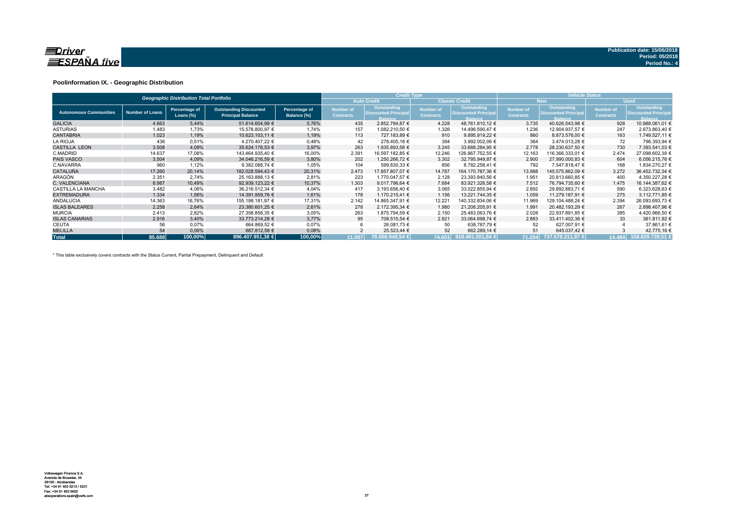

### **Poolinformation IX. - Geographic Distribution**

|                               |                        | <b>Geographic Distribution Total Portfolio</b> |                                                           |                              |                               | <b>Credit Type</b>                                           |                                      |                                                              | <b>Vehicle Status</b>                |                                                              |                               |                                                              |  |  |
|-------------------------------|------------------------|------------------------------------------------|-----------------------------------------------------------|------------------------------|-------------------------------|--------------------------------------------------------------|--------------------------------------|--------------------------------------------------------------|--------------------------------------|--------------------------------------------------------------|-------------------------------|--------------------------------------------------------------|--|--|
|                               |                        |                                                |                                                           |                              |                               | <b>Auto Credit</b>                                           |                                      | <b>Classic Credit</b>                                        |                                      | <b>New</b>                                                   |                               | <b>Used</b>                                                  |  |  |
| <b>Autonomous Communities</b> | <b>Number of Loans</b> | Percentage of<br>Loans $(\%)$                  | <b>Outstanding Discounted</b><br><b>Principal Balance</b> | Percentage of<br>Balance (%) | Number of<br><b>Contracts</b> | Outstanding<br><b>Discounted Principal</b><br><b>Balance</b> | <b>Number of</b><br><b>Contracts</b> | Outstanding<br><b>Discounted Principal</b><br><b>Balance</b> | <b>Number of</b><br><b>Contracts</b> | Outstanding<br><b>Discounted Principal</b><br><b>Balance</b> | Number of<br><b>Contracts</b> | Outstanding<br><b>Discounted Principal</b><br><b>Balance</b> |  |  |
| <b>GALICIA</b>                | 4.663                  | 5,44%                                          | 51.614.604,99 €                                           | 5,76%                        | 435                           | 2.852.794,87 €                                               | 4.228                                | 48.761.810.12 €                                              | 3.735                                | 40.626.543.98 €                                              | 928                           | 10.988.061,01 €                                              |  |  |
| <b>ASTURIAS</b>               | 1.483                  | 1,73%                                          | 15.578.800,97 €                                           | 1,74%                        | 157                           | 1.082.210,50 €                                               | 1.326                                | 14.496.590,47 €                                              | 1.236                                | 12.904.937,57 €                                              | 247                           | 2.673.863,40 €                                               |  |  |
| <b>CANTABRIA</b>              | 1.023                  | 1.19%                                          | 10.623.103.11 €                                           | 1,19%                        | 113                           | 727.183.89 €                                                 | 910                                  | 9.895.919.22 €                                               | 860                                  | 8.873.576.00 €                                               | 163                           | 1.749.527.11 €                                               |  |  |
| <b>LA RIOJA</b>               | 436                    | 0,51%                                          | 4.270.407.22 €                                            | 0,48%                        | 42                            | 278.405,16 €                                                 | 394                                  | 3.992.002,06 €                                               | 364                                  | 3.474.013.28 €                                               | 72                            | 796.393,94 €                                                 |  |  |
| <b>CASTILLA LEON</b>          | 3.508                  | 4,09%                                          | 35.624.178.53 €                                           | 3,97%                        | 263                           | 1.935.893.58 €                                               | 3.245                                | 33.688.284.95 €                                              | 2.778                                | 28.230.637.50 €                                              | 730                           | 7.393.541,03 €                                               |  |  |
| C.MADRID                      | 14.637                 | 17,08%                                         | 143.464.935.40 €                                          | 16,00%                       | 2.391                         | 16.597.182,85 €                                              | 12.246                               | 126.867.752,55 €                                             | 12.163                               | 116.366.333,01 €                                             | 2.474                         | 27.098.602,39 €                                              |  |  |
| <b>PAIS VASCO</b>             | 3.504                  | 4,09%                                          | 34.046.216.59 €                                           | 3,80%                        | 202                           | 1.250.266.72 €                                               | 3.302                                | 32.795.949,87 €                                              | 2.900                                | 27.990.000.83 €                                              | 604                           | 6.056.215,76 €                                               |  |  |
| C.NAVARRA                     | 960                    | 1,12%                                          | 9.382.088,74 €                                            | 1,05%                        | 104                           | 599.830,33 €                                                 | 856                                  | 8.782.258,41 €                                               | 792                                  | 7.547.818.47 €                                               | 168                           | 1.834.270.27 €                                               |  |  |
| <b>CATALUÑA</b>               | 17.260                 | 20,14%                                         | 182.028.594,43 €                                          | 20,31%                       | 2.473                         | 17.857.807.07 €                                              | 14.787                               | 164.170.787.36 €                                             | 13.988                               | 145.575.862.09 €                                             | 3.272                         | 36.452.732,34 €                                              |  |  |
| ARAGÓN                        | 2.351                  | 2.74%                                          | 25.163.888.13 €                                           | 2,81%                        | 223                           | 1.770.047.57 €                                               | 2.128                                | 23.393.840,56 €                                              | 1.951                                | 20.813.660,85 €                                              | 400                           | 4.350.227.28 €                                               |  |  |
| C. VALENCIANA                 | 8.987                  | 10.49%                                         | 92.939.123.22 €                                           | 10,37%                       | 1.303                         | 9.017.796.64 €                                               | 7.684                                | 83.921.326,58 €                                              | 7.512                                | 76.794.735,60 €                                              | 1.475                         | 16.144.387.62 €                                              |  |  |
| <b>CASTILLA LA MANCHA</b>     | 3.482                  | 4,06%                                          | 36.216.512.34 €                                           | 4,04%                        | 417                           | 3.193.656,40 €                                               | 3.065                                | 33.022.855.94 €                                              | 2.892                                | 29.892.883,71 €                                              | 590                           | 6.323.628,63 €                                               |  |  |
| <b>EXTREMADURA</b>            | 1.334                  | 1,56%                                          | 14.391.959,76 €                                           | 1,61%                        | 178                           | 1.170.215.41 €                                               | 1.156                                | 13.221.744,35 €                                              | 1.059                                | 11.279.187.91 €                                              | 275                           | 3.112.771.85 €                                               |  |  |
| <b>ANDALUCIA</b>              | 14.363                 | 16,76%                                         | 155.198.181,97 €                                          | 17,31%                       | 2.142                         | 14.865.347,91 €                                              | 12.221                               | 140.332.834,06 €                                             | 11.969                               | 129.104.488,24 €                                             | 2.394                         | 26.093.693,73 €                                              |  |  |
| <b>ISLAS BALEARES</b>         | 2.258                  | 2,64%                                          | 23.380.601,25 €                                           | 2,61%                        | 278                           | 2.172.395,34 €                                               | 1.980                                | 21.208.205,91 €                                              | 1.991                                | 20.482.193,29 €                                              | 267                           | 2.898.407,96 €                                               |  |  |
| <b>MURCIA</b>                 | 2.413                  | 2,82%                                          | 27.358.858.35 €                                           | 3,05%                        | 263                           | 1.875.794.59 €                                               | 2.150                                | 25.483.063.76 €                                              | 2.028                                | 22.937.891.85 €                                              | 385                           | 4.420.966.50 €                                               |  |  |
| <b>ISLAS CANARIAS</b>         | 2.916                  | 3,40%                                          | 33.773.214,28 €                                           | 3.77%                        | 95                            | 708.515.54 €                                                 | 2.821                                | 33.064.698.74 €                                              | 2.883                                | 33.411.402.36 €                                              | 33                            | 361.811,92 €                                                 |  |  |
| CEUTA                         | 56                     | 0,07%                                          | 664.869,52 €                                              | 0,07%                        |                               | 26.081,73 €                                                  | 50                                   | 638.787,79 €                                                 | 52                                   | 627.007,91 €                                                 |                               | 37.861,61 €                                                  |  |  |
| <b>MELILLA</b>                | 54                     | 0,06%                                          | 687.812,58 €                                              | 0,08%                        |                               | 25.523,44 €                                                  | 52                                   | 662.289,14 €                                                 | 51                                   | 645.037,42 €                                                 |                               | 42.775,16 €                                                  |  |  |
| <b>Total</b>                  | 85.688                 | 100,00%                                        | 896.407.951,38 €                                          | 100,00%                      | 11.087                        | 78.006.949.54 €                                              |                                      | 74.601 818.401.001,84 €                                      | 71.204                               | 737.578.211.87 €                                             | 14.484                        | 158.829.739,51 €                                             |  |  |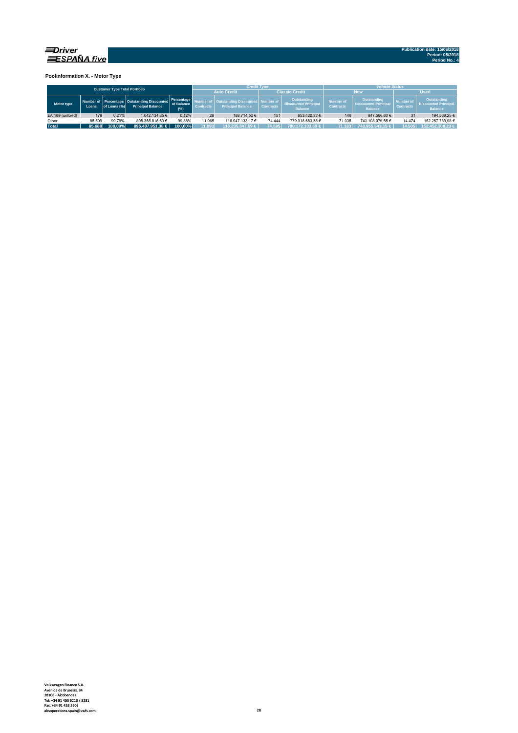

**Poolinformation X. - Motor Type**

|                  |        | <b>Customer Type Total Portfolio</b> |                                                                             |                                 |                  | <b>Credit Type</b>                                             |                  |                                                              | <b>Vehicle Status</b>                                                                                |                  |                               |                                                              |  |  |  |
|------------------|--------|--------------------------------------|-----------------------------------------------------------------------------|---------------------------------|------------------|----------------------------------------------------------------|------------------|--------------------------------------------------------------|------------------------------------------------------------------------------------------------------|------------------|-------------------------------|--------------------------------------------------------------|--|--|--|
|                  |        |                                      |                                                                             |                                 |                  | <b>Auto Credit</b>                                             |                  | <b>Classic Credit</b>                                        |                                                                                                      | New              | <b>Used</b>                   |                                                              |  |  |  |
| Motor type       | Loans  | of Loans (%)                         | Number of Percentage   Outstanding Discounted  <br><b>Principal Balance</b> | Percentage<br>of Balance<br>(%) | <b>Contracts</b> | Outstanding Discounted   Number of<br><b>Principal Balance</b> | <b>Contracts</b> | Outstanding<br><b>Discounted Principal</b><br><b>Balance</b> | Outstanding<br><b>Number of</b><br><b>Discounted Principal</b><br><b>Contracts</b><br><b>Balance</b> |                  | Number of<br><b>Contracts</b> | Outstanding<br><b>Discounted Principal</b><br><b>Balance</b> |  |  |  |
| EA 189 (unfixed) | 179    | 0.21%                                | 1.042.134.85 €                                                              | 0.12%                           | 28               | 188.714.52 €                                                   | 151              | 853.420.33 €                                                 | 148                                                                                                  | 847,566.60 €     | 31                            | 194.568.25 €                                                 |  |  |  |
| Other            | 85.509 | 99.79%                               | 895.365.816.53 €                                                            | 99.88%                          | 11.065           | 116.047.133.17 €                                               | 74.444           | 779.318.683.36 €                                             | 71.035                                                                                               | 743.108.076.55 € | 14.474                        | 152.257.739.98 €                                             |  |  |  |
| <b>Total</b>     | 85.688 | 100.00%                              | 896.407.951.38 €                                                            | 100.00%                         | 11.093           | 116.235.847.69 €                                               | 74.595           | 780.172.103.69 €                                             | 71.183                                                                                               | 743.955.643.15 € | 14.505                        | 152.452.308.23 €                                             |  |  |  |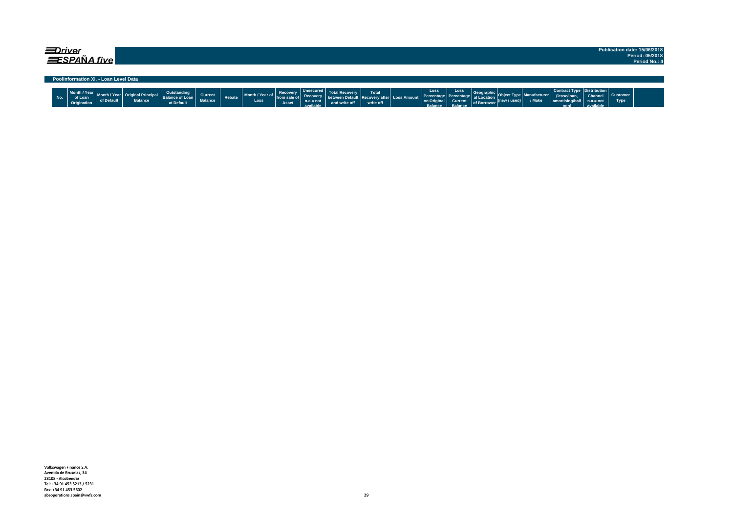| ≡Driver |     |                                        | ESPAÑA five                           |                                        |                                                     |                           |               |                         |                                   |                                                                |               |                    |                                             |                                                     |                                                         |                                        |                      |                       |                                                                              |                                     |                                | Publication date: 15/06/2018<br>Period: 05/2018<br>Period No.: 4 |
|---------|-----|----------------------------------------|---------------------------------------|----------------------------------------|-----------------------------------------------------|---------------------------|---------------|-------------------------|-----------------------------------|----------------------------------------------------------------|---------------|--------------------|---------------------------------------------|-----------------------------------------------------|---------------------------------------------------------|----------------------------------------|----------------------|-----------------------|------------------------------------------------------------------------------|-------------------------------------|--------------------------------|------------------------------------------------------------------|
|         |     |                                        | Poolinformation XI. - Loan Level Data |                                        |                                                     |                           |               |                         |                                   |                                                                |               |                    |                                             |                                                     |                                                         |                                        |                      |                       |                                                                              |                                     |                                |                                                                  |
|         | No. | Month / Year<br>of Loan<br>Origination | of Default                            | : Original Principal<br><b>Balance</b> | Outstanding<br><b>Balance of Loan</b><br>at Default | Current<br><b>Balance</b> | <b>Rebate</b> | Month / Year of<br>Loss | Recovery<br>from sale of<br>Asset | <b>Unsecured</b><br><b>Recovery</b><br>$n.a.=not$<br>available | and write off | Total<br>write off | ween Default   Recovery after   Loss Amount | Loss<br>Percentage<br>on Original<br><b>Ralance</b> | Loss<br>as Percentage al Location<br>Current<br>Ralance | Geographic<br>of Borrower <sup>"</sup> | $ $ (new / used) $ $ | anufacturer<br>/ Make | Contract Type   Distribution  <br>(lease/loan<br>  amortising/ball  <br>nonl | Channel<br>$n.a.= not$<br>aldelieve | <b>Customer</b><br><b>Type</b> |                                                                  |